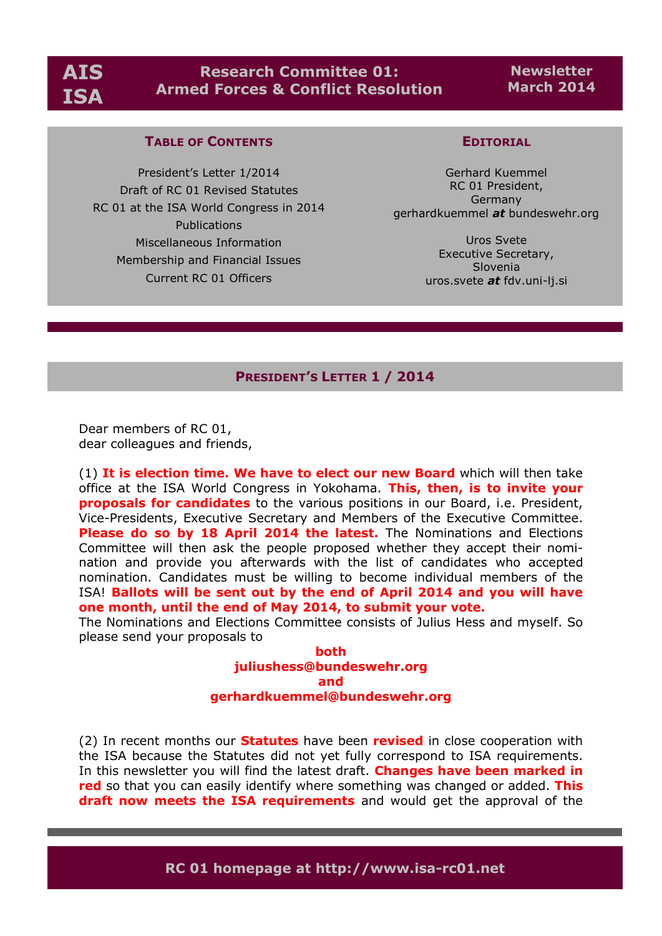# **Research Committee 01: Armed Forces & Conflict Resolution**

# **Newsletter March 2014**

# **TABLE OF CONTENTS**

President's Letter 1/2014 Draft of RC 01 Revised Statutes RC 01 at the ISA World Congress in 2014 Publications Miscellaneous Information Membership and Financial Issues Current RC 01 Officers

# **EDITORIAL**

Gerhard Kuemmel RC 01 President, Germany gerhardkuemmel *at* bundeswehr.org

> Uros Svete Executive Secretary, Slovenia uros.svete *at* fdv.uni-lj.si

### **PRESIDENT'S LETTER 1 / 2014**

Dear members of RC 01, dear colleagues and friends,

(1) **It is election time. We have to elect our new Board** which will then take office at the ISA World Congress in Yokohama. **This, then, is to invite your proposals for candidates** to the various positions in our Board, i.e. President, Vice-Presidents, Executive Secretary and Members of the Executive Committee. **Please do so by 18 April 2014 the latest.** The Nominations and Elections Committee will then ask the people proposed whether they accept their nomination and provide you afterwards with the list of candidates who accepted nomination. Candidates must be willing to become individual members of the ISA! **Ballots will be sent out by the end of April 2014 and you will have one month, until the end of May 2014, to submit your vote.**

The Nominations and Elections Committee consists of Julius Hess and myself. So please send your proposals to

> **both juliushess@bundeswehr.org and gerhardkuemmel@bundeswehr.org**

(2) In recent months our **Statutes** have been **revised** in close cooperation with the ISA because the Statutes did not yet fully correspond to ISA requirements. In this newsletter you will find the latest draft. **Changes have been marked in red** so that you can easily identify where something was changed or added. **This draft now meets the ISA requirements** and would get the approval of the

**RC 01 homepage at http://www.isa-rc01.net**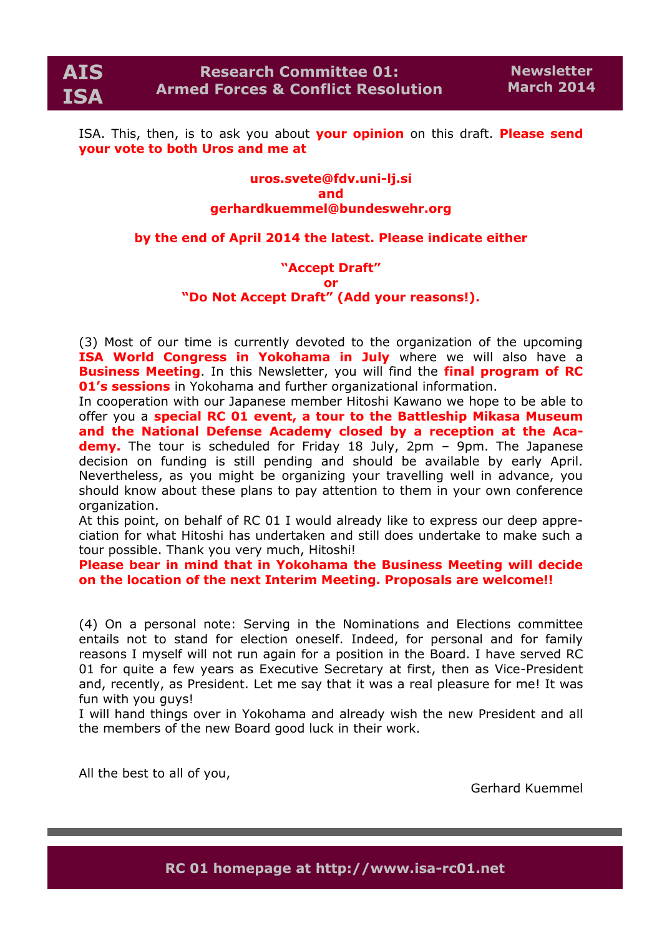ISA. This, then, is to ask you about **your opinion** on this draft. **Please send your vote to both Uros and me at** 

### **uros.svete@fdv.uni-lj.si and gerhardkuemmel@bundeswehr.org**

### **by the end of April 2014 the latest. Please indicate either**

### **"Accept Draft" or "Do Not Accept Draft" (Add your reasons!).**

(3) Most of our time is currently devoted to the organization of the upcoming **ISA World Congress in Yokohama in July** where we will also have a **Business Meeting**. In this Newsletter, you will find the **final program of RC 01's sessions** in Yokohama and further organizational information.

In cooperation with our Japanese member Hitoshi Kawano we hope to be able to offer you a **special RC 01 event, a tour to the Battleship Mikasa Museum and the National Defense Academy closed by a reception at the Aca**demy. The tour is scheduled for Friday 18 July, 2pm - 9pm. The Japanese decision on funding is still pending and should be available by early April. Nevertheless, as you might be organizing your travelling well in advance, you should know about these plans to pay attention to them in your own conference organization.

At this point, on behalf of RC 01 I would already like to express our deep appreciation for what Hitoshi has undertaken and still does undertake to make such a tour possible. Thank you very much, Hitoshi!

**Please bear in mind that in Yokohama the Business Meeting will decide on the location of the next Interim Meeting. Proposals are welcome!!**

(4) On a personal note: Serving in the Nominations and Elections committee entails not to stand for election oneself. Indeed, for personal and for family reasons I myself will not run again for a position in the Board. I have served RC 01 for quite a few years as Executive Secretary at first, then as Vice-President and, recently, as President. Let me say that it was a real pleasure for me! It was fun with you guys!

I will hand things over in Yokohama and already wish the new President and all the members of the new Board good luck in their work.

All the best to all of you,

Gerhard Kuemmel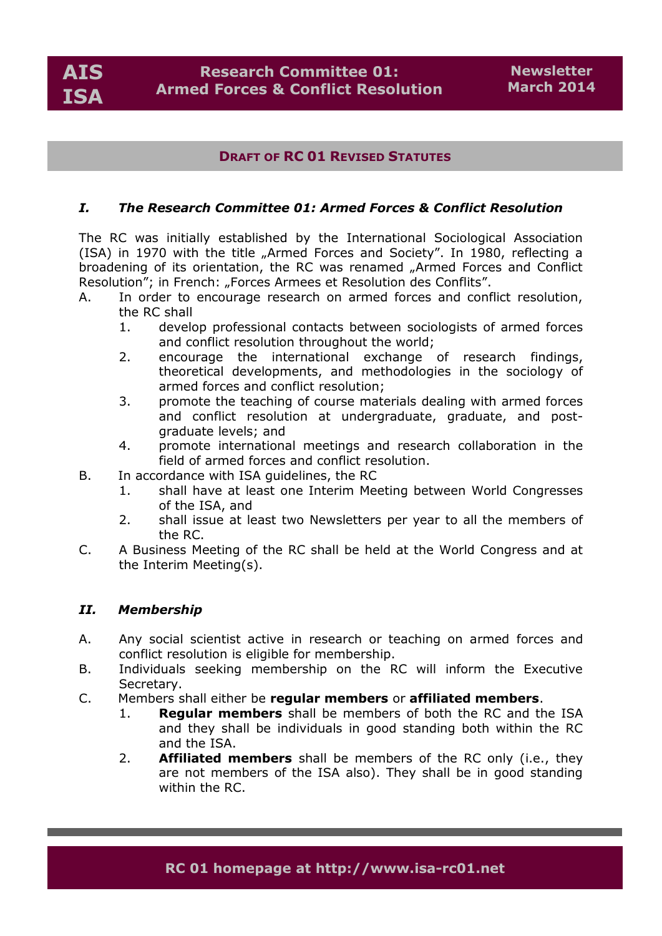# **DRAFT OF RC 01 REVISED STATUTES**

# *I. The Research Committee 01: Armed Forces & Conflict Resolution*

The RC was initially established by the International Sociological Association (ISA) in 1970 with the title "Armed Forces and Society". In 1980, reflecting a broadening of its orientation, the RC was renamed "Armed Forces and Conflict Resolution"; in French: "Forces Armees et Resolution des Conflits".

- A. In order to encourage research on armed forces and conflict resolution, the RC shall
	- 1. develop professional contacts between sociologists of armed forces and conflict resolution throughout the world;
	- 2. encourage the international exchange of research findings, theoretical developments, and methodologies in the sociology of armed forces and conflict resolution;
	- 3. promote the teaching of course materials dealing with armed forces and conflict resolution at undergraduate, graduate, and postgraduate levels; and
	- 4. promote international meetings and research collaboration in the field of armed forces and conflict resolution.
- B. In accordance with ISA guidelines, the RC
	- 1. shall have at least one Interim Meeting between World Congresses of the ISA, and
	- 2. shall issue at least two Newsletters per year to all the members of the RC.
- C. A Business Meeting of the RC shall be held at the World Congress and at the Interim Meeting(s).

### *II. Membership*

- A. Any social scientist active in research or teaching on armed forces and conflict resolution is eligible for membership.
- B. Individuals seeking membership on the RC will inform the Executive Secretary.
- C. Members shall either be **regular members** or **affiliated members**.
	- 1. **Regular members** shall be members of both the RC and the ISA and they shall be individuals in good standing both within the RC and the ISA.
	- 2. **Affiliated members** shall be members of the RC only (i.e., they are not members of the ISA also). They shall be in good standing within the RC.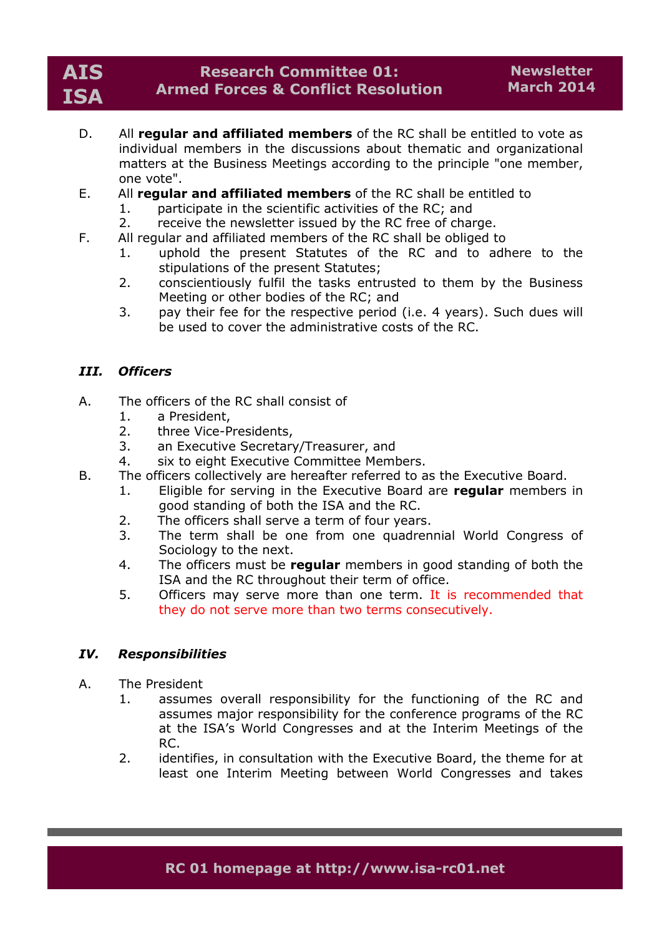# **AIS ISA**

# **Research Committee 01: Armed Forces & Conflict Resolution**

- D. All **regular and affiliated members** of the RC shall be entitled to vote as individual members in the discussions about thematic and organizational matters at the Business Meetings according to the principle "one member, one vote".
- E. All **regular and affiliated members** of the RC shall be entitled to
	- 1. participate in the scientific activities of the RC; and
	- 2. receive the newsletter issued by the RC free of charge.
- F. All regular and affiliated members of the RC shall be obliged to
	- 1. uphold the present Statutes of the RC and to adhere to the stipulations of the present Statutes;
	- 2. conscientiously fulfil the tasks entrusted to them by the Business Meeting or other bodies of the RC; and
	- 3. pay their fee for the respective period (i.e. 4 years). Such dues will be used to cover the administrative costs of the RC.

# *III. Officers*

- A. The officers of the RC shall consist of
	- 1. a President,
	- 2. three Vice-Presidents,
	- 3. an Executive Secretary/Treasurer, and
	- 4. six to eight Executive Committee Members.
- B. The officers collectively are hereafter referred to as the Executive Board.
	- 1. Eligible for serving in the Executive Board are **regular** members in good standing of both the ISA and the RC.
	- 2. The officers shall serve a term of four years.
	- 3. The term shall be one from one quadrennial World Congress of Sociology to the next.
	- 4. The officers must be **regular** members in good standing of both the ISA and the RC throughout their term of office.
	- 5. Officers may serve more than one term. It is recommended that they do not serve more than two terms consecutively.

### *IV. Responsibilities*

- A. The President
	- 1. assumes overall responsibility for the functioning of the RC and assumes major responsibility for the conference programs of the RC at the ISA's World Congresses and at the Interim Meetings of the RC.
	- 2. identifies, in consultation with the Executive Board, the theme for at least one Interim Meeting between World Congresses and takes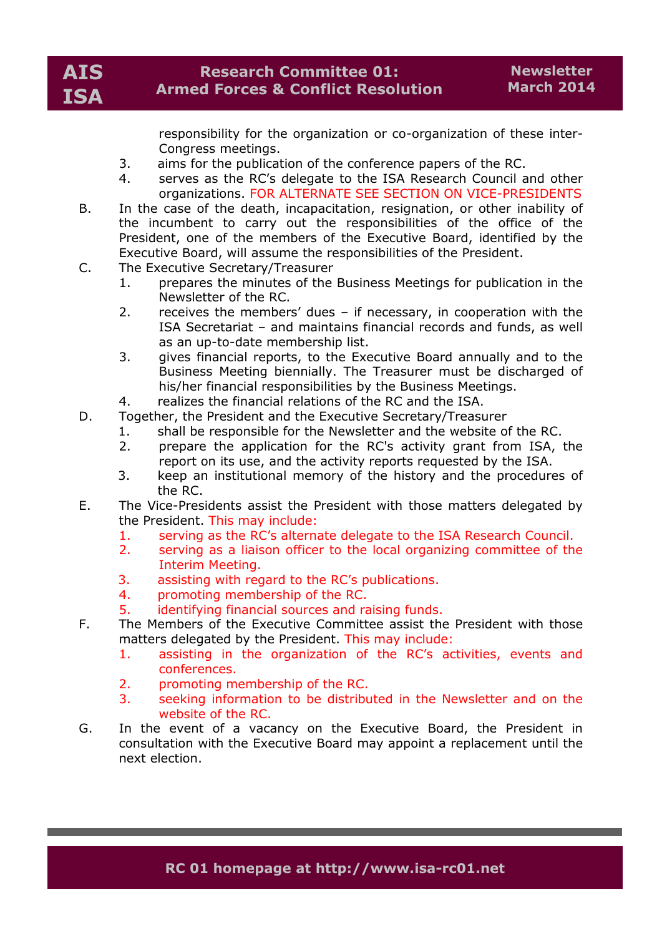responsibility for the organization or co-organization of these inter-Congress meetings.

- 3. aims for the publication of the conference papers of the RC.
- 4. serves as the RC's delegate to the ISA Research Council and other organizations. FOR ALTERNATE SEE SECTION ON VICE-PRESIDENTS
- B. In the case of the death, incapacitation, resignation, or other inability of the incumbent to carry out the responsibilities of the office of the President, one of the members of the Executive Board, identified by the Executive Board, will assume the responsibilities of the President.
- C. The Executive Secretary/Treasurer
	- 1. prepares the minutes of the Business Meetings for publication in the Newsletter of the RC.
	- 2. receives the members' dues if necessary, in cooperation with the ISA Secretariat – and maintains financial records and funds, as well as an up-to-date membership list.
	- 3. gives financial reports, to the Executive Board annually and to the Business Meeting biennially. The Treasurer must be discharged of his/her financial responsibilities by the Business Meetings.
	- 4. realizes the financial relations of the RC and the ISA.
- D. Together, the President and the Executive Secretary/Treasurer
	- 1. shall be responsible for the Newsletter and the website of the RC.
	- 2. prepare the application for the RC's activity grant from ISA, the report on its use, and the activity reports requested by the ISA.
	- 3. keep an institutional memory of the history and the procedures of the RC.
- E. The Vice-Presidents assist the President with those matters delegated by the President. This may include:
	- 1. serving as the RC's alternate delegate to the ISA Research Council.
	- 2. serving as a liaison officer to the local organizing committee of the Interim Meeting.
	- 3. assisting with regard to the RC's publications.
	- 4. promoting membership of the RC.
	- 5. identifying financial sources and raising funds.
- F. The Members of the Executive Committee assist the President with those matters delegated by the President. This may include:
	- 1. assisting in the organization of the RC's activities, events and conferences.
	- 2. promoting membership of the RC.
	- 3. seeking information to be distributed in the Newsletter and on the website of the RC.
- G. In the event of a vacancy on the Executive Board, the President in consultation with the Executive Board may appoint a replacement until the next election.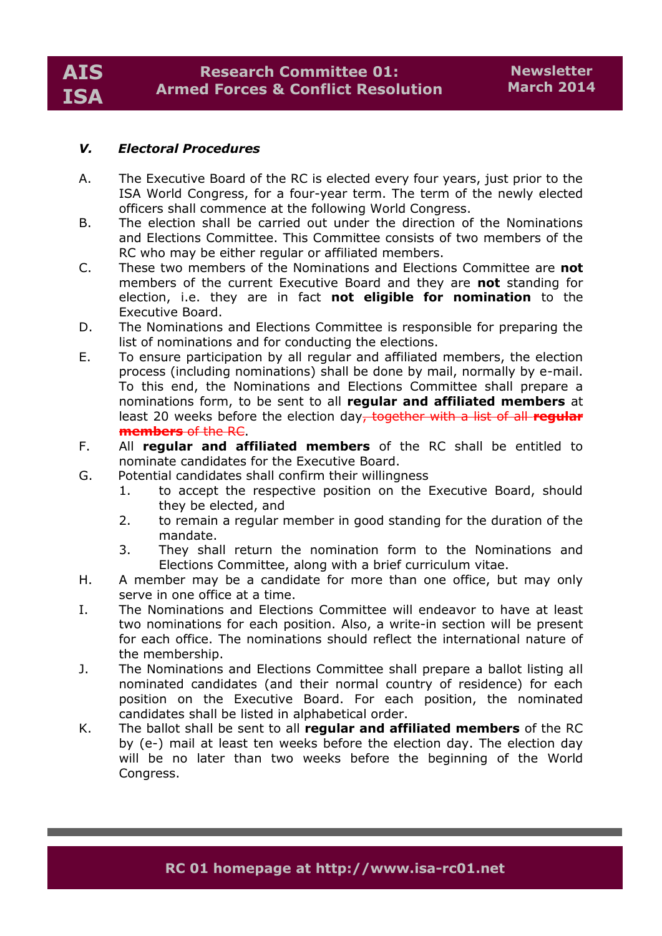# *V. Electoral Procedures*

- A. The Executive Board of the RC is elected every four years, just prior to the ISA World Congress, for a four-year term. The term of the newly elected officers shall commence at the following World Congress.
- B. The election shall be carried out under the direction of the Nominations and Elections Committee. This Committee consists of two members of the RC who may be either regular or affiliated members.
- C. These two members of the Nominations and Elections Committee are **not** members of the current Executive Board and they are **not** standing for election, i.e. they are in fact **not eligible for nomination** to the Executive Board.
- D. The Nominations and Elections Committee is responsible for preparing the list of nominations and for conducting the elections.
- E. To ensure participation by all regular and affiliated members, the election process (including nominations) shall be done by mail, normally by e-mail. To this end, the Nominations and Elections Committee shall prepare a nominations form, to be sent to all **regular and affiliated members** at least 20 weeks before the election day, together with a list of all **regular members** of the RC.
- F. All **regular and affiliated members** of the RC shall be entitled to nominate candidates for the Executive Board.
- G. Potential candidates shall confirm their willingness
	- 1. to accept the respective position on the Executive Board, should they be elected, and
	- 2. to remain a regular member in good standing for the duration of the mandate.
	- 3. They shall return the nomination form to the Nominations and Elections Committee, along with a brief curriculum vitae.
- H. A member may be a candidate for more than one office, but may only serve in one office at a time.
- I. The Nominations and Elections Committee will endeavor to have at least two nominations for each position. Also, a write-in section will be present for each office. The nominations should reflect the international nature of the membership.
- J. The Nominations and Elections Committee shall prepare a ballot listing all nominated candidates (and their normal country of residence) for each position on the Executive Board. For each position, the nominated candidates shall be listed in alphabetical order.
- K. The ballot shall be sent to all **regular and affiliated members** of the RC by (e-) mail at least ten weeks before the election day. The election day will be no later than two weeks before the beginning of the World Congress.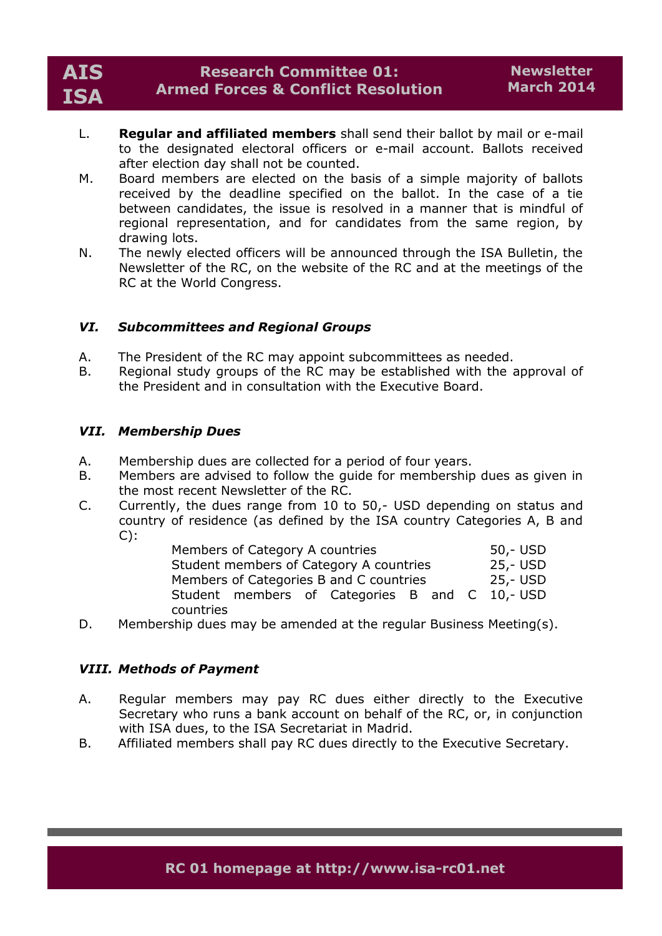- L. **Regular and affiliated members** shall send their ballot by mail or e-mail to the designated electoral officers or e-mail account. Ballots received after election day shall not be counted.
- M. Board members are elected on the basis of a simple majority of ballots received by the deadline specified on the ballot. In the case of a tie between candidates, the issue is resolved in a manner that is mindful of regional representation, and for candidates from the same region, by drawing lots.
- N. The newly elected officers will be announced through the ISA Bulletin, the Newsletter of the RC, on the website of the RC and at the meetings of the RC at the World Congress.

# *VI. Subcommittees and Regional Groups*

- A. The President of the RC may appoint subcommittees as needed.
- B. Regional study groups of the RC may be established with the approval of the President and in consultation with the Executive Board.

# *VII. Membership Dues*

- A. Membership dues are collected for a period of four years.
- B. Members are advised to follow the guide for membership dues as given in the most recent Newsletter of the RC.
- C. Currently, the dues range from 10 to 50,- USD depending on status and country of residence (as defined by the ISA country Categories A, B and  $C)$ :

| Members of Category A countries                | 50,- USD |
|------------------------------------------------|----------|
| Student members of Category A countries        | 25,- USD |
| Members of Categories B and C countries        | 25,- USD |
| Student members of Categories B and C 10,- USD |          |
| countries                                      |          |

D. Membership dues may be amended at the regular Business Meeting(s).

# *VIII. Methods of Payment*

- A. Regular members may pay RC dues either directly to the Executive Secretary who runs a bank account on behalf of the RC, or, in conjunction with ISA dues, to the ISA Secretariat in Madrid.
- B. Affiliated members shall pay RC dues directly to the Executive Secretary.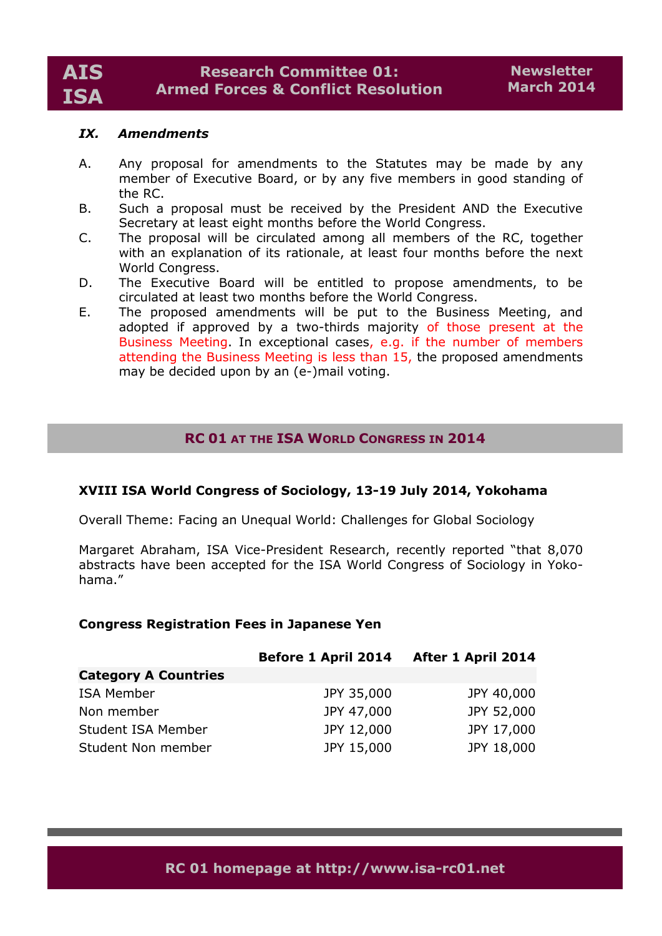### *IX. Amendments*

- A. Any proposal for amendments to the Statutes may be made by any member of Executive Board, or by any five members in good standing of the RC.
- B. Such a proposal must be received by the President AND the Executive Secretary at least eight months before the World Congress.
- C. The proposal will be circulated among all members of the RC, together with an explanation of its rationale, at least four months before the next World Congress.
- D. The Executive Board will be entitled to propose amendments, to be circulated at least two months before the World Congress.
- E. The proposed amendments will be put to the Business Meeting, and adopted if approved by a two-thirds majority of those present at the Business Meeting. In exceptional cases, e.g. if the number of members attending the Business Meeting is less than 15, the proposed amendments may be decided upon by an (e-)mail voting.

# **RC 01 AT THE ISA WORLD CONGRESS IN 2014**

# **XVIII ISA World Congress of Sociology, 13-19 July 2014, Yokohama**

Overall Theme: Facing an Unequal World: Challenges for Global Sociology

Margaret Abraham, ISA Vice-President Research, recently reported "that 8,070 abstracts have been accepted for the ISA World Congress of Sociology in Yokohama."

### **Congress Registration Fees in Japanese Yen**

|                             | <b>Before 1 April 2014</b> | After 1 April 2014 |
|-----------------------------|----------------------------|--------------------|
| <b>Category A Countries</b> |                            |                    |
| <b>ISA Member</b>           | JPY 35,000                 | JPY 40,000         |
| Non member                  | JPY 47,000                 | JPY 52,000         |
| Student ISA Member          | JPY 12,000                 | JPY 17,000         |
| Student Non member          | JPY 15,000                 | JPY 18,000         |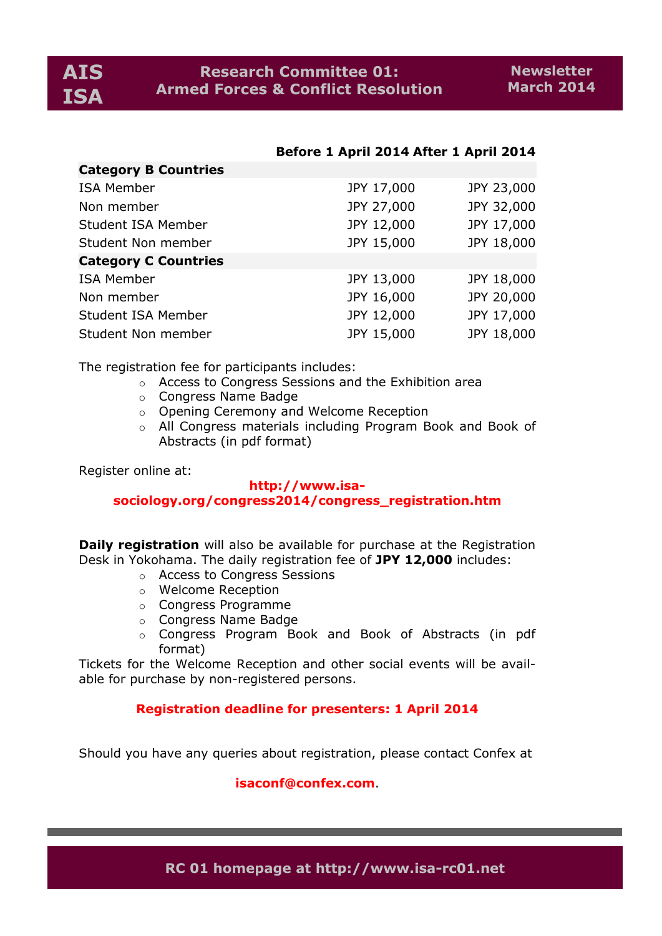# **Before 1 April 2014 After 1 April 2014**

| Category B Countries        |            |            |
|-----------------------------|------------|------------|
| <b>ISA Member</b>           | JPY 17,000 | JPY 23,000 |
| Non member                  | JPY 27,000 | JPY 32,000 |
| Student ISA Member          | JPY 12,000 | JPY 17,000 |
| Student Non member          | JPY 15,000 | JPY 18,000 |
| <b>Category C Countries</b> |            |            |
| <b>ISA Member</b>           | JPY 13,000 | JPY 18,000 |
| Non member                  | JPY 16,000 | JPY 20,000 |
| Student ISA Member          | JPY 12,000 | JPY 17,000 |
| Student Non member          | JPY 15,000 | JPY 18,000 |

The registration fee for participants includes:

- o Access to Congress Sessions and the Exhibition area
- o Congress Name Badge
- o Opening Ceremony and Welcome Reception
- o All Congress materials including Program Book and Book of Abstracts (in pdf format)

Register online at:

**Category B Countries**

### **http://www.isasociology.org/congress2014/congress\_registration.htm**

**Daily registration** will also be available for purchase at the Registration Desk in Yokohama. The daily registration fee of **JPY 12,000** includes:

- o Access to Congress Sessions
- o Welcome Reception
- o Congress Programme
- o Congress Name Badge
- o Congress Program Book and Book of Abstracts (in pdf format)

Tickets for the Welcome Reception and other social events will be available for purchase by non-registered persons.

### **Registration deadline for presenters: 1 April 2014**

Should you have any queries about registration, please contact Confex at

**isaconf@confex.com**.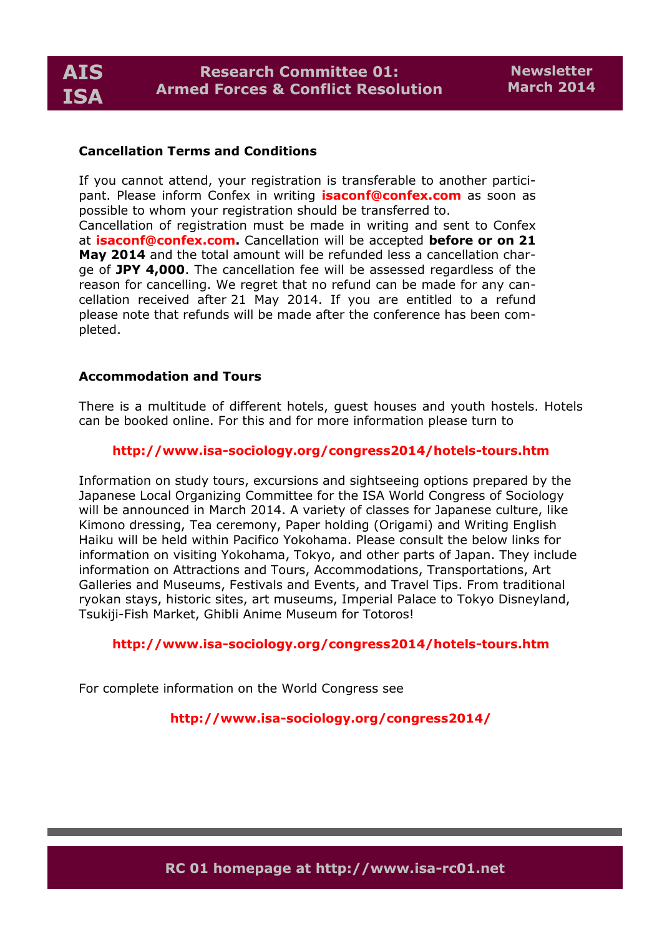

# **Cancellation Terms and Conditions**

If you cannot attend, your registration is transferable to another participant. Please inform Confex in writing **isaconf@confex.com** as soon as possible to whom your registration should be transferred to.

Cancellation of registration must be made in writing and sent to Confex at **isaconf@confex.com.** Cancellation will be accepted **before or on 21 May 2014** and the total amount will be refunded less a cancellation charge of **JPY 4,000**. The cancellation fee will be assessed regardless of the reason for cancelling. We regret that no refund can be made for any cancellation received after 21 May 2014. If you are entitled to a refund please note that refunds will be made after the conference has been completed.

### **Accommodation and Tours**

There is a multitude of different hotels, guest houses and youth hostels. Hotels can be booked online. For this and for more information please turn to

# **http://www.isa-sociology.org/congress2014/hotels-tours.htm**

Information on study tours, excursions and sightseeing options prepared by the Japanese Local Organizing Committee for the ISA World Congress of Sociology will be announced in March 2014. A variety of classes for Japanese culture, like Kimono dressing, Tea ceremony, Paper holding (Origami) and Writing English Haiku will be held within Pacifico Yokohama. Please consult the below links for information on visiting Yokohama, Tokyo, and other parts of Japan. They include information on Attractions and Tours, Accommodations, Transportations, Art Galleries and Museums, Festivals and Events, and Travel Tips. From traditional ryokan stays, historic sites, art museums, Imperial Palace to Tokyo Disneyland, Tsukiji-Fish Market, Ghibli Anime Museum for Totoros!

## **http://www.isa-sociology.org/congress2014/hotels-tours.htm**

For complete information on the World Congress see

### **http://www.isa-sociology.org/congress2014/**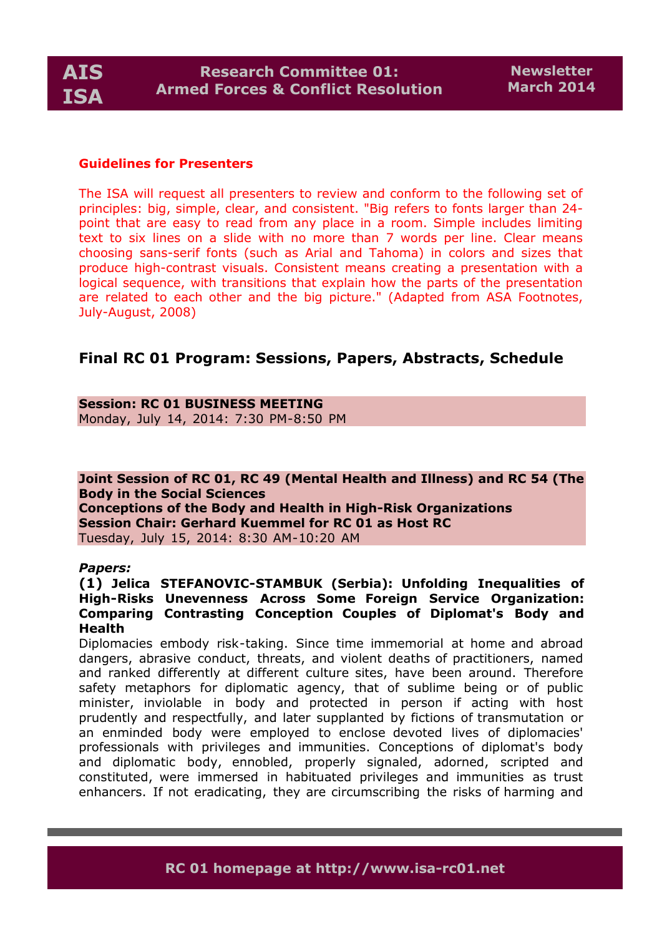

### **Guidelines for Presenters**

The ISA will request all presenters to review and conform to the following set of principles: big, simple, clear, and consistent. "Big refers to fonts larger than 24 point that are easy to read from any place in a room. Simple includes limiting text to six lines on a slide with no more than 7 words per line. Clear means choosing sans-serif fonts (such as Arial and Tahoma) in colors and sizes that produce high-contrast visuals. Consistent means creating a presentation with a logical sequence, with transitions that explain how the parts of the presentation are related to each other and the big picture." (Adapted from ASA Footnotes, July-August, 2008)

# **Final RC 01 Program: Sessions, Papers, Abstracts, Schedule**

### **Session: RC 01 BUSINESS MEETING**

Monday, July 14, 2014: 7:30 PM-8:50 PM

**Joint Session of RC 01, RC 49 (Mental Health and Illness) and RC 54 (The Body in the Social Sciences Conceptions of the Body and Health in High-Risk Organizations Session Chair: Gerhard Kuemmel for RC 01 as Host RC** Tuesday, July 15, 2014: 8:30 AM-10:20 AM

#### *Papers:*

### **(1) Jelica STEFANOVIC-STAMBUK (Serbia): Unfolding Inequalities of High-Risks Unevenness Across Some Foreign Service Organization: Comparing Contrasting Conception Couples of Diplomat's Body and Health**

Diplomacies embody risk-taking. Since time immemorial at home and abroad dangers, abrasive conduct, threats, and violent deaths of practitioners, named and ranked differently at different culture sites, have been around. Therefore safety metaphors for diplomatic agency, that of sublime being or of public minister, inviolable in body and protected in person if acting with host prudently and respectfully, and later supplanted by fictions of transmutation or an enminded body were employed to enclose devoted lives of diplomacies' professionals with privileges and immunities. Conceptions of diplomat's body and diplomatic body, ennobled, properly signaled, adorned, scripted and constituted, were immersed in habituated privileges and immunities as trust enhancers. If not eradicating, they are circumscribing the risks of harming and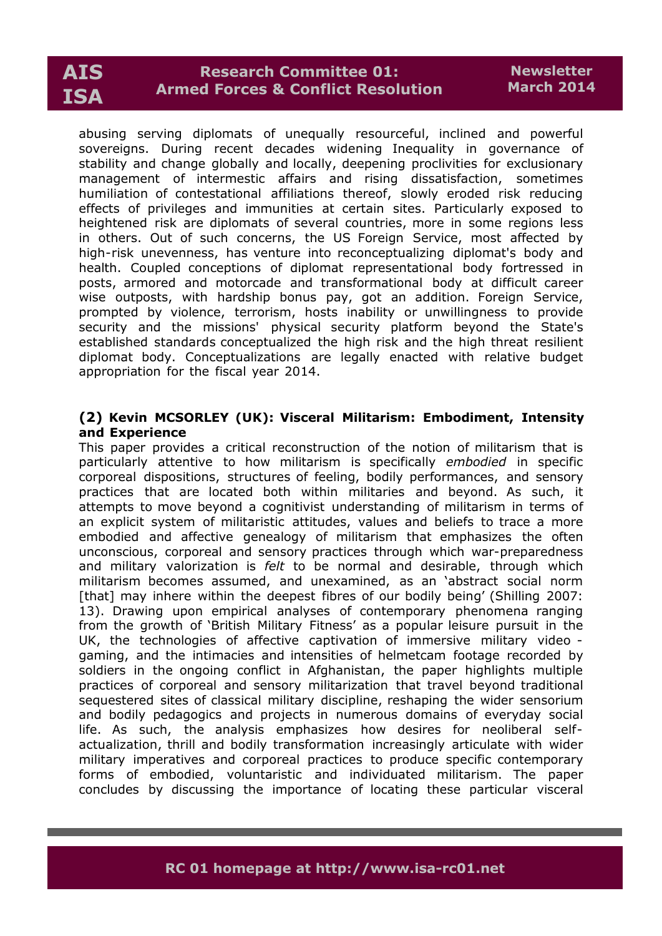# **AIS ISA**

# **Research Committee 01: Armed Forces & Conflict Resolution**

abusing serving diplomats of unequally resourceful, inclined and powerful sovereigns. During recent decades widening Inequality in governance of stability and change globally and locally, deepening proclivities for exclusionary management of intermestic affairs and rising dissatisfaction, sometimes humiliation of contestational affiliations thereof, slowly eroded risk reducing effects of privileges and immunities at certain sites. Particularly exposed to heightened risk are diplomats of several countries, more in some regions less in others. Out of such concerns, the US Foreign Service, most affected by high-risk unevenness, has venture into reconceptualizing diplomat's body and health. Coupled conceptions of diplomat representational body fortressed in posts, armored and motorcade and transformational body at difficult career wise outposts, with hardship bonus pay, got an addition. Foreign Service, prompted by violence, terrorism, hosts inability or unwillingness to provide security and the missions' physical security platform beyond the State's established standards conceptualized the high risk and the high threat resilient diplomat body. Conceptualizations are legally enacted with relative budget appropriation for the fiscal year 2014.

# **(2) Kevin MCSORLEY (UK): Visceral Militarism: Embodiment, Intensity and Experience**

This paper provides a critical reconstruction of the notion of militarism that is particularly attentive to how militarism is specifically *embodied* in specific corporeal dispositions, structures of feeling, bodily performances, and sensory practices that are located both within militaries and beyond. As such, it attempts to move beyond a cognitivist understanding of militarism in terms of an explicit system of militaristic attitudes, values and beliefs to trace a more embodied and affective genealogy of militarism that emphasizes the often unconscious, corporeal and sensory practices through which war-preparedness and military valorization is *felt* to be normal and desirable, through which militarism becomes assumed, and unexamined, as an 'abstract social norm [that] may inhere within the deepest fibres of our bodily being' (Shilling 2007: 13). Drawing upon empirical analyses of contemporary phenomena ranging from the growth of 'British Military Fitness' as a popular leisure pursuit in the UK, the technologies of affective captivation of immersive military video gaming, and the intimacies and intensities of helmetcam footage recorded by soldiers in the ongoing conflict in Afghanistan, the paper highlights multiple practices of corporeal and sensory militarization that travel beyond traditional sequestered sites of classical military discipline, reshaping the wider sensorium and bodily pedagogics and projects in numerous domains of everyday social life. As such, the analysis emphasizes how desires for neoliberal selfactualization, thrill and bodily transformation increasingly articulate with wider military imperatives and corporeal practices to produce specific contemporary forms of embodied, voluntaristic and individuated militarism. The paper concludes by discussing the importance of locating these particular visceral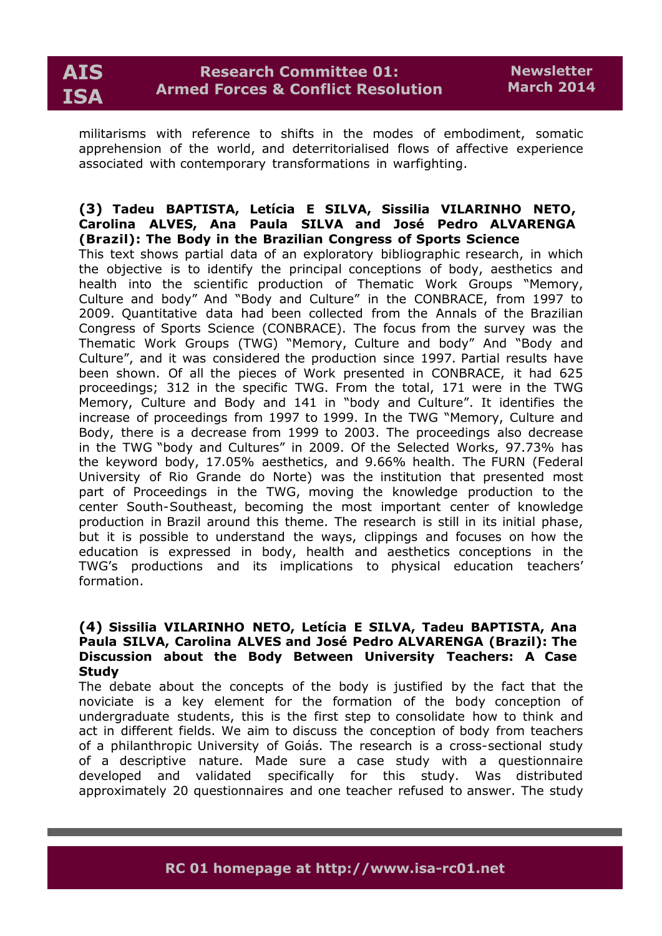

militarisms with reference to shifts in the modes of embodiment, somatic apprehension of the world, and deterritorialised flows of affective experience associated with contemporary transformations in warfighting.

### **(3) Tadeu BAPTISTA, Letícia E SILVA, Sissilia VILARINHO NETO, Carolina ALVES, Ana Paula SILVA and José Pedro ALVARENGA (Brazil): The Body in the Brazilian Congress of Sports Science**

This text shows partial data of an exploratory bibliographic research, in which the objective is to identify the principal conceptions of body, aesthetics and health into the scientific production of Thematic Work Groups "Memory, Culture and body" And "Body and Culture" in the CONBRACE, from 1997 to 2009. Quantitative data had been collected from the Annals of the Brazilian Congress of Sports Science (CONBRACE). The focus from the survey was the Thematic Work Groups (TWG) "Memory, Culture and body" And "Body and Culture", and it was considered the production since 1997. Partial results have been shown. Of all the pieces of Work presented in CONBRACE, it had 625 proceedings; 312 in the specific TWG. From the total, 171 were in the TWG Memory, Culture and Body and 141 in "body and Culture". It identifies the increase of proceedings from 1997 to 1999. In the TWG "Memory, Culture and Body, there is a decrease from 1999 to 2003. The proceedings also decrease in the TWG "body and Cultures" in 2009. Of the Selected Works, 97.73% has the keyword body, 17.05% aesthetics, and 9.66% health. The FURN (Federal University of Rio Grande do Norte) was the institution that presented most part of Proceedings in the TWG, moving the knowledge production to the center South-Southeast, becoming the most important center of knowledge production in Brazil around this theme. The research is still in its initial phase, but it is possible to understand the ways, clippings and focuses on how the education is expressed in body, health and aesthetics conceptions in the TWG's productions and its implications to physical education teachers' formation.

# **(4) Sissilia VILARINHO NETO, Letícia E SILVA, Tadeu BAPTISTA, Ana Paula SILVA, Carolina ALVES and José Pedro ALVARENGA (Brazil): The Discussion about the Body Between University Teachers: A Case Study**

The debate about the concepts of the body is justified by the fact that the noviciate is a key element for the formation of the body conception of undergraduate students, this is the first step to consolidate how to think and act in different fields. We aim to discuss the conception of body from teachers of a philanthropic University of Goiás. The research is a cross-sectional study of a descriptive nature. Made sure a case study with a questionnaire developed and validated specifically for this study. Was distributed approximately 20 questionnaires and one teacher refused to answer. The study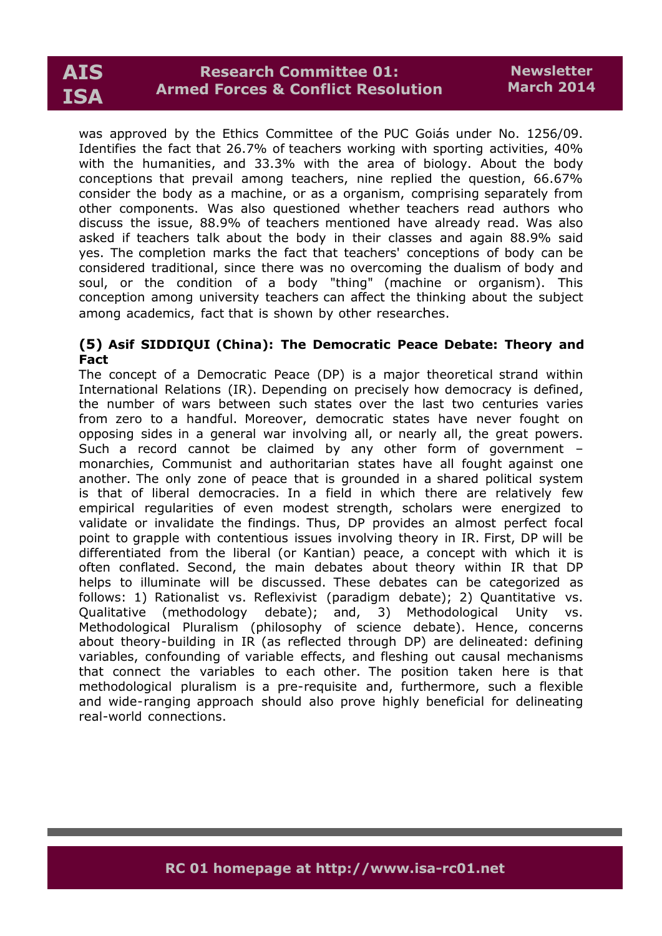# **AIS ISA**

was approved by the Ethics Committee of the PUC Goiás under No. 1256/09. Identifies the fact that 26.7% of teachers working with sporting activities, 40% with the humanities, and 33.3% with the area of biology. About the body conceptions that prevail among teachers, nine replied the question, 66.67% consider the body as a machine, or as a organism, comprising separately from other components. Was also questioned whether teachers read authors who discuss the issue, 88.9% of teachers mentioned have already read. Was also asked if teachers talk about the body in their classes and again 88.9% said yes. The completion marks the fact that teachers' conceptions of body can be considered traditional, since there was no overcoming the dualism of body and soul, or the condition of a body "thing" (machine or organism). This conception among university teachers can affect the thinking about the subject among academics, fact that is shown by other researches.

# **(5) Asif SIDDIQUI (China): The Democratic Peace Debate: Theory and Fact**

The concept of a Democratic Peace (DP) is a major theoretical strand within International Relations (IR). Depending on precisely how democracy is defined, the number of wars between such states over the last two centuries varies from zero to a handful. Moreover, democratic states have never fought on opposing sides in a general war involving all, or nearly all, the great powers. Such a record cannot be claimed by any other form of government – monarchies, Communist and authoritarian states have all fought against one another. The only zone of peace that is grounded in a shared political system is that of liberal democracies. In a field in which there are relatively few empirical regularities of even modest strength, scholars were energized to validate or invalidate the findings. Thus, DP provides an almost perfect focal point to grapple with contentious issues involving theory in IR. First, DP will be differentiated from the liberal (or Kantian) peace, a concept with which it is often conflated. Second, the main debates about theory within IR that DP helps to illuminate will be discussed. These debates can be categorized as follows: 1) Rationalist vs. Reflexivist (paradigm debate); 2) Quantitative vs. Qualitative (methodology debate); and, 3) Methodological Unity vs. Methodological Pluralism (philosophy of science debate). Hence, concerns about theory-building in IR (as reflected through DP) are delineated: defining variables, confounding of variable effects, and fleshing out causal mechanisms that connect the variables to each other. The position taken here is that methodological pluralism is a pre-requisite and, furthermore, such a flexible and wide-ranging approach should also prove highly beneficial for delineating real-world connections.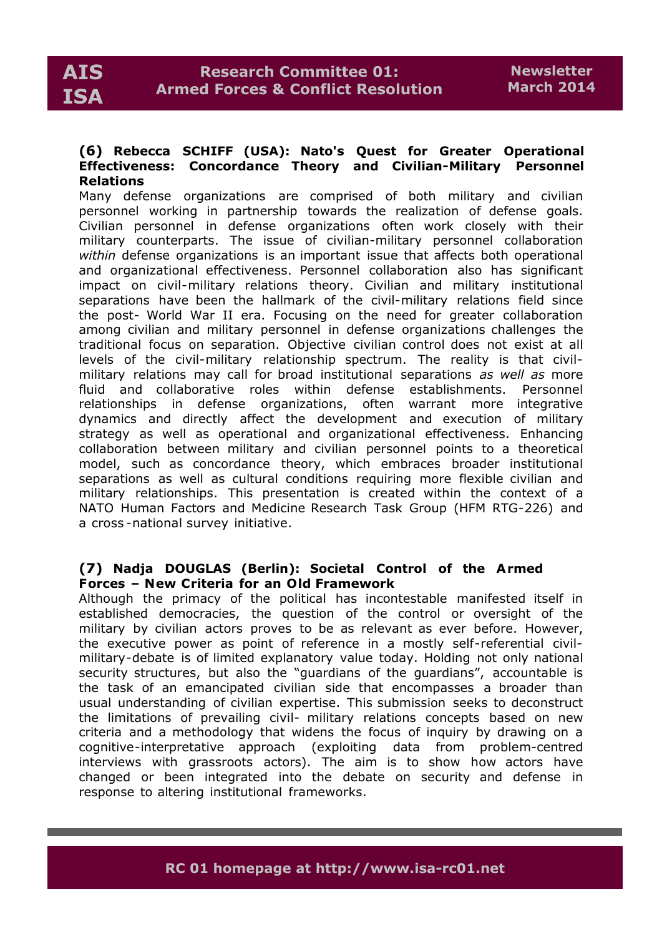### **(6) Rebecca SCHIFF (USA): Nato's Quest for Greater Operational Effectiveness: Concordance Theory and Civilian-Military Personnel Relations**

Many defense organizations are comprised of both military and civilian personnel working in partnership towards the realization of defense goals. Civilian personnel in defense organizations often work closely with their military counterparts. The issue of civilian-military personnel collaboration *within* defense organizations is an important issue that affects both operational and organizational effectiveness. Personnel collaboration also has significant impact on civil-military relations theory. Civilian and military institutional separations have been the hallmark of the civil-military relations field since the post- World War II era. Focusing on the need for greater collaboration among civilian and military personnel in defense organizations challenges the traditional focus on separation. Objective civilian control does not exist at all levels of the civil-military relationship spectrum. The reality is that civilmilitary relations may call for broad institutional separations *as well as* more fluid and collaborative roles within defense establishments. Personnel relationships in defense organizations, often warrant more integrative dynamics and directly affect the development and execution of military strategy as well as operational and organizational effectiveness. Enhancing collaboration between military and civilian personnel points to a theoretical model, such as concordance theory, which embraces broader institutional separations as well as cultural conditions requiring more flexible civilian and military relationships. This presentation is created within the context of a NATO Human Factors and Medicine Research Task Group (HFM RTG-226) and a cross -national survey initiative.

# **(7) Nadja DOUGLAS (Berlin): Societal Control of the Armed Forces – New Criteria for an Old Framework**

Although the primacy of the political has incontestable manifested itself in established democracies, the question of the control or oversight of the military by civilian actors proves to be as relevant as ever before. However, the executive power as point of reference in a mostly self-referential civilmilitary-debate is of limited explanatory value today. Holding not only national security structures, but also the "guardians of the guardians", accountable is the task of an emancipated civilian side that encompasses a broader than usual understanding of civilian expertise. This submission seeks to deconstruct the limitations of prevailing civil- military relations concepts based on new criteria and a methodology that widens the focus of inquiry by drawing on a cognitive-interpretative approach (exploiting data from problem-centred interviews with grassroots actors). The aim is to show how actors have changed or been integrated into the debate on security and defense in response to altering institutional frameworks.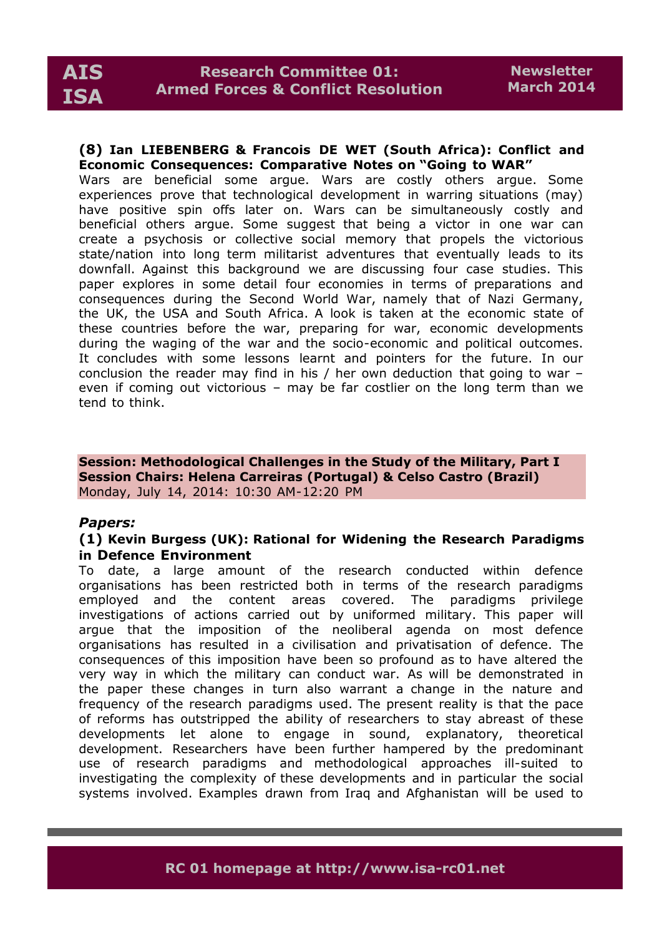# **(8) Ian LIEBENBERG & Francois DE WET (South Africa): Conflict and Economic Consequences: Comparative Notes on "Going to WAR"**

Wars are beneficial some argue. Wars are costly others argue. Some experiences prove that technological development in warring situations (may) have positive spin offs later on. Wars can be simultaneously costly and beneficial others argue. Some suggest that being a victor in one war can create a psychosis or collective social memory that propels the victorious state/nation into long term militarist adventures that eventually leads to its downfall. Against this background we are discussing four case studies. This paper explores in some detail four economies in terms of preparations and consequences during the Second World War, namely that of Nazi Germany, the UK, the USA and South Africa. A look is taken at the economic state of these countries before the war, preparing for war, economic developments during the waging of the war and the socio-economic and political outcomes. It concludes with some lessons learnt and pointers for the future. In our conclusion the reader may find in his / her own deduction that going to war – even if coming out victorious – may be far costlier on the long term than we tend to think.

**Session: Methodological Challenges in the Study of the Military, Part I Session Chairs: Helena Carreiras (Portugal) & Celso Castro (Brazil)** Monday, July 14, 2014: 10:30 AM-12:20 PM

# *Papers:*

# **(1) Kevin Burgess (UK): Rational for Widening the Research Paradigms in Defence Environment**

To date, a large amount of the research conducted within defence organisations has been restricted both in terms of the research paradigms employed and the content areas covered. The paradigms privilege investigations of actions carried out by uniformed military. This paper will argue that the imposition of the neoliberal agenda on most defence organisations has resulted in a civilisation and privatisation of defence. The consequences of this imposition have been so profound as to have altered the very way in which the military can conduct war. As will be demonstrated in the paper these changes in turn also warrant a change in the nature and frequency of the research paradigms used. The present reality is that the pace of reforms has outstripped the ability of researchers to stay abreast of these developments let alone to engage in sound, explanatory, theoretical development. Researchers have been further hampered by the predominant use of research paradigms and methodological approaches ill-suited to investigating the complexity of these developments and in particular the social systems involved. Examples drawn from Iraq and Afghanistan will be used to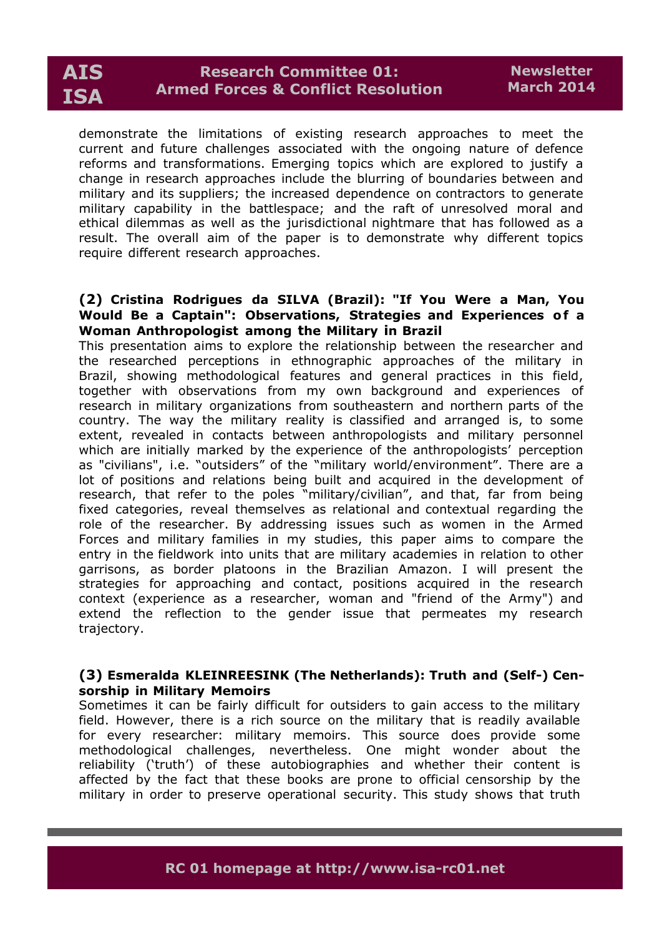

demonstrate the limitations of existing research approaches to meet the current and future challenges associated with the ongoing nature of defence reforms and transformations. Emerging topics which are explored to justify a change in research approaches include the blurring of boundaries between and military and its suppliers; the increased dependence on contractors to generate military capability in the battlespace; and the raft of unresolved moral and ethical dilemmas as well as the jurisdictional nightmare that has followed as a result. The overall aim of the paper is to demonstrate why different topics require different research approaches.

### **(2) Cristina Rodrigues da SILVA (Brazil): "If You Were a Man, You Would Be a Captain": Observations, Strategies and Experiences of a Woman Anthropologist among the Military in Brazil**

This presentation aims to explore the relationship between the researcher and the researched perceptions in ethnographic approaches of the military in Brazil, showing methodological features and general practices in this field, together with observations from my own background and experiences of research in military organizations from southeastern and northern parts of the country. The way the military reality is classified and arranged is, to some extent, revealed in contacts between anthropologists and military personnel which are initially marked by the experience of the anthropologists' perception as "civilians", i.e. "outsiders" of the "military world/environment". There are a lot of positions and relations being built and acquired in the development of research, that refer to the poles "military/civilian", and that, far from being fixed categories, reveal themselves as relational and contextual regarding the role of the researcher. By addressing issues such as women in the Armed Forces and military families in my studies, this paper aims to compare the entry in the fieldwork into units that are military academies in relation to other garrisons, as border platoons in the Brazilian Amazon. I will present the strategies for approaching and contact, positions acquired in the research context (experience as a researcher, woman and "friend of the Army") and extend the reflection to the gender issue that permeates my research trajectory.

# **(3) Esmeralda KLEINREESINK (The Netherlands): Truth and (Self-) Censorship in Military Memoirs**

Sometimes it can be fairly difficult for outsiders to gain access to the military field. However, there is a rich source on the military that is readily available for every researcher: military memoirs. This source does provide some methodological challenges, nevertheless. One might wonder about the reliability ('truth') of these autobiographies and whether their content is affected by the fact that these books are prone to official censorship by the military in order to preserve operational security. This study shows that truth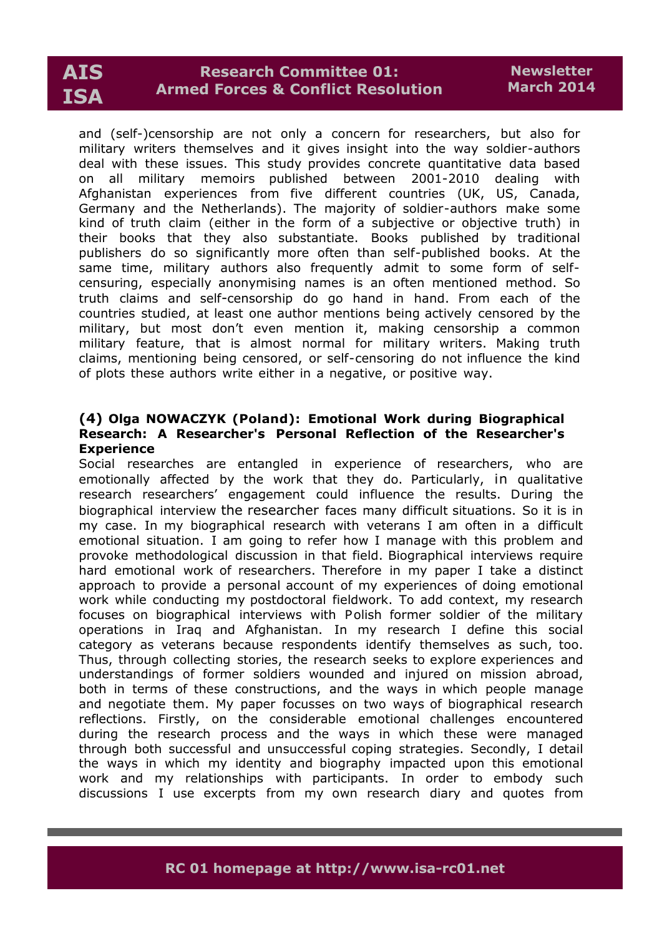# **AIS ISA**

# **Research Committee 01: Armed Forces & Conflict Resolution**

and (self-)censorship are not only a concern for researchers, but also for military writers themselves and it gives insight into the way soldier-authors deal with these issues. This study provides concrete quantitative data based on all military memoirs published between 2001-2010 dealing with Afghanistan experiences from five different countries (UK, US, Canada, Germany and the Netherlands). The majority of soldier-authors make some kind of truth claim (either in the form of a subjective or objective truth) in their books that they also substantiate. Books published by traditional publishers do so significantly more often than self-published books. At the same time, military authors also frequently admit to some form of selfcensuring, especially anonymising names is an often mentioned method. So truth claims and self-censorship do go hand in hand. From each of the countries studied, at least one author mentions being actively censored by the military, but most don't even mention it, making censorship a common military feature, that is almost normal for military writers. Making truth claims, mentioning being censored, or self-censoring do not influence the kind of plots these authors write either in a negative, or positive way.

# **(4) Olga NOWACZYK (Poland): Emotional Work during Biographical Research: A Researcher's Personal Reflection of the Researcher's Experience**

Social researches are entangled in experience of researchers, who are emotionally affected by the work that they do. Particularly, in qualitative research researchers' engagement could influence the results. During the biographical interview the researcher faces many difficult situations. So it is in my case. In my biographical research with veterans I am often in a difficult emotional situation. I am going to refer how I manage with this problem and provoke methodological discussion in that field. Biographical interviews require hard emotional work of researchers. Therefore in my paper I take a distinct approach to provide a personal account of my experiences of doing emotional work while conducting my postdoctoral fieldwork. To add context, my research focuses on biographical interviews with Polish former soldier of the military operations in Iraq and Afghanistan. In my research I define this social category as veterans because respondents identify themselves as such, too. Thus, through collecting stories, the research seeks to explore experiences and understandings of former soldiers wounded and injured on mission abroad, both in terms of these constructions, and the ways in which people manage and negotiate them. My paper focusses on two ways of biographical research reflections. Firstly, on the considerable emotional challenges encountered during the research process and the ways in which these were managed through both successful and unsuccessful coping strategies. Secondly, I detail the ways in which my identity and biography impacted upon this emotional work and my relationships with participants. In order to embody such discussions I use excerpts from my own research diary and quotes from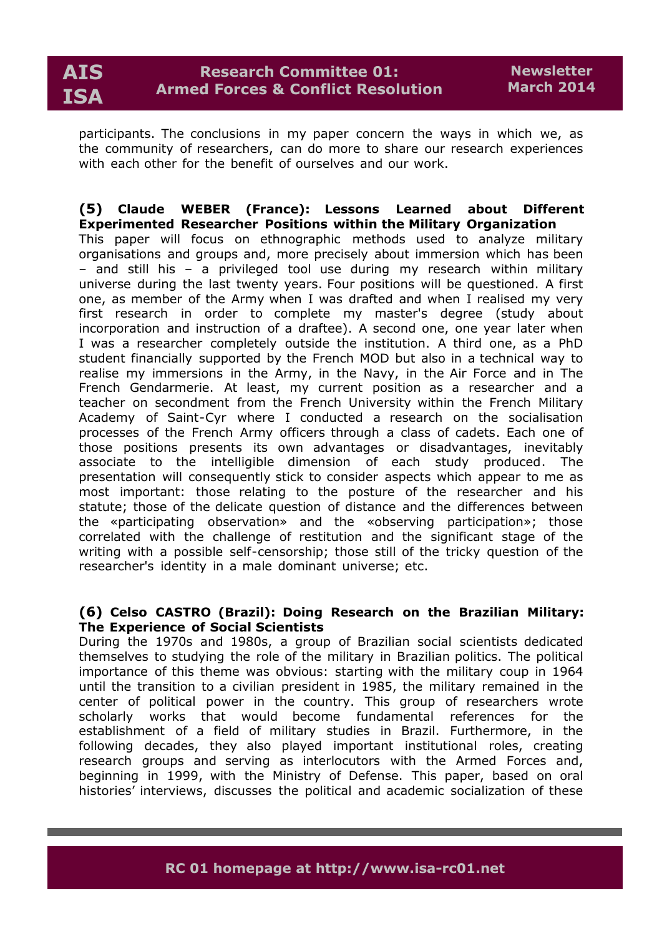

participants. The conclusions in my paper concern the ways in which we, as the community of researchers, can do more to share our research experiences with each other for the benefit of ourselves and our work.

### **(5) Claude WEBER (France): Lessons Learned about Different Experimented Researcher Positions within the Military Organization** This paper will focus on ethnographic methods used to analyze military organisations and groups and, more precisely about immersion which has been – and still his – a privileged tool use during my research within military universe during the last twenty years. Four positions will be questioned. A first one, as member of the Army when I was drafted and when I realised my very first research in order to complete my master's degree (study about incorporation and instruction of a draftee). A second one, one year later when I was a researcher completely outside the institution. A third one, as a PhD student financially supported by the French MOD but also in a technical way to realise my immersions in the Army, in the Navy, in the Air Force and in The French Gendarmerie. At least, my current position as a researcher and a teacher on secondment from the French University within the French Military Academy of Saint-Cyr where I conducted a research on the socialisation processes of the French Army officers through a class of cadets. Each one of those positions presents its own advantages or disadvantages, inevitably associate to the intelligible dimension of each study produced. The presentation will consequently stick to consider aspects which appear to me as most important: those relating to the posture of the researcher and his statute; those of the delicate question of distance and the differences between the «participating observation» and the «observing participation»; those correlated with the challenge of restitution and the significant stage of the writing with a possible self-censorship; those still of the tricky question of the researcher's identity in a male dominant universe; etc.

### **(6) Celso CASTRO (Brazil): Doing Research on the Brazilian Military: The Experience of Social Scientists**

During the 1970s and 1980s, a group of Brazilian social scientists dedicated themselves to studying the role of the military in Brazilian politics. The political importance of this theme was obvious: starting with the military coup in 1964 until the transition to a civilian president in 1985, the military remained in the center of political power in the country. This group of researchers wrote scholarly works that would become fundamental references for the establishment of a field of military studies in Brazil. Furthermore, in the following decades, they also played important institutional roles, creating research groups and serving as interlocutors with the Armed Forces and, beginning in 1999, with the Ministry of Defense. This paper, based on oral histories' interviews, discusses the political and academic socialization of these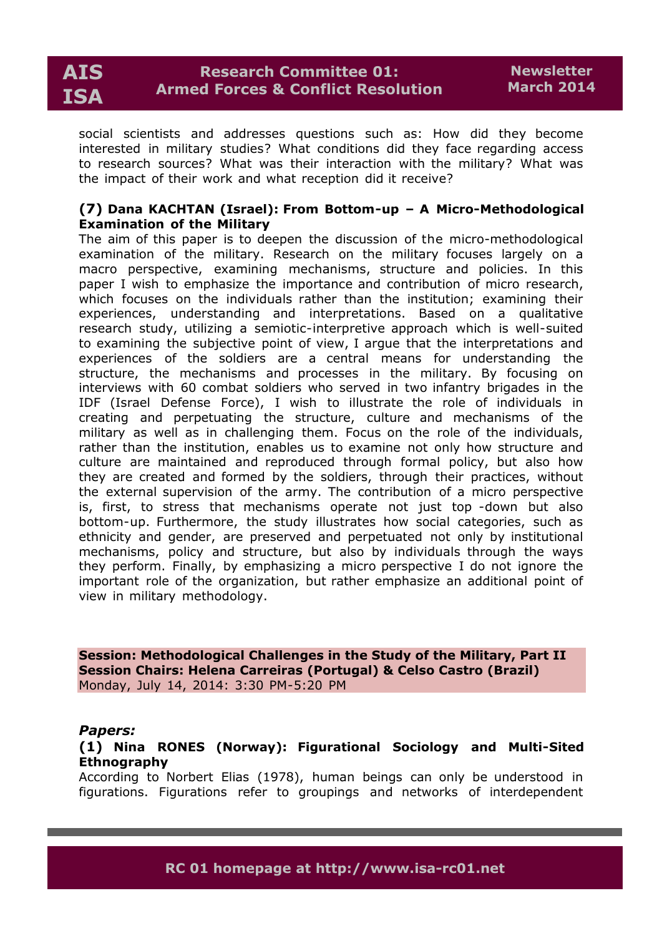

social scientists and addresses questions such as: How did they become interested in military studies? What conditions did they face regarding access to research sources? What was their interaction with the military? What was the impact of their work and what reception did it receive?

# **(7) Dana KACHTAN (Israel): From Bottom-up – A Micro-Methodological Examination of the Military**

The aim of this paper is to deepen the discussion of the micro-methodological examination of the military. Research on the military focuses largely on a macro perspective, examining mechanisms, structure and policies. In this paper I wish to emphasize the importance and contribution of micro research, which focuses on the individuals rather than the institution; examining their experiences, understanding and interpretations. Based on a qualitative research study, utilizing a semiotic-interpretive approach which is well-suited to examining the subjective point of view, I argue that the interpretations and experiences of the soldiers are a central means for understanding the structure, the mechanisms and processes in the military. By focusing on interviews with 60 combat soldiers who served in two infantry brigades in the IDF (Israel Defense Force), I wish to illustrate the role of individuals in creating and perpetuating the structure, culture and mechanisms of the military as well as in challenging them. Focus on the role of the individuals, rather than the institution, enables us to examine not only how structure and culture are maintained and reproduced through formal policy, but also how they are created and formed by the soldiers, through their practices, without the external supervision of the army. The contribution of a micro perspective is, first, to stress that mechanisms operate not just top -down but also bottom-up. Furthermore, the study illustrates how social categories, such as ethnicity and gender, are preserved and perpetuated not only by institutional mechanisms, policy and structure, but also by individuals through the ways they perform. Finally, by emphasizing a micro perspective I do not ignore the important role of the organization, but rather emphasize an additional point of view in military methodology.

**Session: Methodological Challenges in the Study of the Military, Part II Session Chairs: Helena Carreiras (Portugal) & Celso Castro (Brazil)** Monday, July 14, 2014: 3:30 PM-5:20 PM

### *Papers:*

**(1) Nina RONES (Norway): Figurational Sociology and Multi-Sited Ethnography**

According to Norbert Elias (1978), human beings can only be understood in figurations. Figurations refer to groupings and networks of interdependent

**RC 01 homepage at http://www.isa-rc01.net**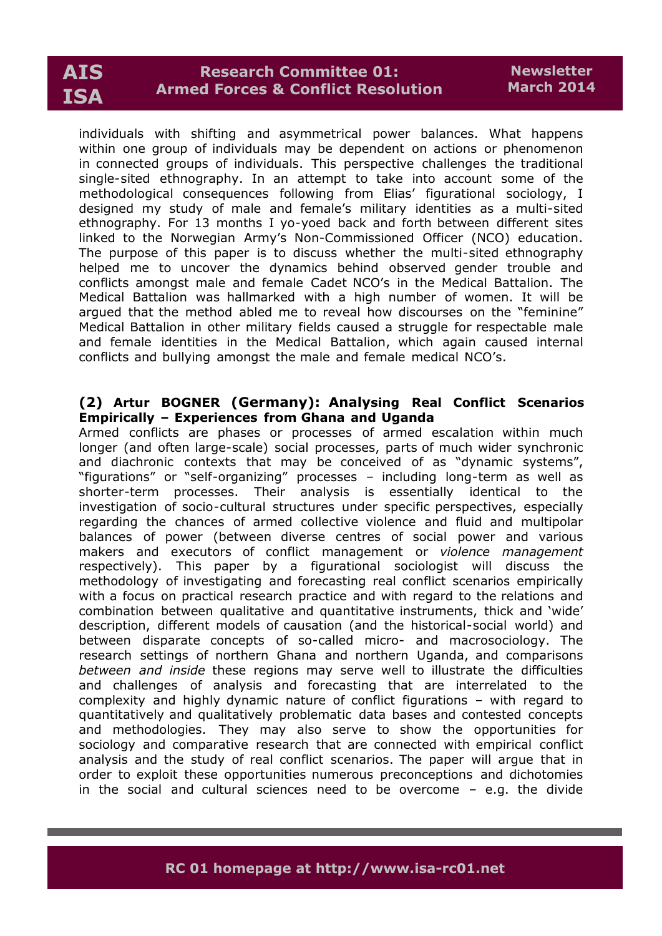# **AIS ISA**

# **Research Committee 01: Armed Forces & Conflict Resolution**

individuals with shifting and asymmetrical power balances. What happens within one group of individuals may be dependent on actions or phenomenon in connected groups of individuals. This perspective challenges the traditional single-sited ethnography. In an attempt to take into account some of the methodological consequences following from Elias' figurational sociology, I designed my study of male and female's military identities as a multi-sited ethnography. For 13 months I yo-yoed back and forth between different sites linked to the Norwegian Army's Non-Commissioned Officer (NCO) education. The purpose of this paper is to discuss whether the multi-sited ethnography helped me to uncover the dynamics behind observed gender trouble and conflicts amongst male and female Cadet NCO's in the Medical Battalion. The Medical Battalion was hallmarked with a high number of women. It will be argued that the method abled me to reveal how discourses on the "feminine" Medical Battalion in other military fields caused a struggle for respectable male and female identities in the Medical Battalion, which again caused internal conflicts and bullying amongst the male and female medical NCO's.

# **(2) Artur BOGNER (Germany): Analysing Real Conflict Scenarios Empirically – Experiences from Ghana and Uganda**

Armed conflicts are phases or processes of armed escalation within much longer (and often large-scale) social processes, parts of much wider synchronic and diachronic contexts that may be conceived of as "dynamic systems", "figurations" or "self-organizing" processes – including long-term as well as shorter-term processes. Their analysis is essentially identical to the investigation of socio-cultural structures under specific perspectives, especially regarding the chances of armed collective violence and fluid and multipolar balances of power (between diverse centres of social power and various makers and executors of conflict management or *violence management* respectively). This paper by a figurational sociologist will discuss the methodology of investigating and forecasting real conflict scenarios empirically with a focus on practical research practice and with regard to the relations and combination between qualitative and quantitative instruments, thick and 'wide' description, different models of causation (and the historical-social world) and between disparate concepts of so-called micro- and macrosociology. The research settings of northern Ghana and northern Uganda, and comparisons *between and inside* these regions may serve well to illustrate the difficulties and challenges of analysis and forecasting that are interrelated to the complexity and highly dynamic nature of conflict figurations – with regard to quantitatively and qualitatively problematic data bases and contested concepts and methodologies. They may also serve to show the opportunities for sociology and comparative research that are connected with empirical conflict analysis and the study of real conflict scenarios. The paper will argue that in order to exploit these opportunities numerous preconceptions and dichotomies in the social and cultural sciences need to be overcome – e.g. the divide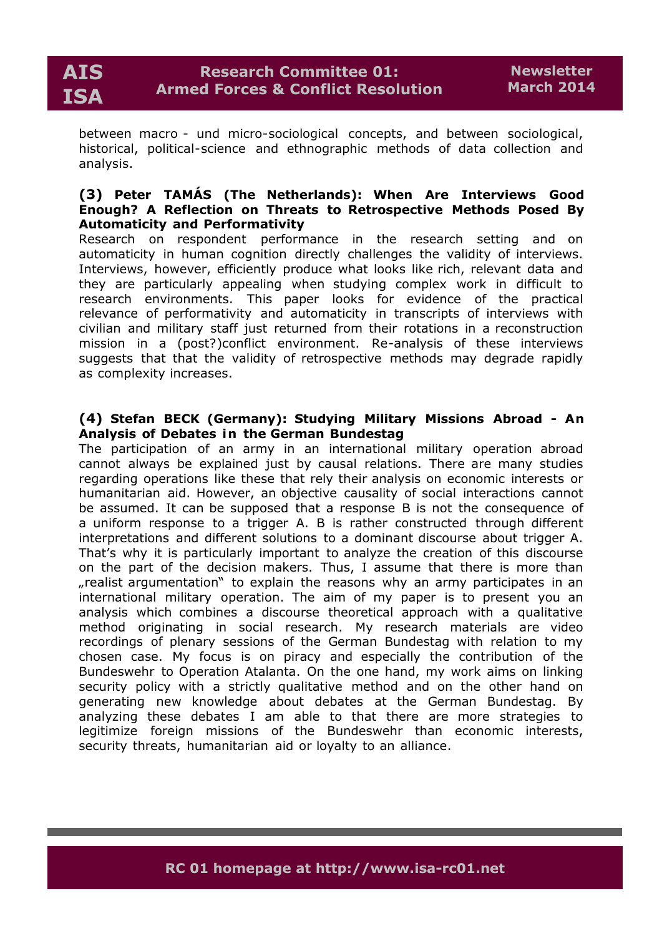between macro - und micro-sociological concepts, and between sociological, historical, political-science and ethnographic methods of data collection and analysis.

# **(3) Peter TAMÁS (The Netherlands): When Are Interviews Good Enough? A Reflection on Threats to Retrospective Methods Posed By Automaticity and Performativity**

Research on respondent performance in the research setting and on automaticity in human cognition directly challenges the validity of interviews. Interviews, however, efficiently produce what looks like rich, relevant data and they are particularly appealing when studying complex work in difficult to research environments. This paper looks for evidence of the practical relevance of performativity and automaticity in transcripts of interviews with civilian and military staff just returned from their rotations in a reconstruction mission in a (post?)conflict environment. Re-analysis of these interviews suggests that that the validity of retrospective methods may degrade rapidly as complexity increases.

# **(4) Stefan BECK (Germany): Studying Military Missions Abroad - An Analysis of Debates i n the German Bundestag**

The participation of an army in an international military operation abroad cannot always be explained just by causal relations. There are many studies regarding operations like these that rely their analysis on economic interests or humanitarian aid. However, an objective causality of social interactions cannot be assumed. It can be supposed that a response B is not the consequence of a uniform response to a trigger A. B is rather constructed through different interpretations and different solutions to a dominant discourse about trigger A. That's why it is particularly important to analyze the creation of this discourse on the part of the decision makers. Thus, I assume that there is more than ", realist argumentation" to explain the reasons why an army participates in an international military operation. The aim of my paper is to present you an analysis which combines a discourse theoretical approach with a qualitative method originating in social research. My research materials are video recordings of plenary sessions of the German Bundestag with relation to my chosen case. My focus is on piracy and especially the contribution of the Bundeswehr to Operation Atalanta. On the one hand, my work aims on linking security policy with a strictly qualitative method and on the other hand on generating new knowledge about debates at the German Bundestag. By analyzing these debates I am able to that there are more strategies to legitimize foreign missions of the Bundeswehr than economic interests, security threats, humanitarian aid or loyalty to an alliance.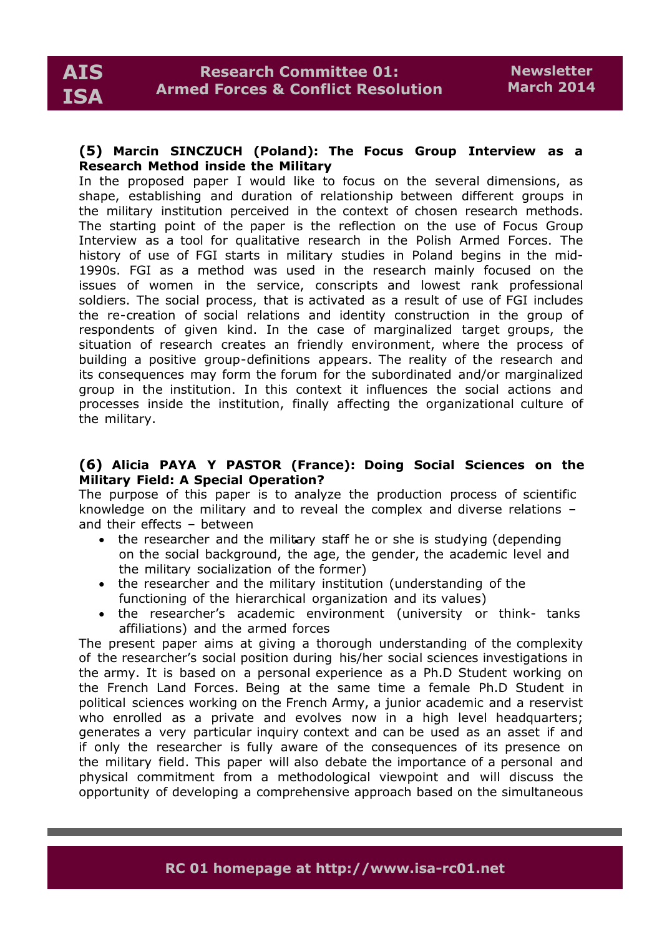### **(5) Marcin SINCZUCH (Poland): The Focus Group Interview as a Research Method inside the Military**

In the proposed paper I would like to focus on the several dimensions, as shape, establishing and duration of relationship between different groups in the military institution perceived in the context of chosen research methods. The starting point of the paper is the reflection on the use of Focus Group Interview as a tool for qualitative research in the Polish Armed Forces. The history of use of FGI starts in military studies in Poland begins in the mid-1990s. FGI as a method was used in the research mainly focused on the issues of women in the service, conscripts and lowest rank professional soldiers. The social process, that is activated as a result of use of FGI includes the re-creation of social relations and identity construction in the group of respondents of given kind. In the case of marginalized target groups, the situation of research creates an friendly environment, where the process of building a positive group-definitions appears. The reality of the research and its consequences may form the forum for the subordinated and/or marginalized group in the institution. In this context it influences the social actions and processes inside the institution, finally affecting the organizational culture of the military.

# **(6) Alicia PAYA Y PASTOR (France): Doing Social Sciences on the Military Field: A Special Operation?**

The purpose of this paper is to analyze the production process of scientific knowledge on the military and to reveal the complex and diverse relations – and their effects – between

- the researcher and the military staff he or she is studying (depending on the social background, the age, the gender, the academic level and the military socialization of the former)
- the researcher and the military institution (understanding of the functioning of the hierarchical organization and its values)
- the researcher's academic environment (university or think- tanks affiliations) and the armed forces

The present paper aims at giving a thorough understanding of the complexity of the researcher's social position during his/her social sciences investigations in the army. It is based on a personal experience as a Ph.D Student working on the French Land Forces. Being at the same time a female Ph.D Student in political sciences working on the French Army, a junior academic and a reservist who enrolled as a private and evolves now in a high level headquarters; generates a very particular inquiry context and can be used as an asset if and if only the researcher is fully aware of the consequences of its presence on the military field. This paper will also debate the importance of a personal and physical commitment from a methodological viewpoint and will discuss the opportunity of developing a comprehensive approach based on the simultaneous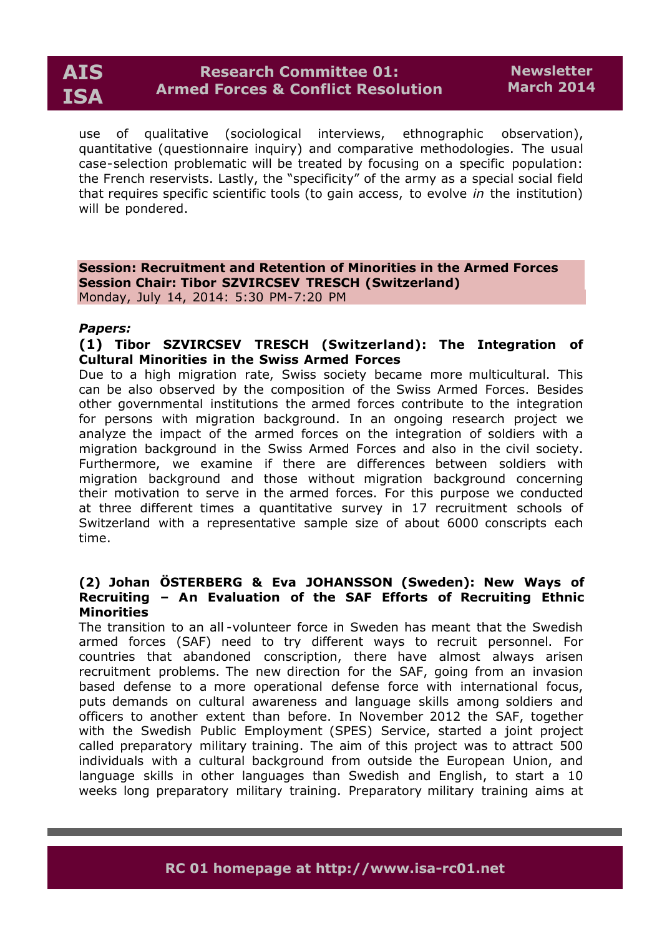

use of qualitative (sociological interviews, ethnographic observation), quantitative (questionnaire inquiry) and comparative methodologies. The usual case-selection problematic will be treated by focusing on a specific population: the French reservists. Lastly, the "specificity" of the army as a special social field that requires specific scientific tools (to gain access, to evolve *in* the institution) will be pondered.

**Session: Recruitment and Retention of Minorities in the Armed Forces Session Chair: Tibor SZVIRCSEV TRESCH (Switzerland)** Monday, July 14, 2014: 5:30 PM-7:20 PM

#### *Papers:*

# **(1) Tibor SZVIRCSEV TRESCH (Switzerland): The Integration of Cultural Minorities in the Swiss Armed Forces**

Due to a high migration rate, Swiss society became more multicultural. This can be also observed by the composition of the Swiss Armed Forces. Besides other governmental institutions the armed forces contribute to the integration for persons with migration background. In an ongoing research project we analyze the impact of the armed forces on the integration of soldiers with a migration background in the Swiss Armed Forces and also in the civil society. Furthermore, we examine if there are differences between soldiers with migration background and those without migration background concerning their motivation to serve in the armed forces. For this purpose we conducted at three different times a quantitative survey in 17 recruitment schools of Switzerland with a representative sample size of about 6000 conscripts each time.

### **(2) Johan ÖSTERBERG & Eva JOHANSSON (Sweden): New Ways of Recruiting – An Evaluation of the SAF Efforts of Recruiting Ethnic Minorities**

The transition to an all -volunteer force in Sweden has meant that the Swedish armed forces (SAF) need to try different ways to recruit personnel. For countries that abandoned conscription, there have almost always arisen recruitment problems. The new direction for the SAF, going from an invasion based defense to a more operational defense force with international focus, puts demands on cultural awareness and language skills among soldiers and officers to another extent than before. In November 2012 the SAF, together with the Swedish Public Employment (SPES) Service, started a joint project called preparatory military training. The aim of this project was to attract 500 individuals with a cultural background from outside the European Union, and language skills in other languages than Swedish and English, to start a 10 weeks long preparatory military training. Preparatory military training aims at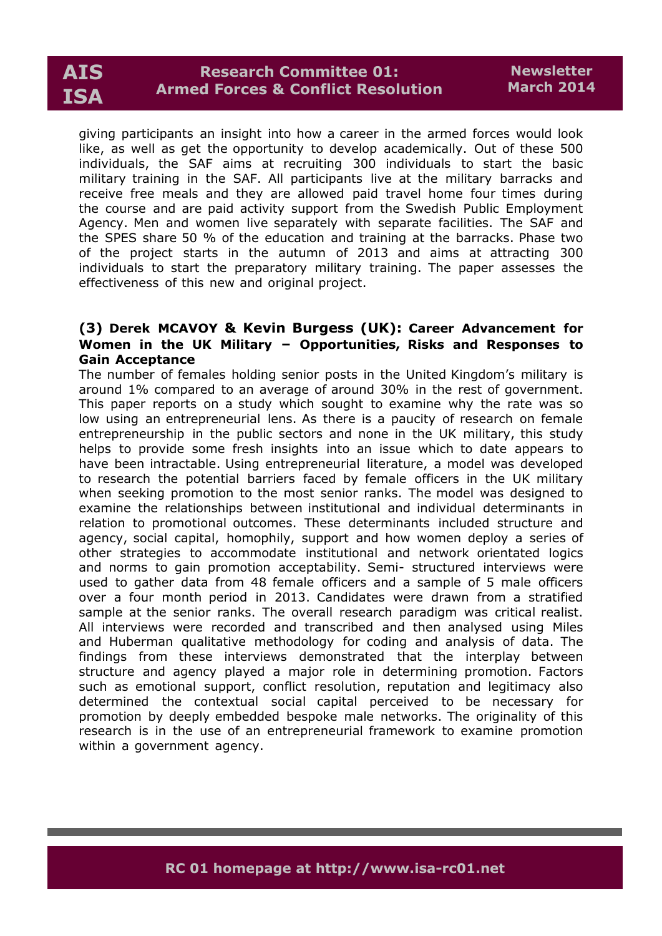

giving participants an insight into how a career in the armed forces would look like, as well as get the opportunity to develop academically. Out of these 500 individuals, the SAF aims at recruiting 300 individuals to start the basic military training in the SAF. All participants live at the military barracks and receive free meals and they are allowed paid travel home four times during the course and are paid activity support from the Swedish Public Employment Agency. Men and women live separately with separate facilities. The SAF and the SPES share 50 % of the education and training at the barracks. Phase two of the project starts in the autumn of 2013 and aims at attracting 300 individuals to start the preparatory military training. The paper assesses the effectiveness of this new and original project.

# **(3) Derek MCAVOY & Kevin Burgess (UK): Career Advancement for Women in the UK Military – Opportunities, Risks and Responses to Gain Acceptance**

The number of females holding senior posts in the United Kingdom's military is around 1% compared to an average of around 30% in the rest of government. This paper reports on a study which sought to examine why the rate was so low using an entrepreneurial lens. As there is a paucity of research on female entrepreneurship in the public sectors and none in the UK military, this study helps to provide some fresh insights into an issue which to date appears to have been intractable. Using entrepreneurial literature, a model was developed to research the potential barriers faced by female officers in the UK military when seeking promotion to the most senior ranks. The model was designed to examine the relationships between institutional and individual determinants in relation to promotional outcomes. These determinants included structure and agency, social capital, homophily, support and how women deploy a series of other strategies to accommodate institutional and network orientated logics and norms to gain promotion acceptability. Semi- structured interviews were used to gather data from 48 female officers and a sample of 5 male officers over a four month period in 2013. Candidates were drawn from a stratified sample at the senior ranks. The overall research paradigm was critical realist. All interviews were recorded and transcribed and then analysed using Miles and Huberman qualitative methodology for coding and analysis of data. The findings from these interviews demonstrated that the interplay between structure and agency played a major role in determining promotion. Factors such as emotional support, conflict resolution, reputation and legitimacy also determined the contextual social capital perceived to be necessary for promotion by deeply embedded bespoke male networks. The originality of this research is in the use of an entrepreneurial framework to examine promotion within a government agency.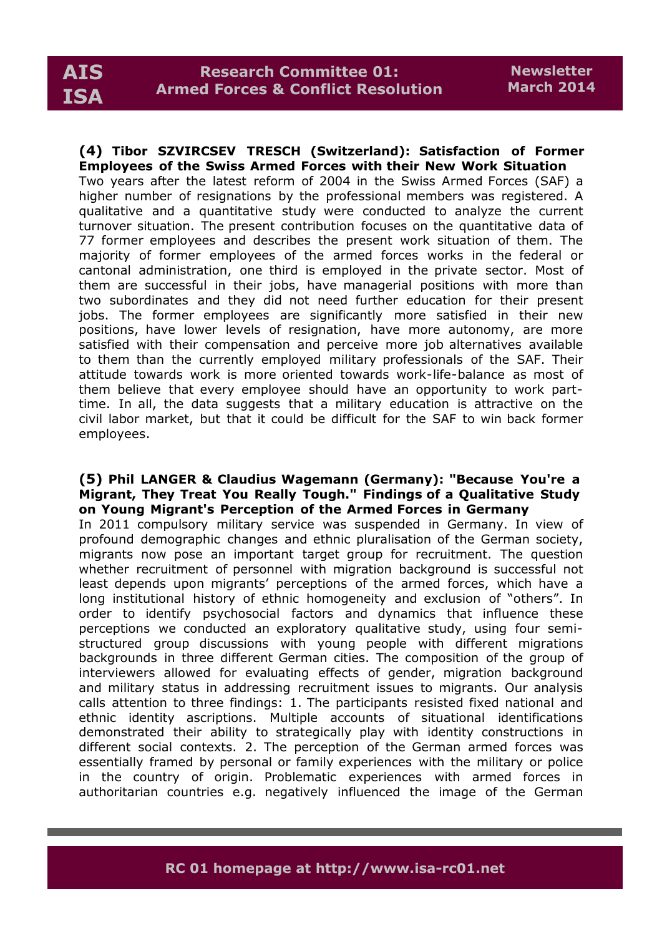**(4) Tibor SZVIRCSEV TRESCH (Switzerland): Satisfaction of Former Employees of the Swiss Armed Forces with their New Work Situation** Two years after the latest reform of 2004 in the Swiss Armed Forces (SAF) a higher number of resignations by the professional members was registered. A qualitative and a quantitative study were conducted to analyze the current turnover situation. The present contribution focuses on the quantitative data of 77 former employees and describes the present work situation of them. The majority of former employees of the armed forces works in the federal or cantonal administration, one third is employed in the private sector. Most of them are successful in their jobs, have managerial positions with more than two subordinates and they did not need further education for their present jobs. The former employees are significantly more satisfied in their new positions, have lower levels of resignation, have more autonomy, are more satisfied with their compensation and perceive more job alternatives available to them than the currently employed military professionals of the SAF. Their attitude towards work is more oriented towards work-life-balance as most of them believe that every employee should have an opportunity to work parttime. In all, the data suggests that a military education is attractive on the civil labor market, but that it could be difficult for the SAF to win back former employees.

## **(5) Phil LANGER & Claudius Wagemann (Germany): "Because You're a Migrant, They Treat You Really Tough." Findings of a Qualitative Study on Young Migrant's Perception of the Armed Forces in Germany**

In 2011 compulsory military service was suspended in Germany. In view of profound demographic changes and ethnic pluralisation of the German society, migrants now pose an important target group for recruitment. The question whether recruitment of personnel with migration background is successful not least depends upon migrants' perceptions of the armed forces, which have a long institutional history of ethnic homogeneity and exclusion of "others". In order to identify psychosocial factors and dynamics that influence these perceptions we conducted an exploratory qualitative study, using four semistructured group discussions with young people with different migrations backgrounds in three different German cities. The composition of the group of interviewers allowed for evaluating effects of gender, migration background and military status in addressing recruitment issues to migrants. Our analysis calls attention to three findings: 1. The participants resisted fixed national and ethnic identity ascriptions. Multiple accounts of situational identifications demonstrated their ability to strategically play with identity constructions in different social contexts. 2. The perception of the German armed forces was essentially framed by personal or family experiences with the military or police in the country of origin. Problematic experiences with armed forces in authoritarian countries e.g. negatively influenced the image of the German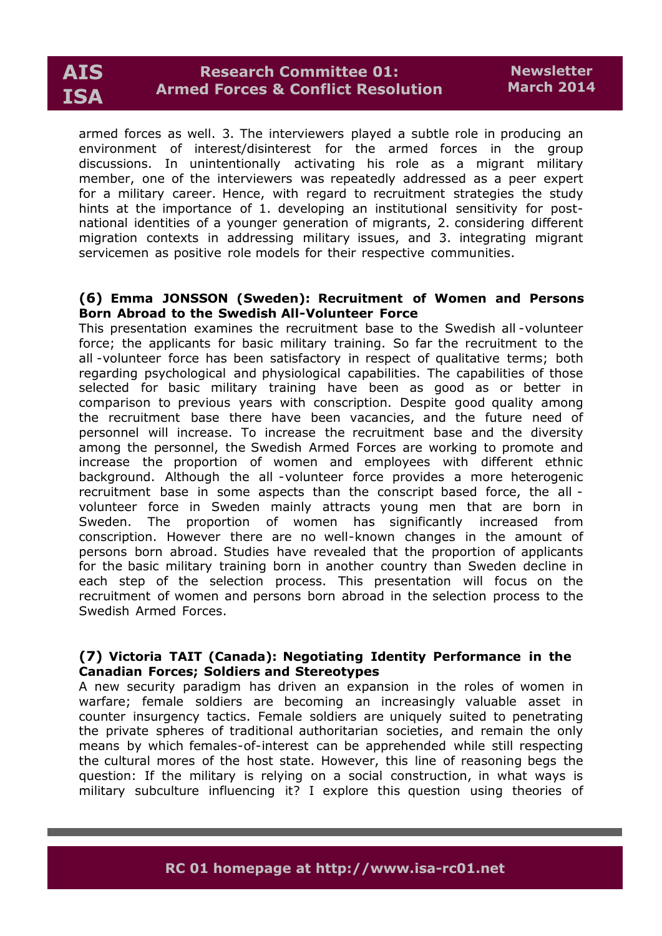

armed forces as well. 3. The interviewers played a subtle role in producing an environment of interest/disinterest for the armed forces in the group discussions. In unintentionally activating his role as a migrant military member, one of the interviewers was repeatedly addressed as a peer expert for a military career. Hence, with regard to recruitment strategies the study hints at the importance of 1. developing an institutional sensitivity for postnational identities of a younger generation of migrants, 2. considering different migration contexts in addressing military issues, and 3. integrating migrant servicemen as positive role models for their respective communities.

### **(6) Emma JONSSON (Sweden): Recruitment of Women and Persons Born Abroad to the Swedish All-Volunteer Force**

This presentation examines the recruitment base to the Swedish all -volunteer force; the applicants for basic military training. So far the recruitment to the all -volunteer force has been satisfactory in respect of qualitative terms; both regarding psychological and physiological capabilities. The capabilities of those selected for basic military training have been as good as or better in comparison to previous years with conscription. Despite good quality among the recruitment base there have been vacancies, and the future need of personnel will increase. To increase the recruitment base and the diversity among the personnel, the Swedish Armed Forces are working to promote and increase the proportion of women and employees with different ethnic background. Although the all -volunteer force provides a more heterogenic recruitment base in some aspects than the conscript based force, the all volunteer force in Sweden mainly attracts young men that are born in Sweden. The proportion of women has significantly increased from conscription. However there are no well-known changes in the amount of persons born abroad. Studies have revealed that the proportion of applicants for the basic military training born in another country than Sweden decline in each step of the selection process. This presentation will focus on the recruitment of women and persons born abroad in the selection process to the Swedish Armed Forces.

# **(7) Victoria TAIT (Canada): Negotiating Identity Performance in the Canadian Forces; Soldiers and Stereotypes**

A new security paradigm has driven an expansion in the roles of women in warfare; female soldiers are becoming an increasingly valuable asset in counter insurgency tactics. Female soldiers are uniquely suited to penetrating the private spheres of traditional authoritarian societies, and remain the only means by which females-of-interest can be apprehended while still respecting the cultural mores of the host state. However, this line of reasoning begs the question: If the military is relying on a social construction, in what ways is military subculture influencing it? I explore this question using theories of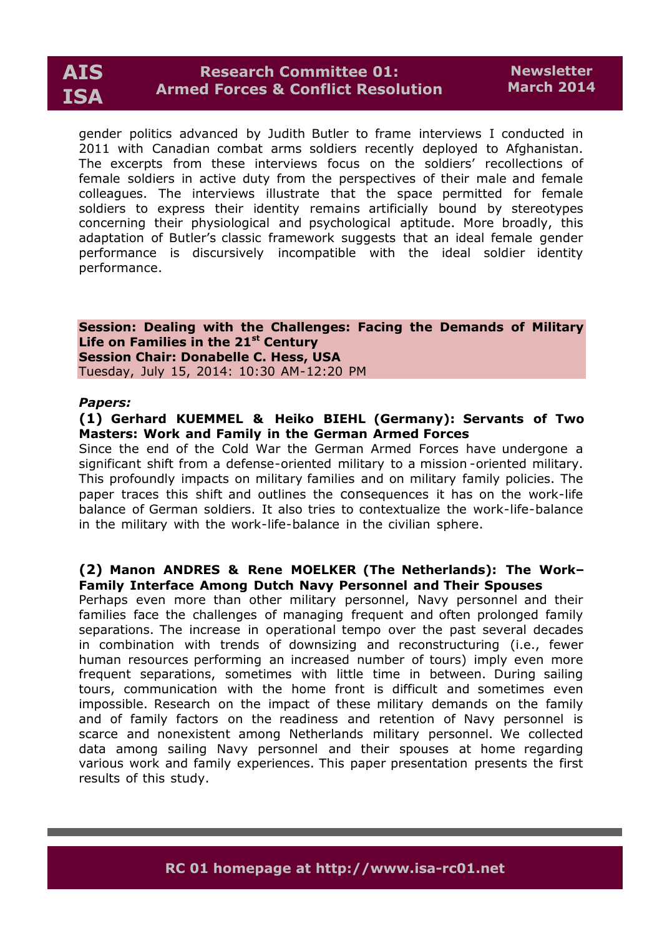gender politics advanced by Judith Butler to frame interviews I conducted in 2011 with Canadian combat arms soldiers recently deployed to Afghanistan. The excerpts from these interviews focus on the soldiers' recollections of female soldiers in active duty from the perspectives of their male and female colleagues. The interviews illustrate that the space permitted for female soldiers to express their identity remains artificially bound by stereotypes concerning their physiological and psychological aptitude. More broadly, this adaptation of Butler's classic framework suggests that an ideal female gender performance is discursively incompatible with the ideal soldier identity performance.

**Session: Dealing with the Challenges: Facing the Demands of Military Life on Families in the 21st Century Session Chair: Donabelle C. Hess, USA** Tuesday, July 15, 2014: 10:30 AM-12:20 PM

#### *Papers:*

### **(1) Gerhard KUEMMEL & Heiko BIEHL (Germany): Servants of Two Masters: Work and Family in the German Armed Forces**

Since the end of the Cold War the German Armed Forces have undergone a significant shift from a defense-oriented military to a mission -oriented military. This profoundly impacts on military families and on military family policies. The paper traces this shift and outlines the consequences it has on the work-life balance of German soldiers. It also tries to contextualize the work-life-balance in the military with the work-life-balance in the civilian sphere.

# **(2) Manon ANDRES & Rene MOELKER (The Netherlands): The Work– Family Interface Among Dutch Navy Personnel and Their Spouses**

Perhaps even more than other military personnel, Navy personnel and their families face the challenges of managing frequent and often prolonged family separations. The increase in operational tempo over the past several decades in combination with trends of downsizing and reconstructuring (i.e., fewer human resources performing an increased number of tours) imply even more frequent separations, sometimes with little time in between. During sailing tours, communication with the home front is difficult and sometimes even impossible. Research on the impact of these military demands on the family and of family factors on the readiness and retention of Navy personnel is scarce and nonexistent among Netherlands military personnel. We collected data among sailing Navy personnel and their spouses at home regarding various work and family experiences. This paper presentation presents the first results of this study.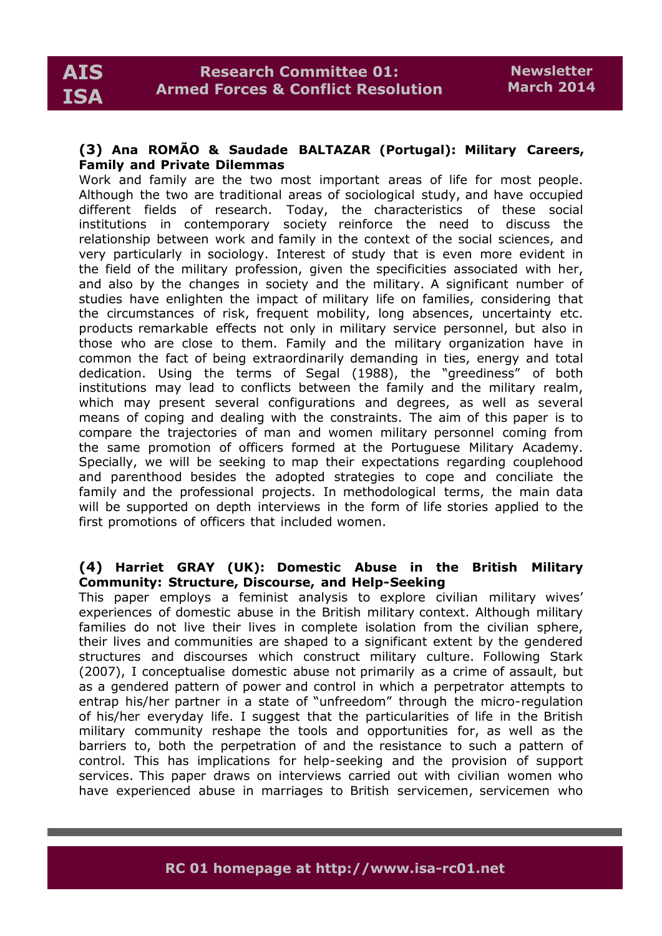## **(3) Ana ROMÃO & Saudade BALTAZAR (Portugal): Military Careers, Family and Private Dilemmas**

Work and family are the two most important areas of life for most people. Although the two are traditional areas of sociological study, and have occupied different fields of research. Today, the characteristics of these social institutions in contemporary society reinforce the need to discuss the relationship between work and family in the context of the social sciences, and very particularly in sociology. Interest of study that is even more evident in the field of the military profession, given the specificities associated with her, and also by the changes in society and the military. A significant number of studies have enlighten the impact of military life on families, considering that the circumstances of risk, frequent mobility, long absences, uncertainty etc. products remarkable effects not only in military service personnel, but also in those who are close to them. Family and the military organization have in common the fact of being extraordinarily demanding in ties, energy and total dedication. Using the terms of Segal (1988), the "greediness" of both institutions may lead to conflicts between the family and the military realm, which may present several configurations and degrees, as well as several means of coping and dealing with the constraints. The aim of this paper is to compare the trajectories of man and women military personnel coming from the same promotion of officers formed at the Portuguese Military Academy. Specially, we will be seeking to map their expectations regarding couplehood and parenthood besides the adopted strategies to cope and conciliate the family and the professional projects. In methodological terms, the main data will be supported on depth interviews in the form of life stories applied to the first promotions of officers that included women.

# **(4) Harriet GRAY (UK): Domestic Abuse in the British Military Community: Structure, Discourse, and Help-Seeking**

This paper employs a feminist analysis to explore civilian military wives' experiences of domestic abuse in the British military context. Although military families do not live their lives in complete isolation from the civilian sphere, their lives and communities are shaped to a significant extent by the gendered structures and discourses which construct military culture. Following Stark (2007), I conceptualise domestic abuse not primarily as a crime of assault, but as a gendered pattern of power and control in which a perpetrator attempts to entrap his/her partner in a state of "unfreedom" through the micro-regulation of his/her everyday life. I suggest that the particularities of life in the British military community reshape the tools and opportunities for, as well as the barriers to, both the perpetration of and the resistance to such a pattern of control. This has implications for help-seeking and the provision of support services. This paper draws on interviews carried out with civilian women who have experienced abuse in marriages to British servicemen, servicemen who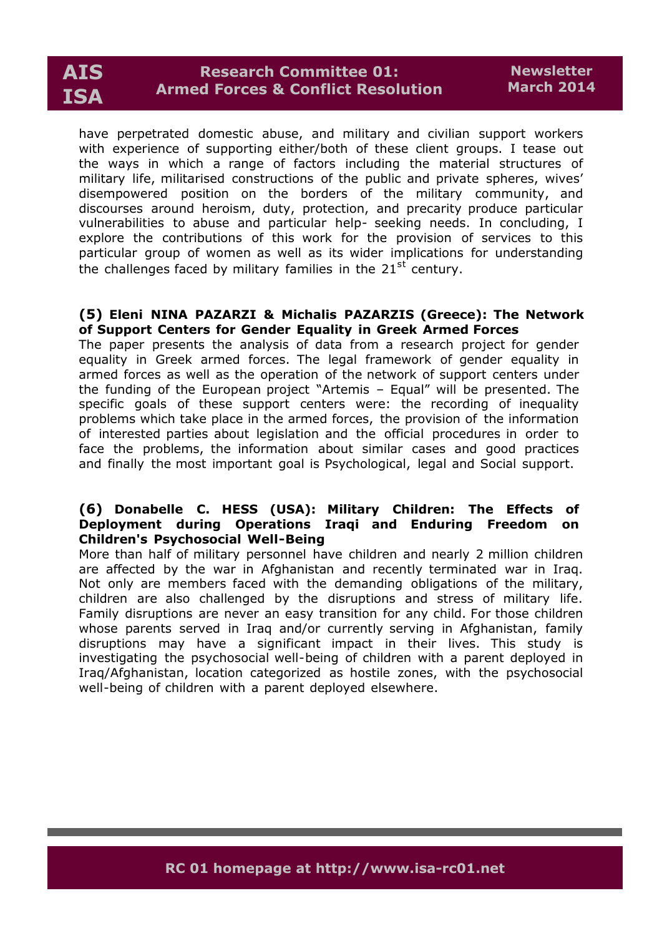

have perpetrated domestic abuse, and military and civilian support workers with experience of supporting either/both of these client groups. I tease out the ways in which a range of factors including the material structures of military life, militarised constructions of the public and private spheres, wives' disempowered position on the borders of the military community, and discourses around heroism, duty, protection, and precarity produce particular vulnerabilities to abuse and particular help- seeking needs. In concluding, I explore the contributions of this work for the provision of services to this particular group of women as well as its wider implications for understanding the challenges faced by military families in the 21<sup>st</sup> century.

#### **(5) Eleni NINA PAZARZI & Michalis PAZARZIS (Greece): The Network of Support Centers for Gender Equality in Greek Armed Forces**

The paper presents the analysis of data from a research project for gender equality in Greek armed forces. The legal framework of gender equality in armed forces as well as the operation of the network of support centers under the funding of the European project "Artemis – Equal" will be presented. The specific goals of these support centers were: the recording of inequality problems which take place in the armed forces, the provision of the information of interested parties about legislation and the official procedures in order to face the problems, the information about similar cases and good practices and finally the most important goal is Psychological, legal and Social support.

### **(6) Donabelle C. HESS (USA): Military Children: The Effects of Deployment during Operations Iraqi and Enduring Freedom on Children's Psychosocial Well-Being**

More than half of military personnel have children and nearly 2 million children are affected by the war in Afghanistan and recently terminated war in Iraq. Not only are members faced with the demanding obligations of the military, children are also challenged by the disruptions and stress of military life. Family disruptions are never an easy transition for any child. For those children whose parents served in Iraq and/or currently serving in Afghanistan, family disruptions may have a significant impact in their lives. This study is investigating the psychosocial well-being of children with a parent deployed in Iraq/Afghanistan, location categorized as hostile zones, with the psychosocial well-being of children with a parent deployed elsewhere.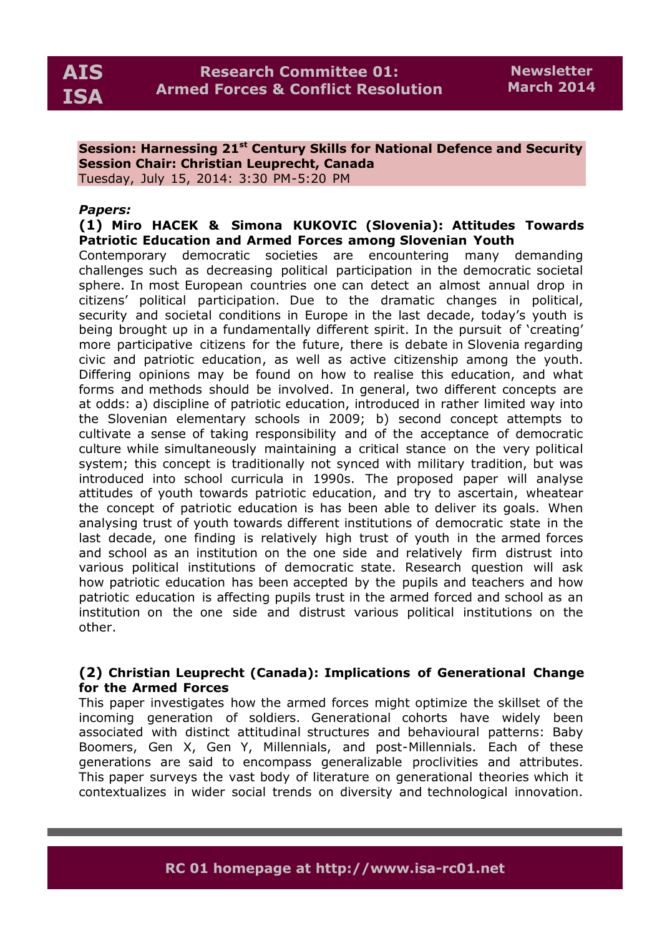### **Session: Harnessing 21st Century Skills for National Defence and Security Session Chair: Christian Leuprecht, Canada** Tuesday, July 15, 2014: 3:30 PM-5:20 PM

### *Papers:*

# **(1) Miro HACEK & Simona KUKOVIC (Slovenia): Attitudes Towards Patriotic Education and Armed Forces among Slovenian Youth**

Contemporary democratic societies are encountering many demanding challenges such as decreasing political participation in the democratic societal sphere. In most European countries one can detect an almost annual drop in citizens' political participation. Due to the dramatic changes in political, security and societal conditions in Europe in the last decade, today's youth is being brought up in a fundamentally different spirit. In the pursuit of 'creating' more participative citizens for the future, there is debate in Slovenia regarding civic and patriotic education, as well as active citizenship among the youth. Differing opinions may be found on how to realise this education, and what forms and methods should be involved. In general, two different concepts are at odds: a) discipline of patriotic education, introduced in rather limited way into the Slovenian elementary schools in 2009; b) second concept attempts to cultivate a sense of taking responsibility and of the acceptance of democratic culture while simultaneously maintaining a critical stance on the very political system; this concept is traditionally not synced with military tradition, but was introduced into school curricula in 1990s. The proposed paper will analyse attitudes of youth towards patriotic education, and try to ascertain, wheatear the concept of patriotic education is has been able to deliver its goals. When analysing trust of youth towards different institutions of democratic state in the last decade, one finding is relatively high trust of youth in the armed forces and school as an institution on the one side and relatively firm distrust into various political institutions of democratic state. Research question will ask how patriotic education has been accepted by the pupils and teachers and how patriotic education is affecting pupils trust in the armed forced and school as an institution on the one side and distrust various political institutions on the other.

# **(2) Christian Leuprecht (Canada): Implications of Generational Change for the Armed Forces**

This paper investigates how the armed forces might optimize the skillset of the incoming generation of soldiers. Generational cohorts have widely been associated with distinct attitudinal structures and behavioural patterns: Baby Boomers, Gen X, Gen Y, Millennials, and post-Millennials. Each of these generations are said to encompass generalizable proclivities and attributes. This paper surveys the vast body of literature on generational theories which it contextualizes in wider social trends on diversity and technological innovation.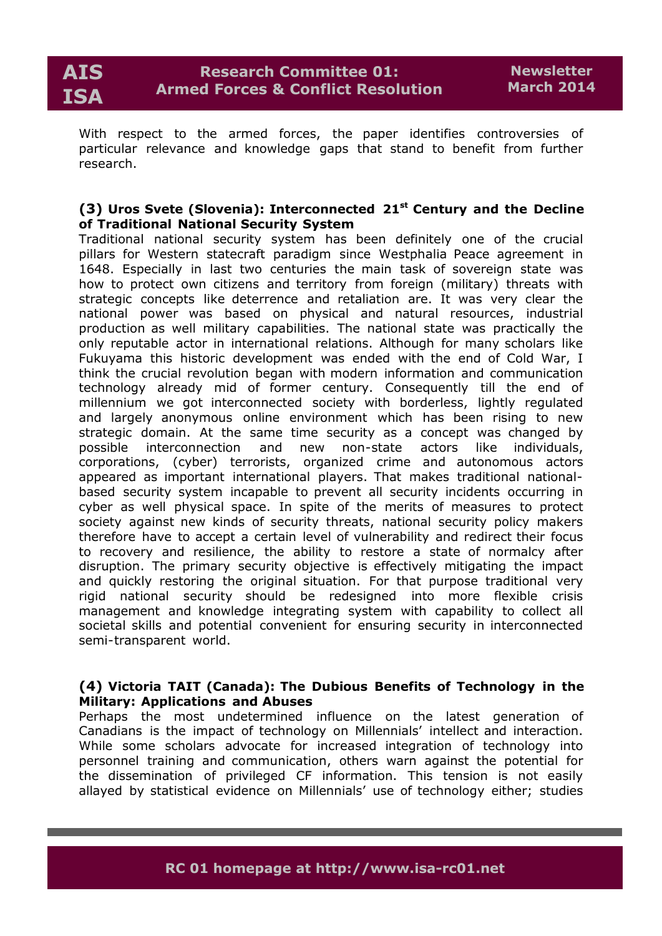With respect to the armed forces, the paper identifies controversies of particular relevance and knowledge gaps that stand to benefit from further research.

# **(3) Uros Svete (Slovenia): Interconnected 21st Century and the Decline of Traditional National Security System**

Traditional national security system has been definitely one of the crucial pillars for Western statecraft paradigm since Westphalia Peace agreement in 1648. Especially in last two centuries the main task of sovereign state was how to protect own citizens and territory from foreign (military) threats with strategic concepts like deterrence and retaliation are. It was very clear the national power was based on physical and natural resources, industrial production as well military capabilities. The national state was practically the only reputable actor in international relations. Although for many scholars like Fukuyama this historic development was ended with the end of Cold War, I think the crucial revolution began with modern information and communication technology already mid of former century. Consequently till the end of millennium we got interconnected society with borderless, lightly regulated and largely anonymous online environment which has been rising to new strategic domain. At the same time security as a concept was changed by possible interconnection and new non-state actors like individuals, corporations, (cyber) terrorists, organized crime and autonomous actors appeared as important international players. That makes traditional nationalbased security system incapable to prevent all security incidents occurring in cyber as well physical space. In spite of the merits of measures to protect society against new kinds of security threats, national security policy makers therefore have to accept a certain level of vulnerability and redirect their focus to recovery and resilience, the ability to restore a state of normalcy after disruption. The primary security objective is effectively mitigating the impact and quickly restoring the original situation. For that purpose traditional very rigid national security should be redesigned into more flexible crisis management and knowledge integrating system with capability to collect all societal skills and potential convenient for ensuring security in interconnected semi-transparent world.

# **(4) Victoria TAIT (Canada): The Dubious Benefits of Technology in the Military: Applications and Abuses**

Perhaps the most undetermined influence on the latest generation of Canadians is the impact of technology on Millennials' intellect and interaction. While some scholars advocate for increased integration of technology into personnel training and communication, others warn against the potential for the dissemination of privileged CF information. This tension is not easily allayed by statistical evidence on Millennials' use of technology either; studies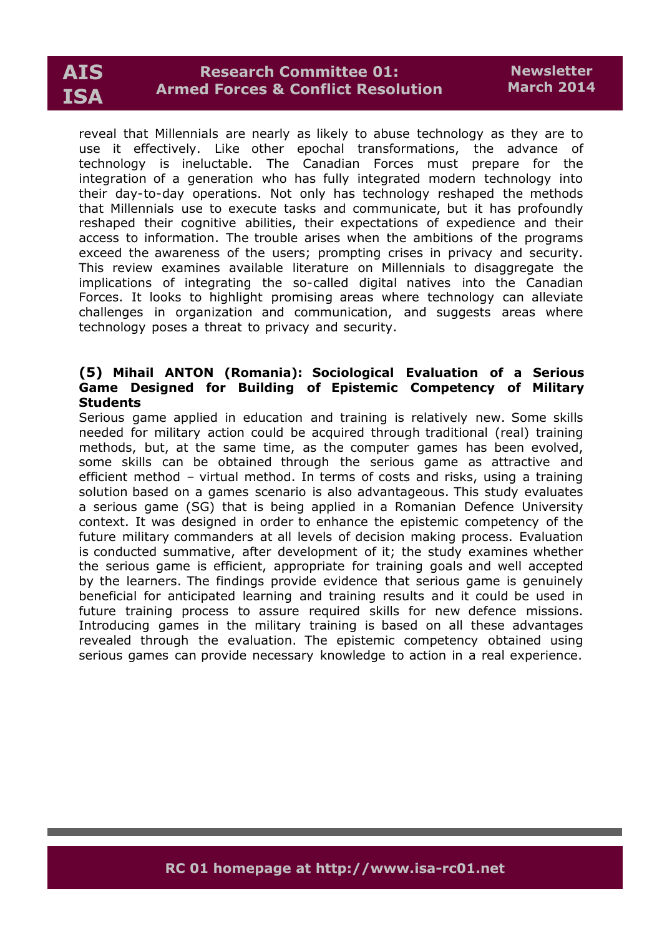# **AIS ISA**

reveal that Millennials are nearly as likely to abuse technology as they are to use it effectively. Like other epochal transformations, the advance of technology is ineluctable. The Canadian Forces must prepare for the integration of a generation who has fully integrated modern technology into their day-to-day operations. Not only has technology reshaped the methods that Millennials use to execute tasks and communicate, but it has profoundly reshaped their cognitive abilities, their expectations of expedience and their access to information. The trouble arises when the ambitions of the programs exceed the awareness of the users; prompting crises in privacy and security. This review examines available literature on Millennials to disaggregate the implications of integrating the so-called digital natives into the Canadian Forces. It looks to highlight promising areas where technology can alleviate challenges in organization and communication, and suggests areas where technology poses a threat to privacy and security.

### **(5) Mihail ANTON (Romania): Sociological Evaluation of a Serious Game Designed for Building of Epistemic Competency of Military Students**

Serious game applied in education and training is relatively new. Some skills needed for military action could be acquired through traditional (real) training methods, but, at the same time, as the computer games has been evolved, some skills can be obtained through the serious game as attractive and efficient method – virtual method. In terms of costs and risks, using a training solution based on a games scenario is also advantageous. This study evaluates a serious game (SG) that is being applied in a Romanian Defence University context. It was designed in order to enhance the epistemic competency of the future military commanders at all levels of decision making process. Evaluation is conducted summative, after development of it; the study examines whether the serious game is efficient, appropriate for training goals and well accepted by the learners. The findings provide evidence that serious game is genuinely beneficial for anticipated learning and training results and it could be used in future training process to assure required skills for new defence missions. Introducing games in the military training is based on all these advantages revealed through the evaluation. The epistemic competency obtained using serious games can provide necessary knowledge to action in a real experience.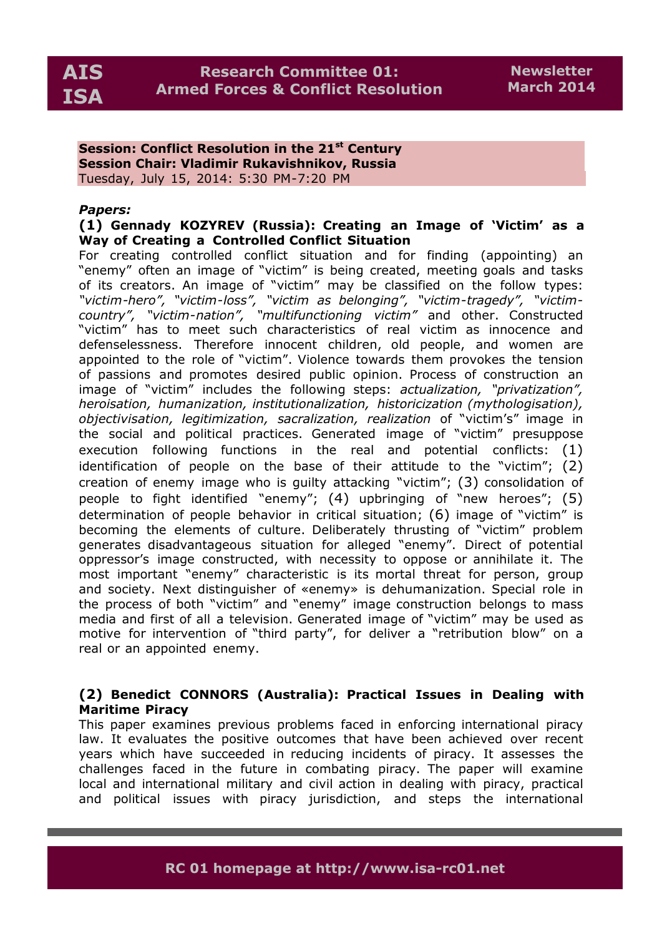**Session: Conflict Resolution in the 21st Century Session Chair: Vladimir Rukavishnikov, Russia** Tuesday, July 15, 2014: 5:30 PM-7:20 PM

### *Papers:*

# **(1) Gennady KOZYREV (Russia): Creating an Image of 'Victim' as a Way of Creating a Controlled Conflict Situation**

For creating controlled conflict situation and for finding (appointing) an "enemy" often an image of "victim" is being created, meeting goals and tasks of its creators. An image of "victim" may be classified on the follow types: *"victim-hero", "victim-loss", "victim as belonging", "victim-tragedy", "victimcountry", "victim-nation", "multifunctioning victim"* and other. Constructed "victim" has to meet such characteristics of real victim as innocence and defenselessness. Therefore innocent children, old people, and women are appointed to the role of "victim". Violence towards them provokes the tension of passions and promotes desired public opinion. Process of construction an image of "victim" includes the following steps: *actualization, "privatization", heroisation, humanization, institutionalization, historicization (mythologisation), objectivisation, legitimization, sacralization, realization* of "victim's" image in the social and political practices. Generated image of "victim" presuppose execution following functions in the real and potential conflicts: (1) identification of people on the base of their attitude to the "victim"; (2) creation of enemy image who is guilty attacking "victim"; (3) consolidation of people to fight identified "enemy"; (4) upbringing of "new heroes"; (5) determination of people behavior in critical situation; (6) image of "victim" is becoming the elements of culture. Deliberately thrusting of "victim" problem generates disadvantageous situation for alleged "enemy". Direct of potential oppressor's image constructed, with necessity to oppose or annihilate it. The most important "enemy" characteristic is its mortal threat for person, group and society. Next distinguisher of «enemy» is dehumanization. Special role in the process of both "victim" and "enemy" image construction belongs to mass media and first of all a television. Generated image of "victim" may be used as motive for intervention of "third party", for deliver a "retribution blow" on a real or an appointed enemy.

# **(2) Benedict CONNORS (Australia): Practical Issues in Dealing with Maritime Piracy**

This paper examines previous problems faced in enforcing international piracy law. It evaluates the positive outcomes that have been achieved over recent years which have succeeded in reducing incidents of piracy. It assesses the challenges faced in the future in combating piracy. The paper will examine local and international military and civil action in dealing with piracy, practical and political issues with piracy jurisdiction, and steps the international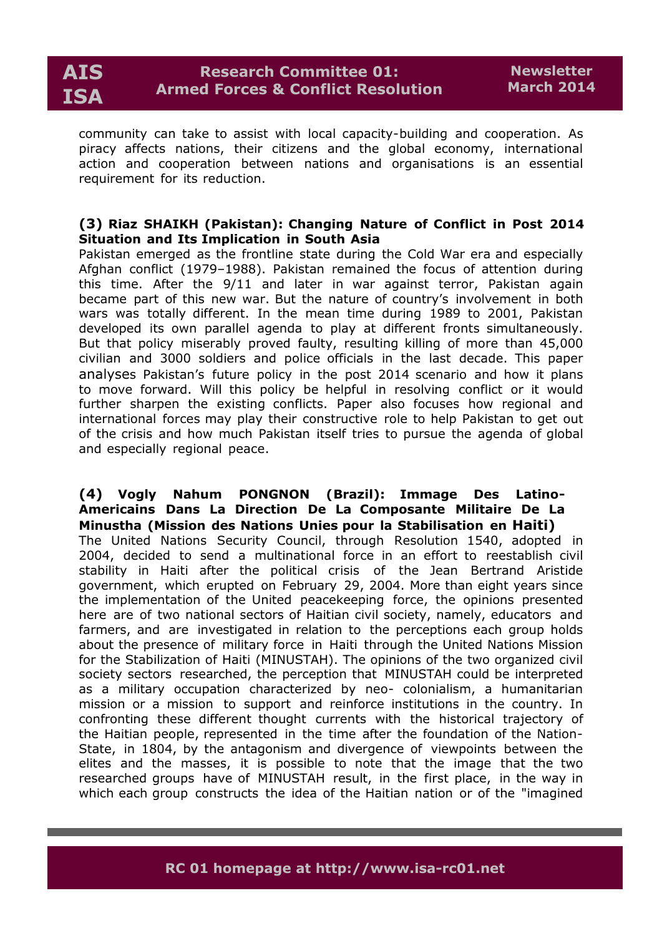community can take to assist with local capacity-building and cooperation. As piracy affects nations, their citizens and the global economy, international action and cooperation between nations and organisations is an essential requirement for its reduction.

# **(3) Riaz SHAIKH (Pakistan): Changing Nature of Conflict in Post 2014 Situation and Its Implication in South Asia**

Pakistan emerged as the frontline state during the Cold War era and especially Afghan conflict (1979–1988). Pakistan remained the focus of attention during this time. After the 9/11 and later in war against terror, Pakistan again became part of this new war. But the nature of country's involvement in both wars was totally different. In the mean time during 1989 to 2001, Pakistan developed its own parallel agenda to play at different fronts simultaneously. But that policy miserably proved faulty, resulting killing of more than 45,000 civilian and 3000 soldiers and police officials in the last decade. This paper analyses Pakistan's future policy in the post 2014 scenario and how it plans to move forward. Will this policy be helpful in resolving conflict or it would further sharpen the existing conflicts. Paper also focuses how regional and international forces may play their constructive role to help Pakistan to get out of the crisis and how much Pakistan itself tries to pursue the agenda of global and especially regional peace.

### **(4) Vogly Nahum PONGNON (Brazil): Immage Des Latino-Americains Dans La Direction De La Composante Militaire De La Minustha (Mission des Nations Unies pour la Stabilisation en Haiti)**

The United Nations Security Council, through Resolution 1540, adopted in 2004, decided to send a multinational force in an effort to reestablish civil stability in Haiti after the political crisis of the Jean Bertrand Aristide government, which erupted on February 29, 2004. More than eight years since the implementation of the United peacekeeping force, the opinions presented here are of two national sectors of Haitian civil society, namely, educators and farmers, and are investigated in relation to the perceptions each group holds about the presence of military force in Haiti through the United Nations Mission for the Stabilization of Haiti (MINUSTAH). The opinions of the two organized civil society sectors researched, the perception that MINUSTAH could be interpreted as a military occupation characterized by neo- colonialism, a humanitarian mission or a mission to support and reinforce institutions in the country. In confronting these different thought currents with the historical trajectory of the Haitian people, represented in the time after the foundation of the Nation-State, in 1804, by the antagonism and divergence of viewpoints between the elites and the masses, it is possible to note that the image that the two researched groups have of MINUSTAH result, in the first place, in the way in which each group constructs the idea of the Haitian nation or of the "imagined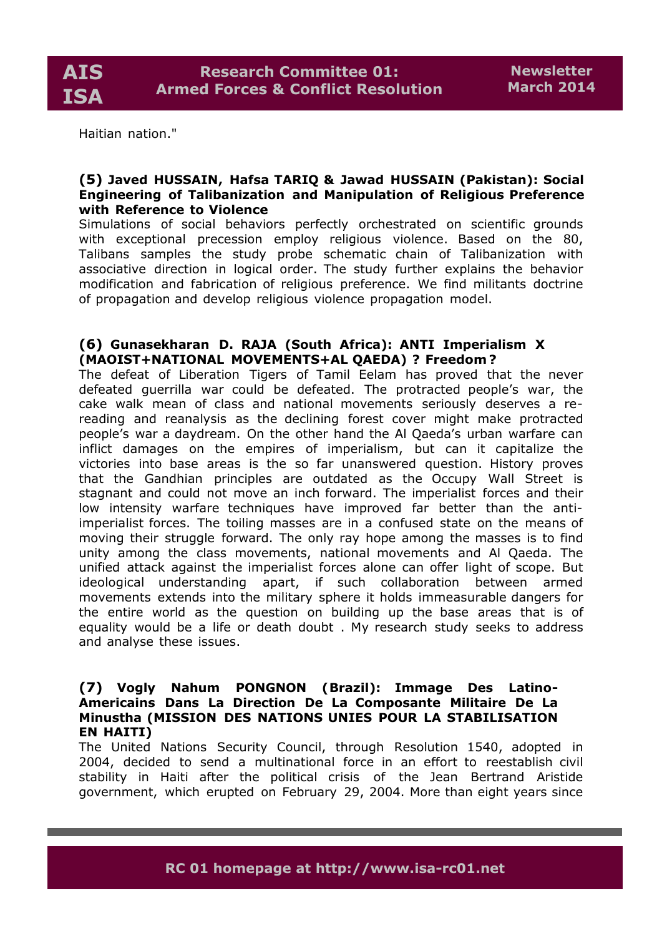Haitian nation."

# **(5) Javed HUSSAIN, Hafsa TARIQ & Jawad HUSSAIN (Pakistan): Social Engineering of Talibanization and Manipulation of Religious Preference with Reference to Violence**

Simulations of social behaviors perfectly orchestrated on scientific grounds with exceptional precession employ religious violence. Based on the 80, Talibans samples the study probe schematic chain of Talibanization with associative direction in logical order. The study further explains the behavior modification and fabrication of religious preference. We find militants doctrine of propagation and develop religious violence propagation model.

# **(6) Gunasekharan D. RAJA (South Africa): ANTI Imperialism X (MAOIST+NATIONAL MOVEMENTS+AL QAEDA) ? Freedom?**

The defeat of Liberation Tigers of Tamil Eelam has proved that the never defeated guerrilla war could be defeated. The protracted people's war, the cake walk mean of class and national movements seriously deserves a rereading and reanalysis as the declining forest cover might make protracted people's war a daydream. On the other hand the Al Qaeda's urban warfare can inflict damages on the empires of imperialism, but can it capitalize the victories into base areas is the so far unanswered question. History proves that the Gandhian principles are outdated as the Occupy Wall Street is stagnant and could not move an inch forward. The imperialist forces and their low intensity warfare techniques have improved far better than the antiimperialist forces. The toiling masses are in a confused state on the means of moving their struggle forward. The only ray hope among the masses is to find unity among the class movements, national movements and Al Qaeda. The unified attack against the imperialist forces alone can offer light of scope. But ideological understanding apart, if such collaboration between armed movements extends into the military sphere it holds immeasurable dangers for the entire world as the question on building up the base areas that is of equality would be a life or death doubt . My research study seeks to address and analyse these issues.

### **(7) Vogly Nahum PONGNON (Brazil): Immage Des Latino-Americains Dans La Direction De La Composante Militaire De La Minustha (MISSION DES NATIONS UNIES POUR LA STABILISATION EN HAITI)**

The United Nations Security Council, through Resolution 1540, adopted in 2004, decided to send a multinational force in an effort to reestablish civil stability in Haiti after the political crisis of the Jean Bertrand Aristide government, which erupted on February 29, 2004. More than eight years since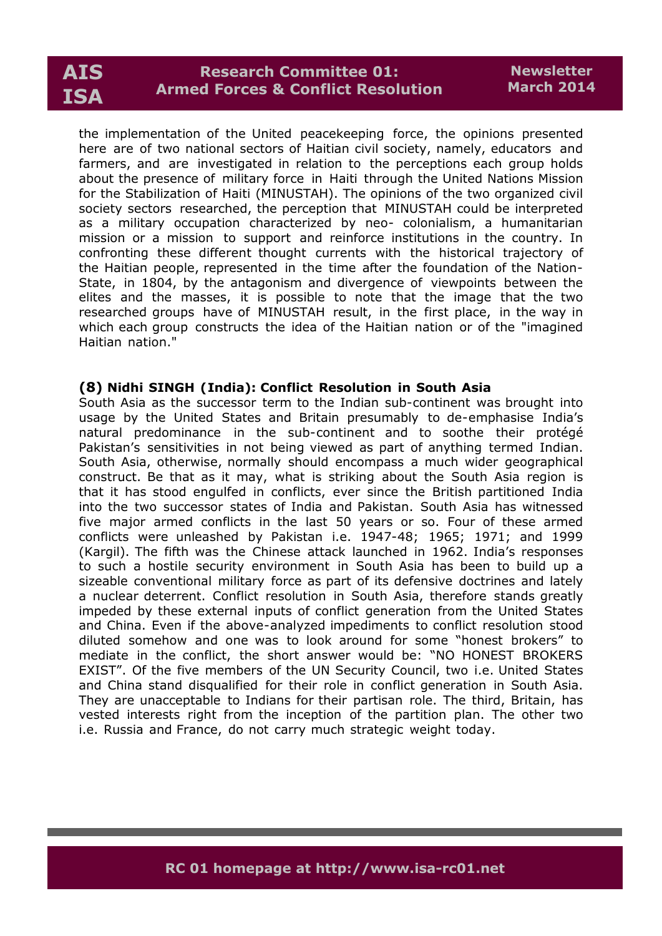the implementation of the United peacekeeping force, the opinions presented here are of two national sectors of Haitian civil society, namely, educators and farmers, and are investigated in relation to the perceptions each group holds about the presence of military force in Haiti through the United Nations Mission for the Stabilization of Haiti (MINUSTAH). The opinions of the two organized civil society sectors researched, the perception that MINUSTAH could be interpreted as a military occupation characterized by neo- colonialism, a humanitarian mission or a mission to support and reinforce institutions in the country. In confronting these different thought currents with the historical trajectory of the Haitian people, represented in the time after the foundation of the Nation-State, in 1804, by the antagonism and divergence of viewpoints between the elites and the masses, it is possible to note that the image that the two researched groups have of MINUSTAH result, in the first place, in the way in which each group constructs the idea of the Haitian nation or of the "imagined Haitian nation."

#### **(8) Nidhi SINGH (India): Conflict Resolution in South Asia**

South Asia as the successor term to the Indian sub-continent was brought into usage by the United States and Britain presumably to de-emphasise India's natural predominance in the sub-continent and to soothe their protégé Pakistan's sensitivities in not being viewed as part of anything termed Indian. South Asia, otherwise, normally should encompass a much wider geographical construct. Be that as it may, what is striking about the South Asia region is that it has stood engulfed in conflicts, ever since the British partitioned India into the two successor states of India and Pakistan. South Asia has witnessed five major armed conflicts in the last 50 years or so. Four of these armed conflicts were unleashed by Pakistan i.e. 1947-48; 1965; 1971; and 1999 (Kargil). The fifth was the Chinese attack launched in 1962. India's responses to such a hostile security environment in South Asia has been to build up a sizeable conventional military force as part of its defensive doctrines and lately a nuclear deterrent. Conflict resolution in South Asia, therefore stands greatly impeded by these external inputs of conflict generation from the United States and China. Even if the above-analyzed impediments to conflict resolution stood diluted somehow and one was to look around for some "honest brokers" to mediate in the conflict, the short answer would be: "NO HONEST BROKERS EXIST". Of the five members of the UN Security Council, two i.e. United States and China stand disqualified for their role in conflict generation in South Asia. They are unacceptable to Indians for their partisan role. The third, Britain, has vested interests right from the inception of the partition plan. The other two i.e. Russia and France, do not carry much strategic weight today.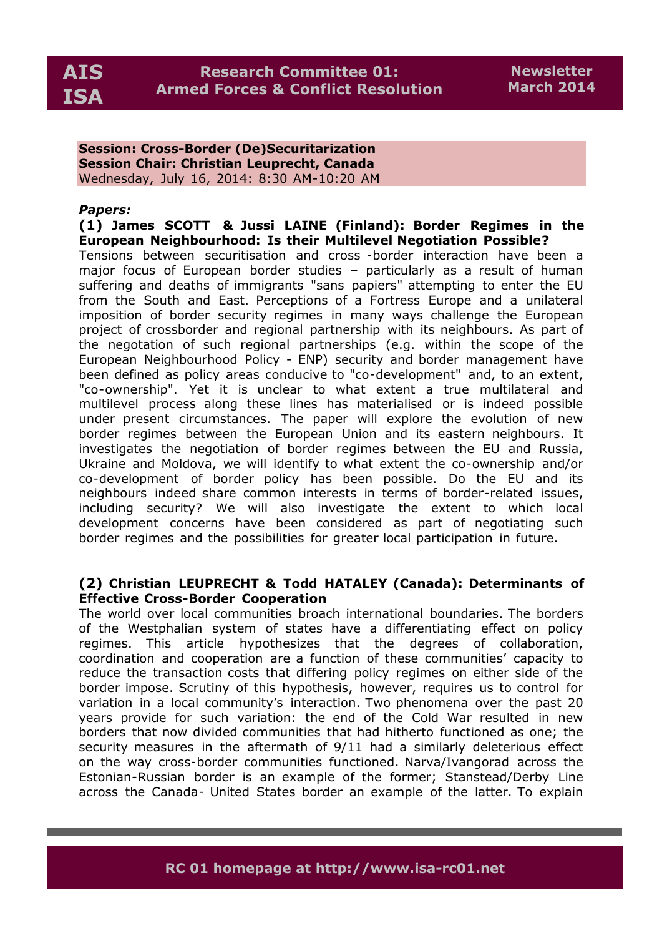**Session: Cross-Border (De)Securitarization Session Chair: Christian Leuprecht, Canada** Wednesday, July 16, 2014: 8:30 AM-10:20 AM

# *Papers:*

**(1) James SCOTT & Jussi LAINE (Finland): Border Regimes in the European Neighbourhood: Is their Multilevel Negotiation Possible?**

Tensions between securitisation and cross -border interaction have been a major focus of European border studies – particularly as a result of human suffering and deaths of immigrants "sans papiers" attempting to enter the EU from the South and East. Perceptions of a Fortress Europe and a unilateral imposition of border security regimes in many ways challenge the European project of crossborder and regional partnership with its neighbours. As part of the negotation of such regional partnerships (e.g. within the scope of the European Neighbourhood Policy - ENP) security and border management have been defined as policy areas conducive to "co-development" and, to an extent, "co-ownership". Yet it is unclear to what extent a true multilateral and multilevel process along these lines has materialised or is indeed possible under present circumstances. The paper will explore the evolution of new border regimes between the European Union and its eastern neighbours. It investigates the negotiation of border regimes between the EU and Russia, Ukraine and Moldova, we will identify to what extent the co-ownership and/or co-development of border policy has been possible. Do the EU and its neighbours indeed share common interests in terms of border-related issues, including security? We will also investigate the extent to which local development concerns have been considered as part of negotiating such border regimes and the possibilities for greater local participation in future.

# **(2) Christian LEUPRECHT & Todd HATALEY (Canada): Determinants of Effective Cross-Border Cooperation**

The world over local communities broach international boundaries. The borders of the Westphalian system of states have a differentiating effect on policy regimes. This article hypothesizes that the degrees of collaboration, coordination and cooperation are a function of these communities' capacity to reduce the transaction costs that differing policy regimes on either side of the border impose. Scrutiny of this hypothesis, however, requires us to control for variation in a local community's interaction. Two phenomena over the past 20 years provide for such variation: the end of the Cold War resulted in new borders that now divided communities that had hitherto functioned as one; the security measures in the aftermath of 9/11 had a similarly deleterious effect on the way cross-border communities functioned. Narva/Ivangorad across the Estonian-Russian border is an example of the former; Stanstead/Derby Line across the Canada- United States border an example of the latter. To explain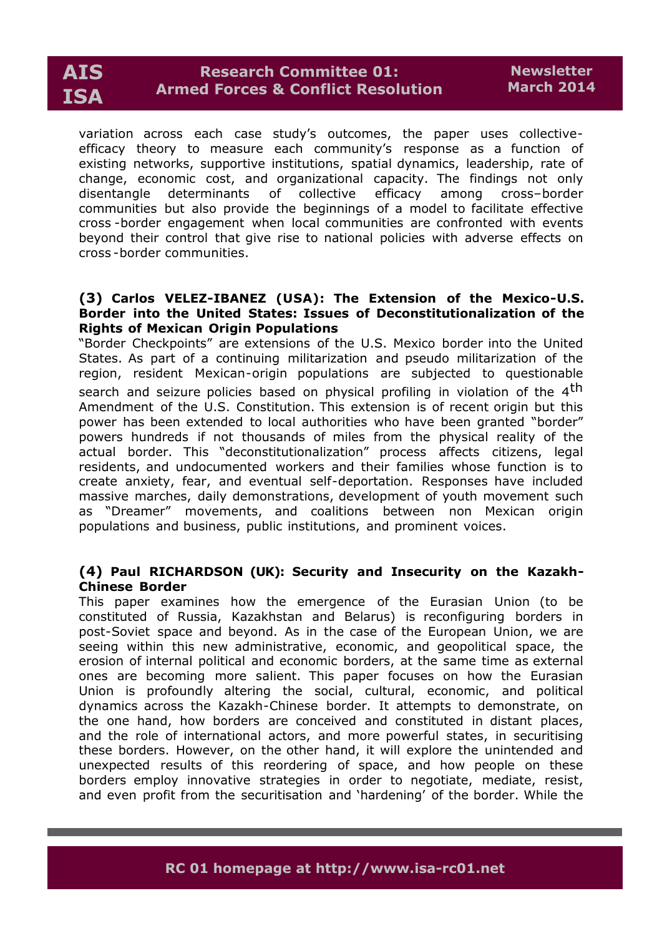

variation across each case study's outcomes, the paper uses collectiveefficacy theory to measure each community's response as a function of existing networks, supportive institutions, spatial dynamics, leadership, rate of change, economic cost, and organizational capacity. The findings not only disentangle determinants of collective efficacy among cross–border communities but also provide the beginnings of a model to facilitate effective cross -border engagement when local communities are confronted with events beyond their control that give rise to national policies with adverse effects on cross -border communities.

#### **(3) Carlos VELEZ-IBANEZ (USA): The Extension of the Mexico-U.S. Border into the United States: Issues of Deconstitutionalization of the Rights of Mexican Origin Populations**

"Border Checkpoints" are extensions of the U.S. Mexico border into the United States. As part of a continuing militarization and pseudo militarization of the region, resident Mexican-origin populations are subjected to questionable search and seizure policies based on physical profiling in violation of the 4<sup>th</sup> Amendment of the U.S. Constitution. This extension is of recent origin but this power has been extended to local authorities who have been granted "border" powers hundreds if not thousands of miles from the physical reality of the actual border. This "deconstitutionalization" process affects citizens, legal residents, and undocumented workers and their families whose function is to create anxiety, fear, and eventual self-deportation. Responses have included massive marches, daily demonstrations, development of youth movement such as "Dreamer" movements, and coalitions between non Mexican origin populations and business, public institutions, and prominent voices.

# **(4) Paul RICHARDSON (UK): Security and Insecurity on the Kazakh-Chinese Border**

This paper examines how the emergence of the Eurasian Union (to be constituted of Russia, Kazakhstan and Belarus) is reconfiguring borders in post-Soviet space and beyond. As in the case of the European Union, we are seeing within this new administrative, economic, and geopolitical space, the erosion of internal political and economic borders, at the same time as external ones are becoming more salient. This paper focuses on how the Eurasian Union is profoundly altering the social, cultural, economic, and political dynamics across the Kazakh-Chinese border. It attempts to demonstrate, on the one hand, how borders are conceived and constituted in distant places, and the role of international actors, and more powerful states, in securitising these borders. However, on the other hand, it will explore the unintended and unexpected results of this reordering of space, and how people on these borders employ innovative strategies in order to negotiate, mediate, resist, and even profit from the securitisation and 'hardening' of the border. While the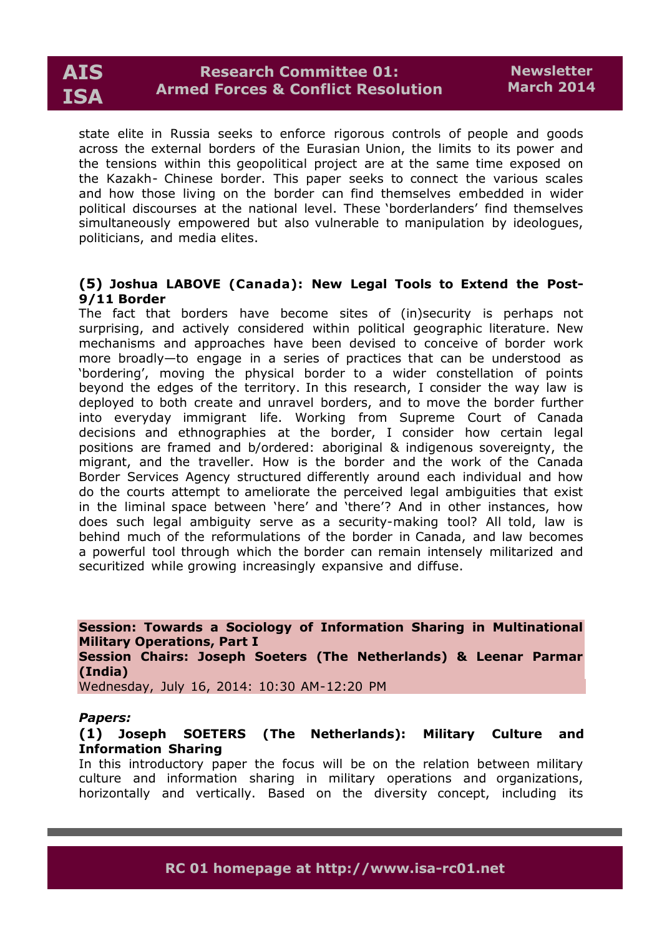

state elite in Russia seeks to enforce rigorous controls of people and goods across the external borders of the Eurasian Union, the limits to its power and the tensions within this geopolitical project are at the same time exposed on the Kazakh- Chinese border. This paper seeks to connect the various scales and how those living on the border can find themselves embedded in wider political discourses at the national level. These 'borderlanders' find themselves simultaneously empowered but also vulnerable to manipulation by ideologues, politicians, and media elites.

# **(5) Joshua LABOVE (Canada): New Legal Tools to Extend the Post-9/11 Border**

The fact that borders have become sites of (in)security is perhaps not surprising, and actively considered within political geographic literature. New mechanisms and approaches have been devised to conceive of border work more broadly—to engage in a series of practices that can be understood as 'bordering', moving the physical border to a wider constellation of points beyond the edges of the territory. In this research, I consider the way law is deployed to both create and unravel borders, and to move the border further into everyday immigrant life. Working from Supreme Court of Canada decisions and ethnographies at the border, I consider how certain legal positions are framed and b/ordered: aboriginal & indigenous sovereignty, the migrant, and the traveller. How is the border and the work of the Canada Border Services Agency structured differently around each individual and how do the courts attempt to ameliorate the perceived legal ambiguities that exist in the liminal space between 'here' and 'there'? And in other instances, how does such legal ambiguity serve as a security-making tool? All told, law is behind much of the reformulations of the border in Canada, and law becomes a powerful tool through which the border can remain intensely militarized and securitized while growing increasingly expansive and diffuse.

**Session: Towards a Sociology of Information Sharing in Multinational Military Operations, Part I Session Chairs: Joseph Soeters (The Netherlands) & Leenar Parmar (India)**  Wednesday, July 16, 2014: 10:30 AM-12:20 PM

#### *Papers:*

#### **(1) Joseph SOETERS (The Netherlands): Military Culture and Information Sharing**

In this introductory paper the focus will be on the relation between military culture and information sharing in military operations and organizations, horizontally and vertically. Based on the diversity concept, including its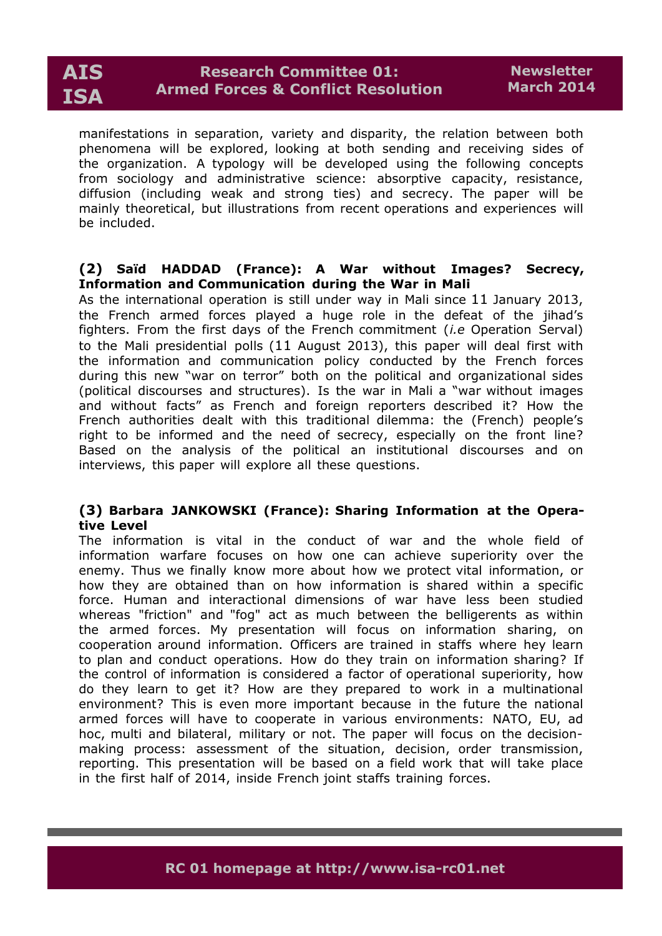

manifestations in separation, variety and disparity, the relation between both phenomena will be explored, looking at both sending and receiving sides of the organization. A typology will be developed using the following concepts from sociology and administrative science: absorptive capacity, resistance, diffusion (including weak and strong ties) and secrecy. The paper will be mainly theoretical, but illustrations from recent operations and experiences will be included.

# **(2) Saïd HADDAD (France): A War without Images? Secrecy, Information and Communication during the War in Mali**

As the international operation is still under way in Mali since 11 January 2013, the French armed forces played a huge role in the defeat of the jihad's fighters. From the first days of the French commitment (*i.e* Operation Serval) to the Mali presidential polls (11 August 2013), this paper will deal first with the information and communication policy conducted by the French forces during this new "war on terror" both on the political and organizational sides (political discourses and structures). Is the war in Mali a "war without images and without facts" as French and foreign reporters described it? How the French authorities dealt with this traditional dilemma: the (French) people's right to be informed and the need of secrecy, especially on the front line? Based on the analysis of the political an institutional discourses and on interviews, this paper will explore all these questions.

# **(3) Barbara JANKOWSKI (France): Sharing Information at the Operative Level**

The information is vital in the conduct of war and the whole field of information warfare focuses on how one can achieve superiority over the enemy. Thus we finally know more about how we protect vital information, or how they are obtained than on how information is shared within a specific force. Human and interactional dimensions of war have less been studied whereas "friction" and "fog" act as much between the belligerents as within the armed forces. My presentation will focus on information sharing, on cooperation around information. Officers are trained in staffs where hey learn to plan and conduct operations. How do they train on information sharing? If the control of information is considered a factor of operational superiority, how do they learn to get it? How are they prepared to work in a multinational environment? This is even more important because in the future the national armed forces will have to cooperate in various environments: NATO, EU, ad hoc, multi and bilateral, military or not. The paper will focus on the decisionmaking process: assessment of the situation, decision, order transmission, reporting. This presentation will be based on a field work that will take place in the first half of 2014, inside French joint staffs training forces.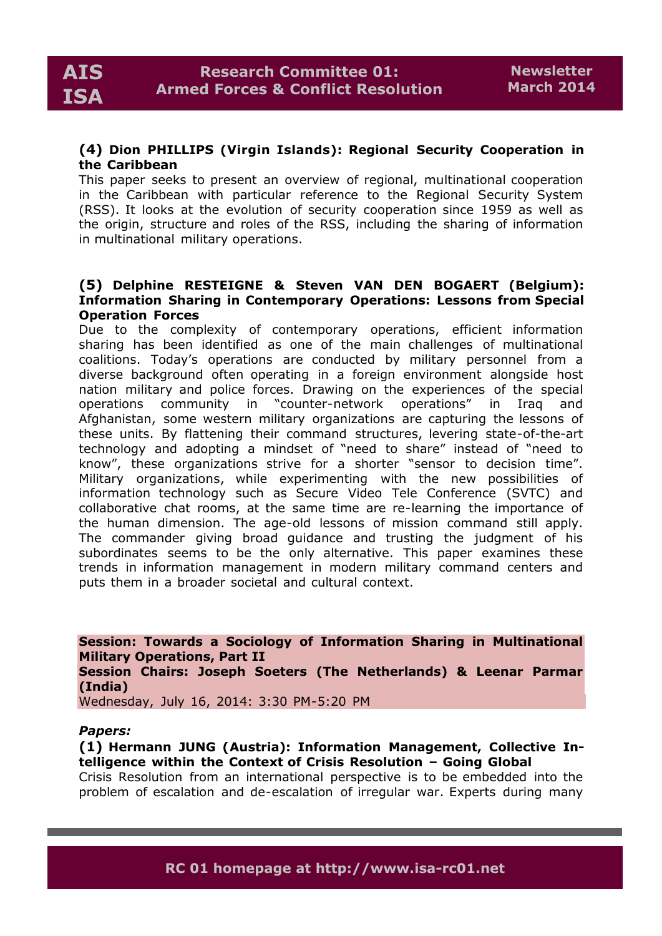# **(4) Dion PHILLIPS (Virgin Islands): Regional Security Cooperation in the Caribbean**

This paper seeks to present an overview of regional, multinational cooperation in the Caribbean with particular reference to the Regional Security System (RSS). It looks at the evolution of security cooperation since 1959 as well as the origin, structure and roles of the RSS, including the sharing of information in multinational military operations.

# **(5) Delphine RESTEIGNE & Steven VAN DEN BOGAERT (Belgium): Information Sharing in Contemporary Operations: Lessons from Special Operation Forces**

Due to the complexity of contemporary operations, efficient information sharing has been identified as one of the main challenges of multinational coalitions. Today's operations are conducted by military personnel from a diverse background often operating in a foreign environment alongside host nation military and police forces. Drawing on the experiences of the special operations community in "counter-network operations" in Iraq and Afghanistan, some western military organizations are capturing the lessons of these units. By flattening their command structures, levering state-of-the-art technology and adopting a mindset of "need to share" instead of "need to know", these organizations strive for a shorter "sensor to decision time". Military organizations, while experimenting with the new possibilities of information technology such as Secure Video Tele Conference (SVTC) and collaborative chat rooms, at the same time are re-learning the importance of the human dimension. The age-old lessons of mission command still apply. The commander giving broad guidance and trusting the judgment of his subordinates seems to be the only alternative. This paper examines these trends in information management in modern military command centers and puts them in a broader societal and cultural context.

**Session: Towards a Sociology of Information Sharing in Multinational Military Operations, Part II Session Chairs: Joseph Soeters (The Netherlands) & Leenar Parmar (India)** 

Wednesday, July 16, 2014: 3:30 PM-5:20 PM

#### *Papers:*

**(1) Hermann JUNG (Austria): Information Management, Collective Intelligence within the Context of Crisis Resolution – Going Global**

Crisis Resolution from an international perspective is to be embedded into the problem of escalation and de-escalation of irregular war. Experts during many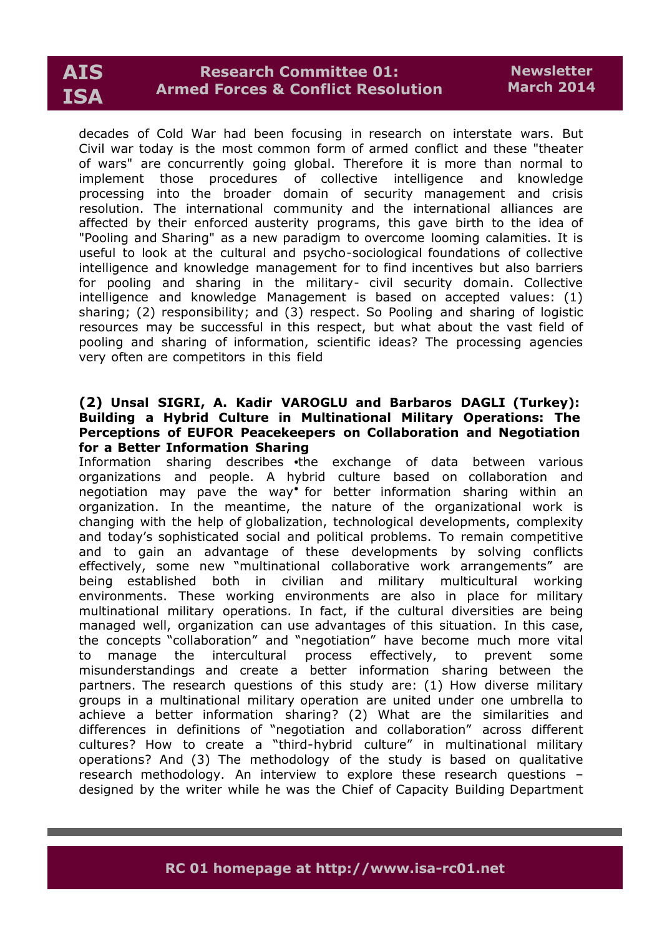decades of Cold War had been focusing in research on interstate wars. But Civil war today is the most common form of armed conflict and these "theater of wars" are concurrently going global. Therefore it is more than normal to implement those procedures of collective intelligence and knowledge processing into the broader domain of security management and crisis resolution. The international community and the international alliances are affected by their enforced austerity programs, this gave birth to the idea of "Pooling and Sharing" as a new paradigm to overcome looming calamities. It is useful to look at the cultural and psycho-sociological foundations of collective intelligence and knowledge management for to find incentives but also barriers for pooling and sharing in the military- civil security domain. Collective intelligence and knowledge Management is based on accepted values: (1) sharing; (2) responsibility; and (3) respect. So Pooling and sharing of logistic resources may be successful in this respect, but what about the vast field of pooling and sharing of information, scientific ideas? The processing agencies very often are competitors in this field

### **(2) Unsal SIGRI, A. Kadir VAROGLU and Barbaros DAGLI (Turkey): Building a Hybrid Culture in Multinational Military Operations: The Perceptions of EUFOR Peacekeepers on Collaboration and Negotiation for a Better Information Sharing**

Information sharing describes the exchange of data between various organizations and people. A hybrid culture based on collaboration and negotiation may pave the way for better information sharing within an organization. In the meantime, the nature of the organizational work is changing with the help of globalization, technological developments, complexity and today's sophisticated social and political problems. To remain competitive and to gain an advantage of these developments by solving conflicts effectively, some new "multinational collaborative work arrangements" are being established both in civilian and military multicultural working environments. These working environments are also in place for military multinational military operations. In fact, if the cultural diversities are being managed well, organization can use advantages of this situation. In this case, the concepts "collaboration" and "negotiation" have become much more vital to manage the intercultural process effectively, to prevent some misunderstandings and create a better information sharing between the partners. The research questions of this study are: (1) How diverse military groups in a multinational military operation are united under one umbrella to achieve a better information sharing? (2) What are the similarities and differences in definitions of "negotiation and collaboration" across different cultures? How to create a "third-hybrid culture" in multinational military operations? And (3) The methodology of the study is based on qualitative research methodology. An interview to explore these research questions – designed by the writer while he was the Chief of Capacity Building Department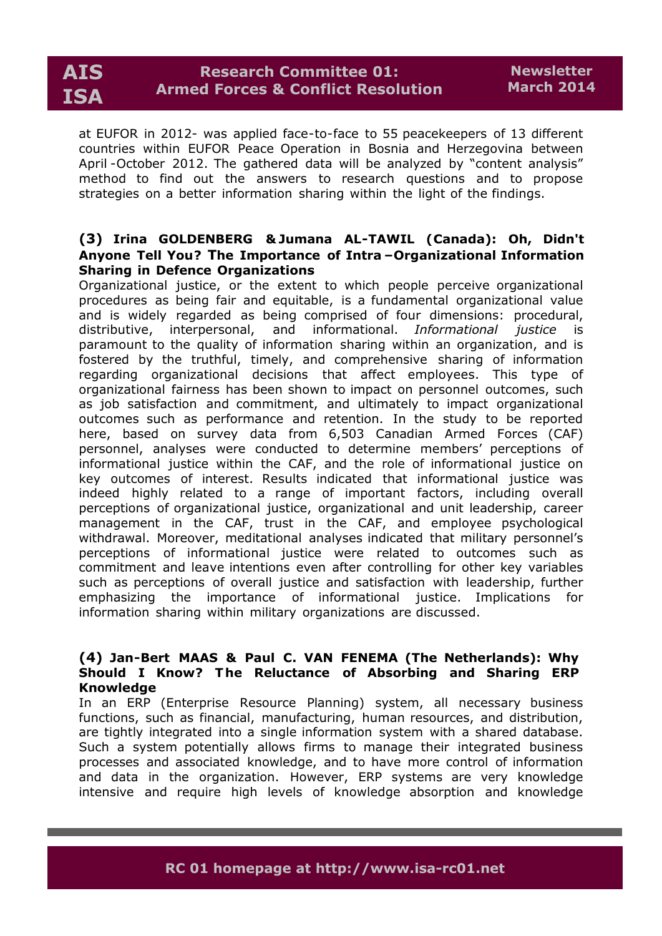at EUFOR in 2012- was applied face-to-face to 55 peacekeepers of 13 different countries within EUFOR Peace Operation in Bosnia and Herzegovina between April -October 2012. The gathered data will be analyzed by "content analysis" method to find out the answers to research questions and to propose strategies on a better information sharing within the light of the findings.

# **(3) Irina GOLDENBERG & Jumana AL-TAWIL (Canada): Oh, Didn't Anyone Tell You? The Importance of Intra –Organizational Information Sharing in Defence Organizations**

Organizational justice, or the extent to which people perceive organizational procedures as being fair and equitable, is a fundamental organizational value and is widely regarded as being comprised of four dimensions: procedural, distributive, interpersonal, and informational. *Informational justice* is paramount to the quality of information sharing within an organization, and is fostered by the truthful, timely, and comprehensive sharing of information regarding organizational decisions that affect employees. This type of organizational fairness has been shown to impact on personnel outcomes, such as job satisfaction and commitment, and ultimately to impact organizational outcomes such as performance and retention. In the study to be reported here, based on survey data from 6,503 Canadian Armed Forces (CAF) personnel, analyses were conducted to determine members' perceptions of informational justice within the CAF, and the role of informational justice on key outcomes of interest. Results indicated that informational justice was indeed highly related to a range of important factors, including overall perceptions of organizational justice, organizational and unit leadership, career management in the CAF, trust in the CAF, and employee psychological withdrawal. Moreover, meditational analyses indicated that military personnel's perceptions of informational justice were related to outcomes such as commitment and leave intentions even after controlling for other key variables such as perceptions of overall justice and satisfaction with leadership, further emphasizing the importance of informational justice. Implications for information sharing within military organizations are discussed.

# **(4) Jan-Bert MAAS & Paul C. VAN FENEMA (The Netherlands): Why Should I Know? T he Reluctance of Absorbing and Sharing ERP Knowledge**

In an ERP (Enterprise Resource Planning) system, all necessary business functions, such as financial, manufacturing, human resources, and distribution, are tightly integrated into a single information system with a shared database. Such a system potentially allows firms to manage their integrated business processes and associated knowledge, and to have more control of information and data in the organization. However, ERP systems are very knowledge intensive and require high levels of knowledge absorption and knowledge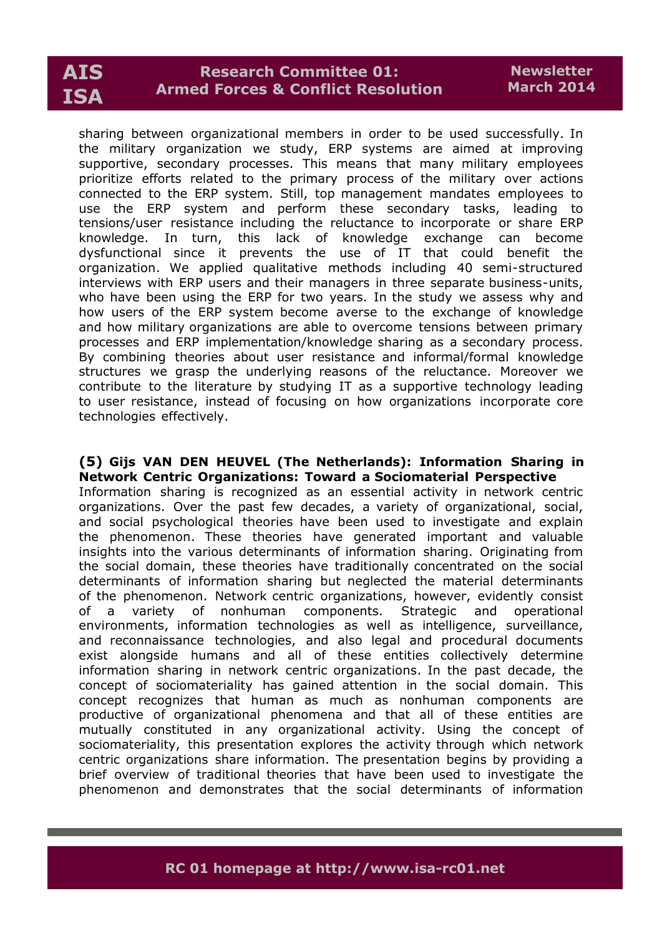# **Research Committee 01: Armed Forces & Conflict Resolution**

sharing between organizational members in order to be used successfully. In the military organization we study, ERP systems are aimed at improving supportive, secondary processes. This means that many military employees prioritize efforts related to the primary process of the military over actions connected to the ERP system. Still, top management mandates employees to use the ERP system and perform these secondary tasks, leading to tensions/user resistance including the reluctance to incorporate or share ERP knowledge. In turn, this lack of knowledge exchange can become dysfunctional since it prevents the use of IT that could benefit the organization. We applied qualitative methods including 40 semi-structured interviews with ERP users and their managers in three separate business-units, who have been using the ERP for two years. In the study we assess why and how users of the ERP system become averse to the exchange of knowledge and how military organizations are able to overcome tensions between primary processes and ERP implementation/knowledge sharing as a secondary process. By combining theories about user resistance and informal/formal knowledge structures we grasp the underlying reasons of the reluctance. Moreover we contribute to the literature by studying IT as a supportive technology leading to user resistance, instead of focusing on how organizations incorporate core technologies effectively.

#### **(5) Gijs VAN DEN HEUVEL (The Netherlands): Information Sharing in Network Centric Organizations: Toward a Sociomaterial Perspective**

Information sharing is recognized as an essential activity in network centric organizations. Over the past few decades, a variety of organizational, social, and social psychological theories have been used to investigate and explain the phenomenon. These theories have generated important and valuable insights into the various determinants of information sharing. Originating from the social domain, these theories have traditionally concentrated on the social determinants of information sharing but neglected the material determinants of the phenomenon. Network centric organizations, however, evidently consist of a variety of nonhuman components. Strategic and operational environments, information technologies as well as intelligence, surveillance, and reconnaissance technologies, and also legal and procedural documents exist alongside humans and all of these entities collectively determine information sharing in network centric organizations. In the past decade, the concept of sociomateriality has gained attention in the social domain. This concept recognizes that human as much as nonhuman components are productive of organizational phenomena and that all of these entities are mutually constituted in any organizational activity. Using the concept of sociomateriality, this presentation explores the activity through which network centric organizations share information. The presentation begins by providing a brief overview of traditional theories that have been used to investigate the phenomenon and demonstrates that the social determinants of information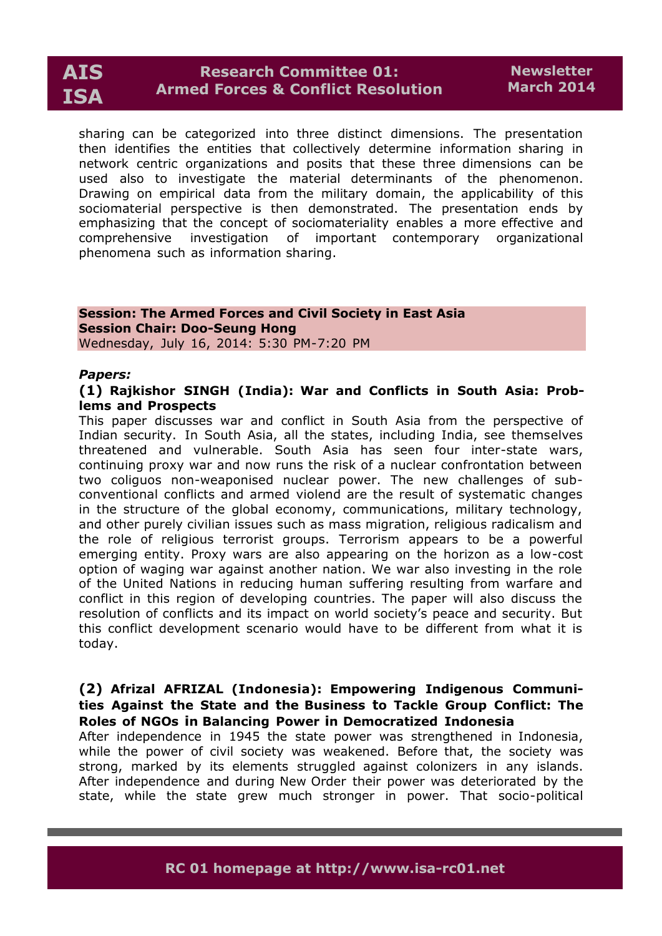

sharing can be categorized into three distinct dimensions. The presentation then identifies the entities that collectively determine information sharing in network centric organizations and posits that these three dimensions can be used also to investigate the material determinants of the phenomenon. Drawing on empirical data from the military domain, the applicability of this sociomaterial perspective is then demonstrated. The presentation ends by emphasizing that the concept of sociomateriality enables a more effective and comprehensive investigation of important contemporary organizational phenomena such as information sharing.

### **Session: The Armed Forces and Civil Society in East Asia Session Chair: Doo-Seung Hong** Wednesday, July 16, 2014: 5:30 PM-7:20 PM

#### *Papers:*

#### **(1) Rajkishor SINGH (India): War and Conflicts in South Asia: Problems and Prospects**

This paper discusses war and conflict in South Asia from the perspective of Indian security. In South Asia, all the states, including India, see themselves threatened and vulnerable. South Asia has seen four inter-state wars, continuing proxy war and now runs the risk of a nuclear confrontation between two coliguos non-weaponised nuclear power. The new challenges of subconventional conflicts and armed violend are the result of systematic changes in the structure of the global economy, communications, military technology, and other purely civilian issues such as mass migration, religious radicalism and the role of religious terrorist groups. Terrorism appears to be a powerful emerging entity. Proxy wars are also appearing on the horizon as a low-cost option of waging war against another nation. We war also investing in the role of the United Nations in reducing human suffering resulting from warfare and conflict in this region of developing countries. The paper will also discuss the resolution of conflicts and its impact on world society's peace and security. But this conflict development scenario would have to be different from what it is today.

## **(2) Afrizal AFRIZAL (Indonesia): Empowering Indigenous Communities Against the State and the Business to Tackle Group Conflict: The Roles of NGOs in Balancing Power in Democratized Indonesia**

After independence in 1945 the state power was strengthened in Indonesia, while the power of civil society was weakened. Before that, the society was strong, marked by its elements struggled against colonizers in any islands. After independence and during New Order their power was deteriorated by the state, while the state grew much stronger in power. That socio-political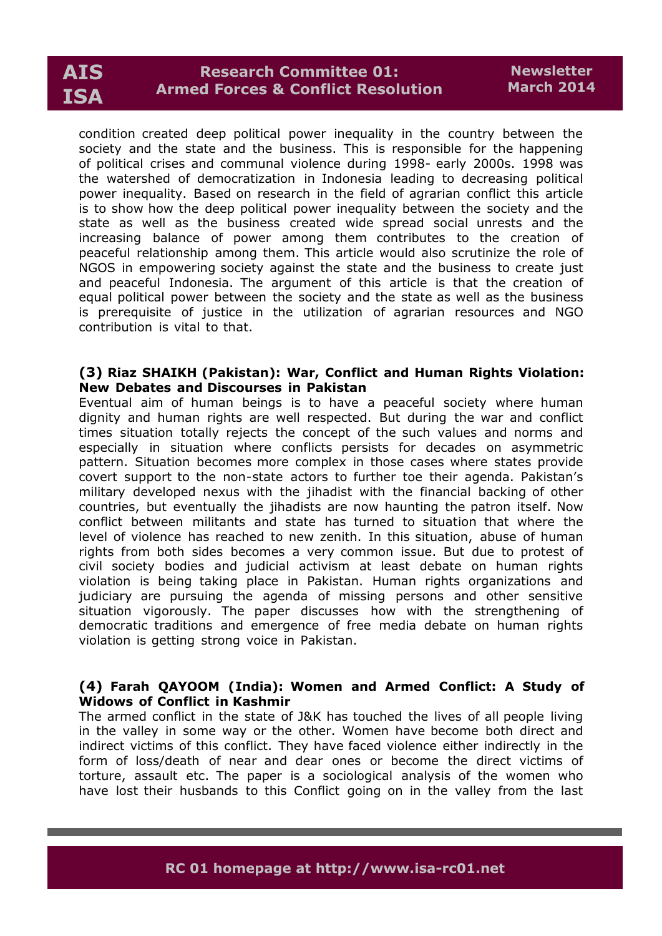condition created deep political power inequality in the country between the society and the state and the business. This is responsible for the happening of political crises and communal violence during 1998- early 2000s. 1998 was the watershed of democratization in Indonesia leading to decreasing political power inequality. Based on research in the field of agrarian conflict this article is to show how the deep political power inequality between the society and the state as well as the business created wide spread social unrests and the increasing balance of power among them contributes to the creation of peaceful relationship among them. This article would also scrutinize the role of NGOS in empowering society against the state and the business to create just and peaceful Indonesia. The argument of this article is that the creation of equal political power between the society and the state as well as the business is prerequisite of justice in the utilization of agrarian resources and NGO contribution is vital to that.

#### **(3) Riaz SHAIKH (Pakistan): War, Conflict and Human Rights Violation: New Debates and Discourses in Pakistan**

Eventual aim of human beings is to have a peaceful society where human dignity and human rights are well respected. But during the war and conflict times situation totally rejects the concept of the such values and norms and especially in situation where conflicts persists for decades on asymmetric pattern. Situation becomes more complex in those cases where states provide covert support to the non-state actors to further toe their agenda. Pakistan's military developed nexus with the jihadist with the financial backing of other countries, but eventually the jihadists are now haunting the patron itself. Now conflict between militants and state has turned to situation that where the level of violence has reached to new zenith. In this situation, abuse of human rights from both sides becomes a very common issue. But due to protest of civil society bodies and judicial activism at least debate on human rights violation is being taking place in Pakistan. Human rights organizations and judiciary are pursuing the agenda of missing persons and other sensitive situation vigorously. The paper discusses how with the strengthening of democratic traditions and emergence of free media debate on human rights violation is getting strong voice in Pakistan.

# **(4) Farah QAYOOM (India): Women and Armed Conflict: A Study of Widows of Conflict in Kashmir**

The armed conflict in the state of J&K has touched the lives of all people living in the valley in some way or the other. Women have become both direct and indirect victims of this conflict. They have faced violence either indirectly in the form of loss/death of near and dear ones or become the direct victims of torture, assault etc. The paper is a sociological analysis of the women who have lost their husbands to this Conflict going on in the valley from the last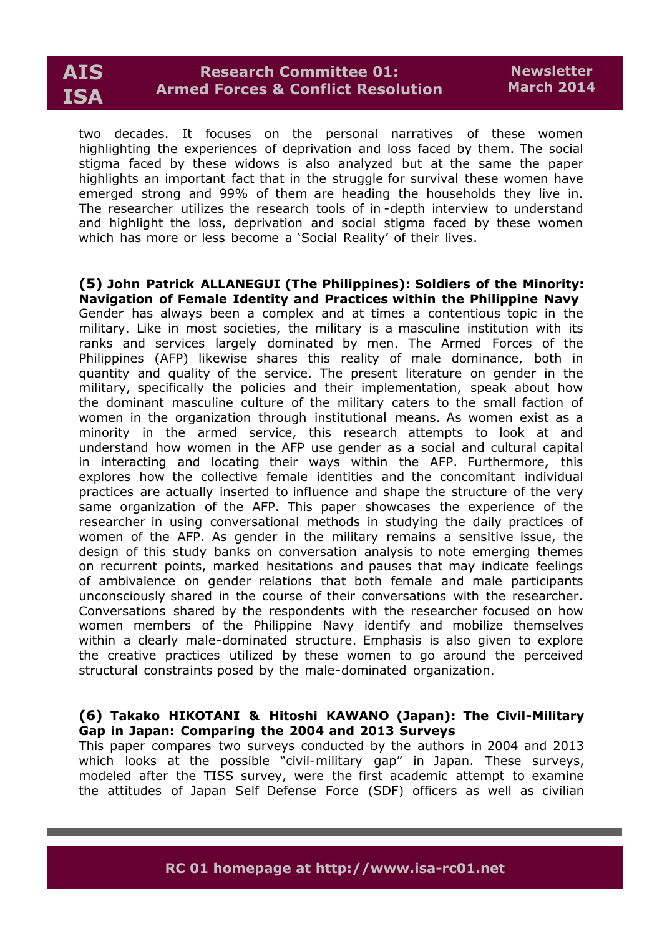

two decades. It focuses on the personal narratives of these women highlighting the experiences of deprivation and loss faced by them. The social stigma faced by these widows is also analyzed but at the same the paper highlights an important fact that in the struggle for survival these women have emerged strong and 99% of them are heading the households they live in. The researcher utilizes the research tools of in -depth interview to understand and highlight the loss, deprivation and social stigma faced by these women which has more or less become a 'Social Reality' of their lives.

#### **(5) John Patrick ALLANEGUI (The Philippines): Soldiers of the Minority: Navigation of Female Identity and Practices within the Philippine Navy**

Gender has always been a complex and at times a contentious topic in the military. Like in most societies, the military is a masculine institution with its ranks and services largely dominated by men. The Armed Forces of the Philippines (AFP) likewise shares this reality of male dominance, both in quantity and quality of the service. The present literature on gender in the military, specifically the policies and their implementation, speak about how the dominant masculine culture of the military caters to the small faction of women in the organization through institutional means. As women exist as a minority in the armed service, this research attempts to look at and understand how women in the AFP use gender as a social and cultural capital in interacting and locating their ways within the AFP. Furthermore, this explores how the collective female identities and the concomitant individual practices are actually inserted to influence and shape the structure of the very same organization of the AFP. This paper showcases the experience of the researcher in using conversational methods in studying the daily practices of women of the AFP. As gender in the military remains a sensitive issue, the design of this study banks on conversation analysis to note emerging themes on recurrent points, marked hesitations and pauses that may indicate feelings of ambivalence on gender relations that both female and male participants unconsciously shared in the course of their conversations with the researcher. Conversations shared by the respondents with the researcher focused on how women members of the Philippine Navy identify and mobilize themselves within a clearly male-dominated structure. Emphasis is also given to explore the creative practices utilized by these women to go around the perceived structural constraints posed by the male-dominated organization.

# **(6) Takako HIKOTANI & Hitoshi KAWANO (Japan): The Civil-Military Gap in Japan: Comparing the 2004 and 2013 Surveys**

This paper compares two surveys conducted by the authors in 2004 and 2013 which looks at the possible "civil-military gap" in Japan. These surveys, modeled after the TISS survey, were the first academic attempt to examine the attitudes of Japan Self Defense Force (SDF) officers as well as civilian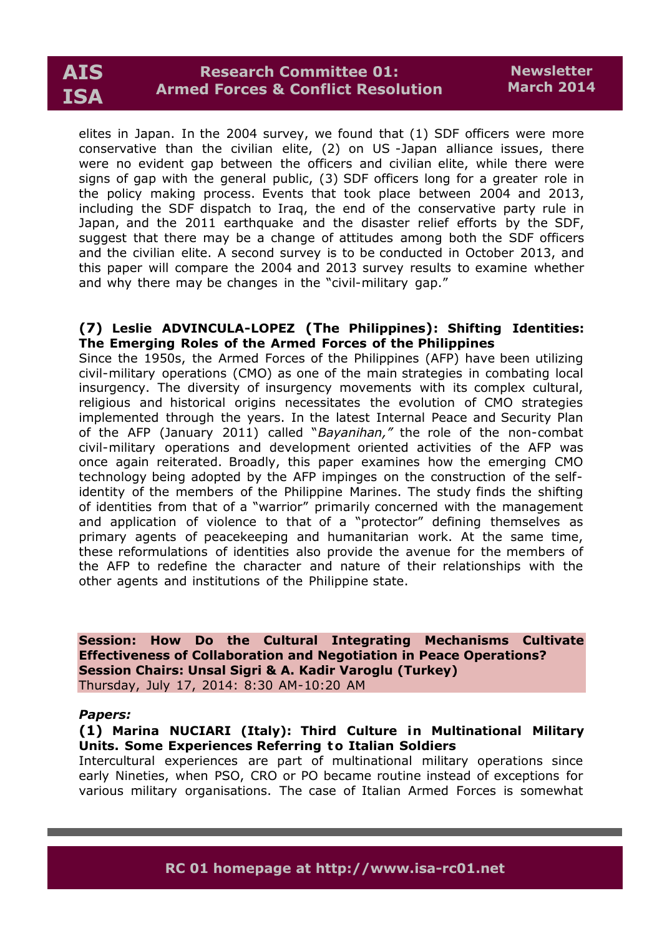elites in Japan. In the 2004 survey, we found that (1) SDF officers were more conservative than the civilian elite, (2) on US -Japan alliance issues, there were no evident gap between the officers and civilian elite, while there were signs of gap with the general public, (3) SDF officers long for a greater role in the policy making process. Events that took place between 2004 and 2013, including the SDF dispatch to Iraq, the end of the conservative party rule in Japan, and the 2011 earthquake and the disaster relief efforts by the SDF, suggest that there may be a change of attitudes among both the SDF officers and the civilian elite. A second survey is to be conducted in October 2013, and this paper will compare the 2004 and 2013 survey results to examine whether and why there may be changes in the "civil-military gap."

#### **(7) Leslie ADVINCULA-LOPEZ (The Philippines): Shifting Identities: The Emerging Roles of the Armed Forces of the Philippines**

Since the 1950s, the Armed Forces of the Philippines (AFP) have been utilizing civil-military operations (CMO) as one of the main strategies in combating local insurgency. The diversity of insurgency movements with its complex cultural, religious and historical origins necessitates the evolution of CMO strategies implemented through the years. In the latest Internal Peace and Security Plan of the AFP (January 2011) called "*Bayanihan,"* the role of the non-combat civil-military operations and development oriented activities of the AFP was once again reiterated. Broadly, this paper examines how the emerging CMO technology being adopted by the AFP impinges on the construction of the selfidentity of the members of the Philippine Marines. The study finds the shifting of identities from that of a "warrior" primarily concerned with the management and application of violence to that of a "protector" defining themselves as primary agents of peacekeeping and humanitarian work. At the same time, these reformulations of identities also provide the avenue for the members of the AFP to redefine the character and nature of their relationships with the other agents and institutions of the Philippine state.

**Session: How Do the Cultural Integrating Mechanisms Cultivate Effectiveness of Collaboration and Negotiation in Peace Operations? Session Chairs: Unsal Sigri & A. Kadir Varoglu (Turkey)** Thursday, July 17, 2014: 8:30 AM-10:20 AM

#### *Papers:*

# **(1) Marina NUCIARI (Italy): Third Culture in Multinational Military Units. Some Experiences Referring to Italian Soldiers**

Intercultural experiences are part of multinational military operations since early Nineties, when PSO, CRO or PO became routine instead of exceptions for various military organisations. The case of Italian Armed Forces is somewhat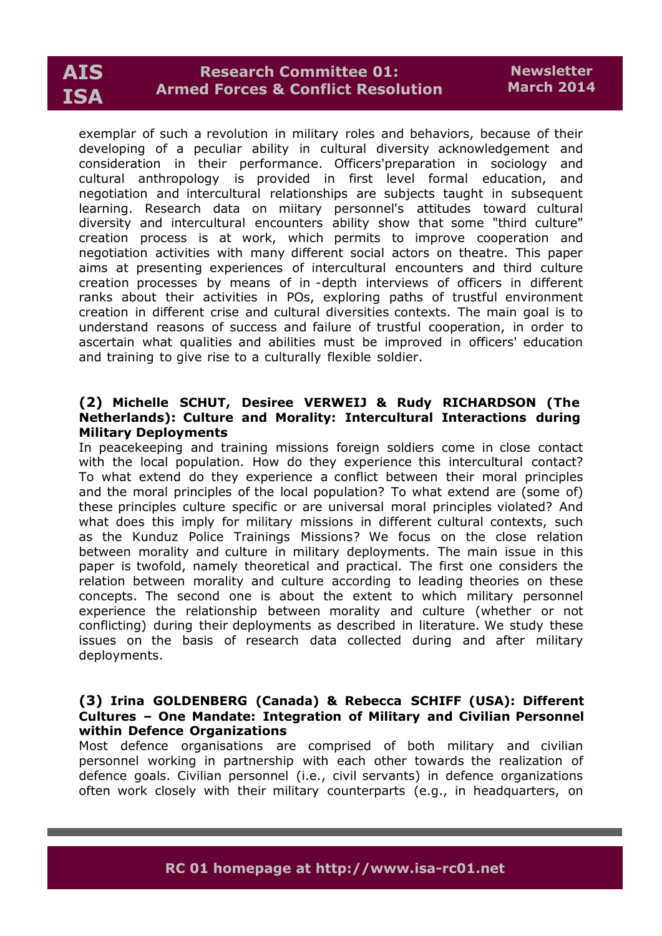# **Research Committee 01: Armed Forces & Conflict Resolution**

exemplar of such a revolution in military roles and behaviors, because of their developing of a peculiar ability in cultural diversity acknowledgement and consideration in their performance. Officers'preparation in sociology and cultural anthropology is provided in first level formal education, and negotiation and intercultural relationships are subjects taught in subsequent learning. Research data on miitary personnel's attitudes toward cultural diversity and intercultural encounters ability show that some "third culture" creation process is at work, which permits to improve cooperation and negotiation activities with many different social actors on theatre. This paper aims at presenting experiences of intercultural encounters and third culture creation processes by means of in -depth interviews of officers in different ranks about their activities in POs, exploring paths of trustful environment creation in different crise and cultural diversities contexts. The main goal is to understand reasons of success and failure of trustful cooperation, in order to ascertain what qualities and abilities must be improved in officers' education and training to give rise to a culturally flexible soldier.

### **(2) Michelle SCHUT, Desiree VERWEIJ & Rudy RICHARDSON (The Netherlands): Culture and Morality: Intercultural Interactions during Military Deployments**

In peacekeeping and training missions foreign soldiers come in close contact with the local population. How do they experience this intercultural contact? To what extend do they experience a conflict between their moral principles and the moral principles of the local population? To what extend are (some of) these principles culture specific or are universal moral principles violated? And what does this imply for military missions in different cultural contexts, such as the Kunduz Police Trainings Missions? We focus on the close relation between morality and culture in military deployments. The main issue in this paper is twofold, namely theoretical and practical. The first one considers the relation between morality and culture according to leading theories on these concepts. The second one is about the extent to which military personnel experience the relationship between morality and culture (whether or not conflicting) during their deployments as described in literature. We study these issues on the basis of research data collected during and after military deployments.

## **(3) Irina GOLDENBERG (Canada) & Rebecca SCHIFF (USA): Different Cultures – One Mandate: Integration of Military and Civilian Personnel within Defence Organizations**

Most defence organisations are comprised of both military and civilian personnel working in partnership with each other towards the realization of defence goals. Civilian personnel (i.e., civil servants) in defence organizations often work closely with their military counterparts (e.g., in headquarters, on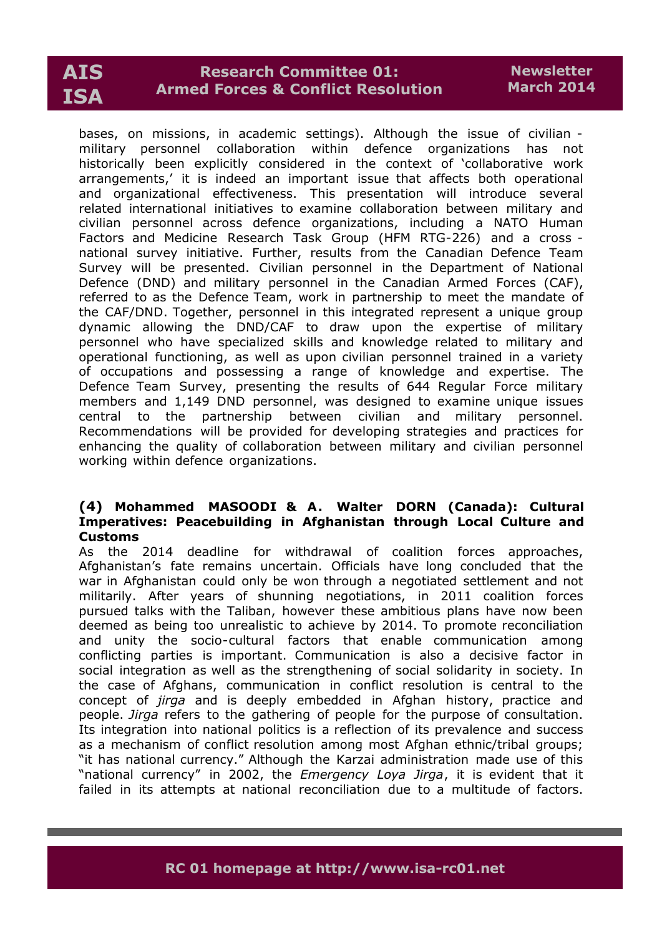# **Research Committee 01: Armed Forces & Conflict Resolution**

bases, on missions, in academic settings). Although the issue of civilian military personnel collaboration within defence organizations has not historically been explicitly considered in the context of 'collaborative work arrangements,' it is indeed an important issue that affects both operational and organizational effectiveness. This presentation will introduce several related international initiatives to examine collaboration between military and civilian personnel across defence organizations, including a NATO Human Factors and Medicine Research Task Group (HFM RTG-226) and a cross national survey initiative. Further, results from the Canadian Defence Team Survey will be presented. Civilian personnel in the Department of National Defence (DND) and military personnel in the Canadian Armed Forces (CAF), referred to as the Defence Team, work in partnership to meet the mandate of the CAF/DND. Together, personnel in this integrated represent a unique group dynamic allowing the DND/CAF to draw upon the expertise of military personnel who have specialized skills and knowledge related to military and operational functioning, as well as upon civilian personnel trained in a variety of occupations and possessing a range of knowledge and expertise. The Defence Team Survey, presenting the results of 644 Regular Force military members and 1,149 DND personnel, was designed to examine unique issues central to the partnership between civilian and military personnel. Recommendations will be provided for developing strategies and practices for enhancing the quality of collaboration between military and civilian personnel working within defence organizations.

# **(4) Mohammed MASOODI & A . Walter DORN (Canada): Cultural Imperatives: Peacebuilding in Afghanistan through Local Culture and Customs**

As the 2014 deadline for withdrawal of coalition forces approaches, Afghanistan's fate remains uncertain. Officials have long concluded that the war in Afghanistan could only be won through a negotiated settlement and not militarily. After years of shunning negotiations, in 2011 coalition forces pursued talks with the Taliban, however these ambitious plans have now been deemed as being too unrealistic to achieve by 2014. To promote reconciliation and unity the socio-cultural factors that enable communication among conflicting parties is important. Communication is also a decisive factor in social integration as well as the strengthening of social solidarity in society. In the case of Afghans, communication in conflict resolution is central to the concept of *jirga* and is deeply embedded in Afghan history, practice and people. *Jirga* refers to the gathering of people for the purpose of consultation. Its integration into national politics is a reflection of its prevalence and success as a mechanism of conflict resolution among most Afghan ethnic/tribal groups; "it has national currency." Although the Karzai administration made use of this "national currency" in 2002, the *Emergency Loya Jirga*, it is evident that it failed in its attempts at national reconciliation due to a multitude of factors.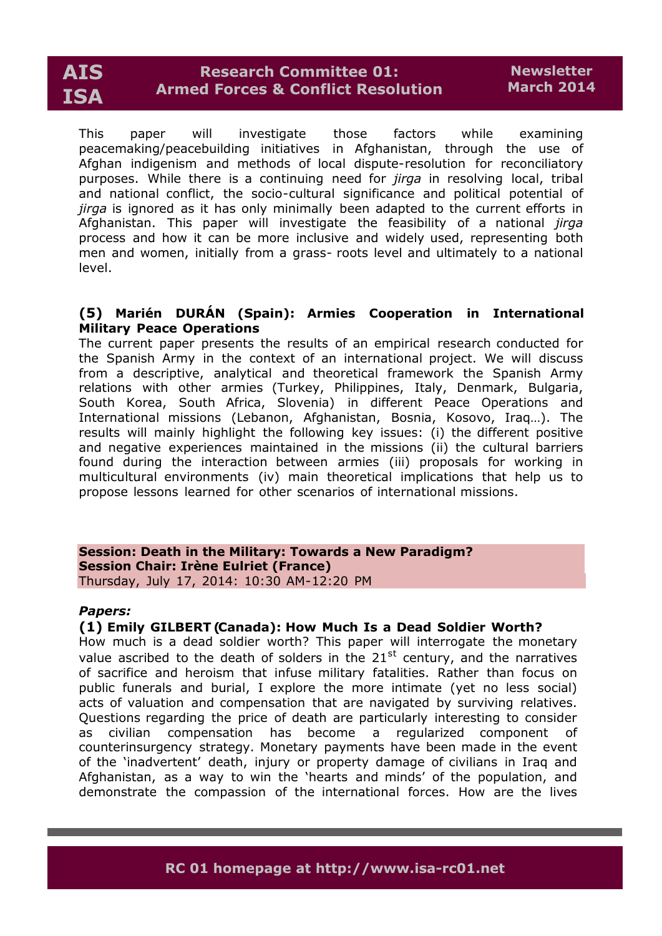This paper will investigate those factors while examining peacemaking/peacebuilding initiatives in Afghanistan, through the use of Afghan indigenism and methods of local dispute-resolution for reconciliatory purposes. While there is a continuing need for *jirga* in resolving local, tribal and national conflict, the socio-cultural significance and political potential of *jirga* is ignored as it has only minimally been adapted to the current efforts in Afghanistan. This paper will investigate the feasibility of a national *jirga* process and how it can be more inclusive and widely used, representing both men and women, initially from a grass- roots level and ultimately to a national level.

# **(5) Marién DURÁN (Spain): Armies Cooperation in International Military Peace Operations**

The current paper presents the results of an empirical research conducted for the Spanish Army in the context of an international project. We will discuss from a descriptive, analytical and theoretical framework the Spanish Army relations with other armies (Turkey, Philippines, Italy, Denmark, Bulgaria, South Korea, South Africa, Slovenia) in different Peace Operations and International missions (Lebanon, Afghanistan, Bosnia, Kosovo, Iraq…). The results will mainly highlight the following key issues: (i) the different positive and negative experiences maintained in the missions (ii) the cultural barriers found during the interaction between armies (iii) proposals for working in multicultural environments (iv) main theoretical implications that help us to propose lessons learned for other scenarios of international missions.

**Session: Death in the Military: Towards a New Paradigm? Session Chair: Irène Eulriet (France)** Thursday, July 17, 2014: 10:30 AM-12:20 PM

#### *Papers:*

#### **(1) Emily GILBERT (Canada): How Much Is a Dead Soldier Worth?**

How much is a dead soldier worth? This paper will interrogate the monetary value ascribed to the death of solders in the 21<sup>st</sup> century, and the narratives of sacrifice and heroism that infuse military fatalities. Rather than focus on public funerals and burial, I explore the more intimate (yet no less social) acts of valuation and compensation that are navigated by surviving relatives. Questions regarding the price of death are particularly interesting to consider as civilian compensation has become a regularized component of counterinsurgency strategy. Monetary payments have been made in the event of the 'inadvertent' death, injury or property damage of civilians in Iraq and Afghanistan, as a way to win the 'hearts and minds' of the population, and demonstrate the compassion of the international forces. How are the lives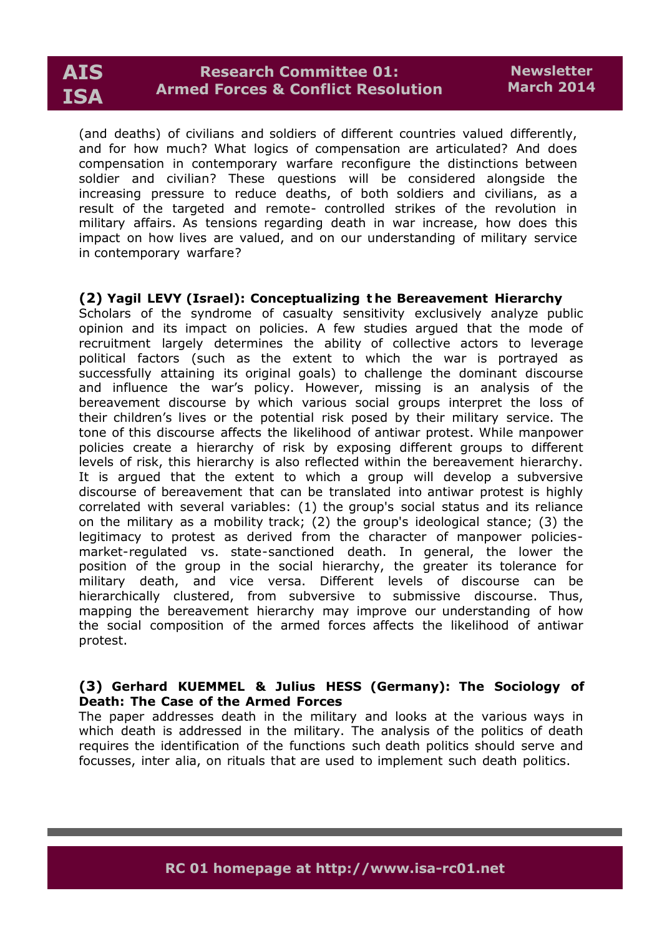

(and deaths) of civilians and soldiers of different countries valued differently, and for how much? What logics of compensation are articulated? And does compensation in contemporary warfare reconfigure the distinctions between soldier and civilian? These questions will be considered alongside the increasing pressure to reduce deaths, of both soldiers and civilians, as a result of the targeted and remote- controlled strikes of the revolution in military affairs. As tensions regarding death in war increase, how does this impact on how lives are valued, and on our understanding of military service in contemporary warfare?

# **(2) Yagil LEVY (Israel): Conceptualizing t he Bereavement Hierarchy**

Scholars of the syndrome of casualty sensitivity exclusively analyze public opinion and its impact on policies. A few studies argued that the mode of recruitment largely determines the ability of collective actors to leverage political factors (such as the extent to which the war is portrayed as successfully attaining its original goals) to challenge the dominant discourse and influence the war's policy. However, missing is an analysis of the bereavement discourse by which various social groups interpret the loss of their children's lives or the potential risk posed by their military service. The tone of this discourse affects the likelihood of antiwar protest. While manpower policies create a hierarchy of risk by exposing different groups to different levels of risk, this hierarchy is also reflected within the bereavement hierarchy. It is argued that the extent to which a group will develop a subversive discourse of bereavement that can be translated into antiwar protest is highly correlated with several variables: (1) the group's social status and its reliance on the military as a mobility track; (2) the group's ideological stance; (3) the legitimacy to protest as derived from the character of manpower policiesmarket-regulated vs. state-sanctioned death. In general, the lower the position of the group in the social hierarchy, the greater its tolerance for military death, and vice versa. Different levels of discourse can be hierarchically clustered, from subversive to submissive discourse. Thus, mapping the bereavement hierarchy may improve our understanding of how the social composition of the armed forces affects the likelihood of antiwar protest.

#### **(3) Gerhard KUEMMEL & Julius HESS (Germany): The Sociology of Death: The Case of the Armed Forces**

The paper addresses death in the military and looks at the various ways in which death is addressed in the military. The analysis of the politics of death requires the identification of the functions such death politics should serve and focusses, inter alia, on rituals that are used to implement such death politics.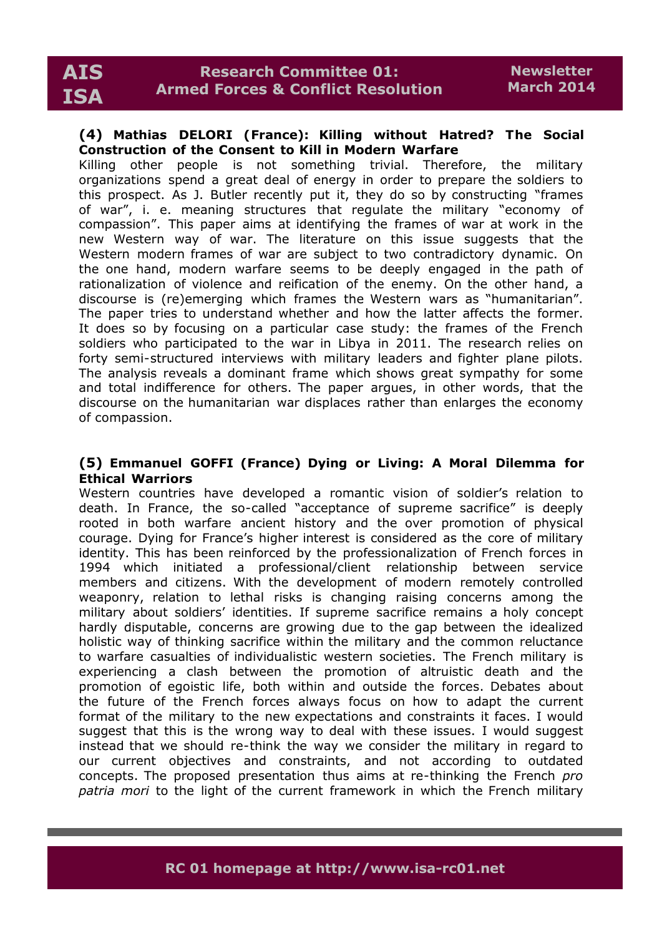#### **(4) Mathias DELORI (France): Killing without Hatred? The Social Construction of the Consent to Kill in Modern Warfare**

Killing other people is not something trivial. Therefore, the military organizations spend a great deal of energy in order to prepare the soldiers to this prospect. As J. Butler recently put it, they do so by constructing "frames of war", i. e. meaning structures that regulate the military "economy of compassion". This paper aims at identifying the frames of war at work in the new Western way of war. The literature on this issue suggests that the Western modern frames of war are subject to two contradictory dynamic. On the one hand, modern warfare seems to be deeply engaged in the path of rationalization of violence and reification of the enemy. On the other hand, a discourse is (re)emerging which frames the Western wars as "humanitarian". The paper tries to understand whether and how the latter affects the former. It does so by focusing on a particular case study: the frames of the French soldiers who participated to the war in Libya in 2011. The research relies on forty semi-structured interviews with military leaders and fighter plane pilots. The analysis reveals a dominant frame which shows great sympathy for some and total indifference for others. The paper argues, in other words, that the discourse on the humanitarian war displaces rather than enlarges the economy of compassion.

### **(5) Emmanuel GOFFI (France) Dying or Living: A Moral Dilemma for Ethical Warriors**

Western countries have developed a romantic vision of soldier's relation to death. In France, the so-called "acceptance of supreme sacrifice" is deeply rooted in both warfare ancient history and the over promotion of physical courage. Dying for France's higher interest is considered as the core of military identity. This has been reinforced by the professionalization of French forces in 1994 which initiated a professional/client relationship between service members and citizens. With the development of modern remotely controlled weaponry, relation to lethal risks is changing raising concerns among the military about soldiers' identities. If supreme sacrifice remains a holy concept hardly disputable, concerns are growing due to the gap between the idealized holistic way of thinking sacrifice within the military and the common reluctance to warfare casualties of individualistic western societies. The French military is experiencing a clash between the promotion of altruistic death and the promotion of egoistic life, both within and outside the forces. Debates about the future of the French forces always focus on how to adapt the current format of the military to the new expectations and constraints it faces. I would suggest that this is the wrong way to deal with these issues. I would suggest instead that we should re-think the way we consider the military in regard to our current objectives and constraints, and not according to outdated concepts. The proposed presentation thus aims at re-thinking the French *pro patria mori* to the light of the current framework in which the French military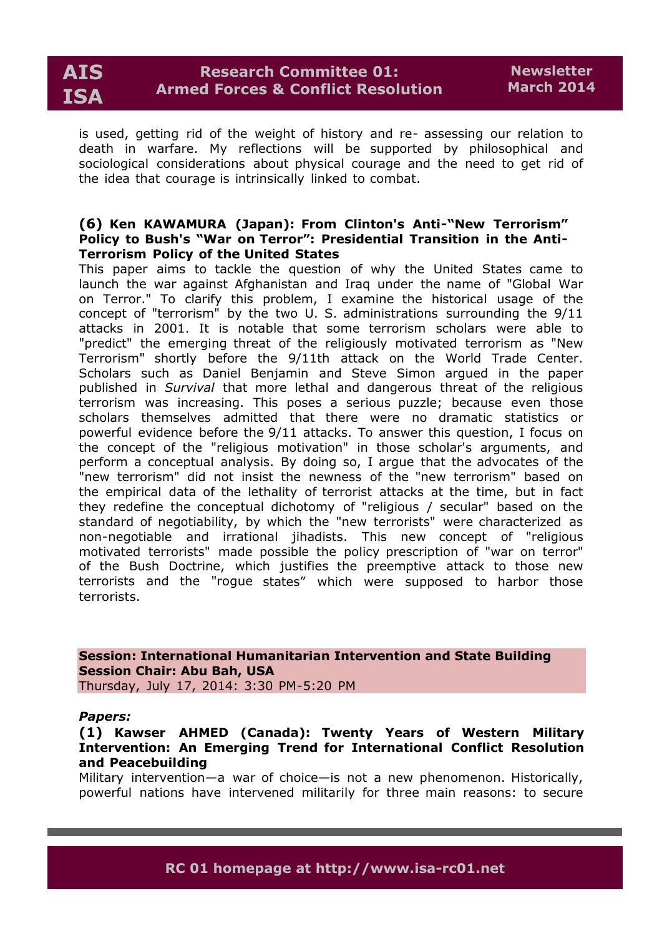is used, getting rid of the weight of history and re- assessing our relation to death in warfare. My reflections will be supported by philosophical and sociological considerations about physical courage and the need to get rid of the idea that courage is intrinsically linked to combat.

#### **(6) Ken KAWAMURA (Japan): From Clinton's Anti-"New Terrorism" Policy to Bush's "War on Terror": Presidential Transition in the Anti-Terrorism Policy of the United States**

This paper aims to tackle the question of why the United States came to launch the war against Afghanistan and Iraq under the name of "Global War on Terror." To clarify this problem, I examine the historical usage of the concept of "terrorism" by the two U. S. administrations surrounding the 9/11 attacks in 2001. It is notable that some terrorism scholars were able to "predict" the emerging threat of the religiously motivated terrorism as "New Terrorism" shortly before the 9/11th attack on the World Trade Center. Scholars such as Daniel Benjamin and Steve Simon argued in the paper published in *Survival* that more lethal and dangerous threat of the religious terrorism was increasing. This poses a serious puzzle; because even those scholars themselves admitted that there were no dramatic statistics or powerful evidence before the 9/11 attacks. To answer this question, I focus on the concept of the "religious motivation" in those scholar's arguments, and perform a conceptual analysis. By doing so, I argue that the advocates of the "new terrorism" did not insist the newness of the "new terrorism" based on the empirical data of the lethality of terrorist attacks at the time, but in fact they redefine the conceptual dichotomy of "religious / secular" based on the standard of negotiability, by which the "new terrorists" were characterized as non-negotiable and irrational jihadists. This new concept of "religious motivated terrorists" made possible the policy prescription of "war on terror" of the Bush Doctrine, which justifies the preemptive attack to those new terrorists and the "rogue states" which were supposed to harbor those terrorists.

**Session: International Humanitarian Intervention and State Building Session Chair: Abu Bah, USA** Thursday, July 17, 2014: 3:30 PM-5:20 PM

#### *Papers:*

**(1) Kawser AHMED (Canada): Twenty Years of Western Military Intervention: An Emerging Trend for International Conflict Resolution and Peacebuilding**

Military intervention—a war of choice—is not a new phenomenon. Historically, powerful nations have intervened militarily for three main reasons: to secure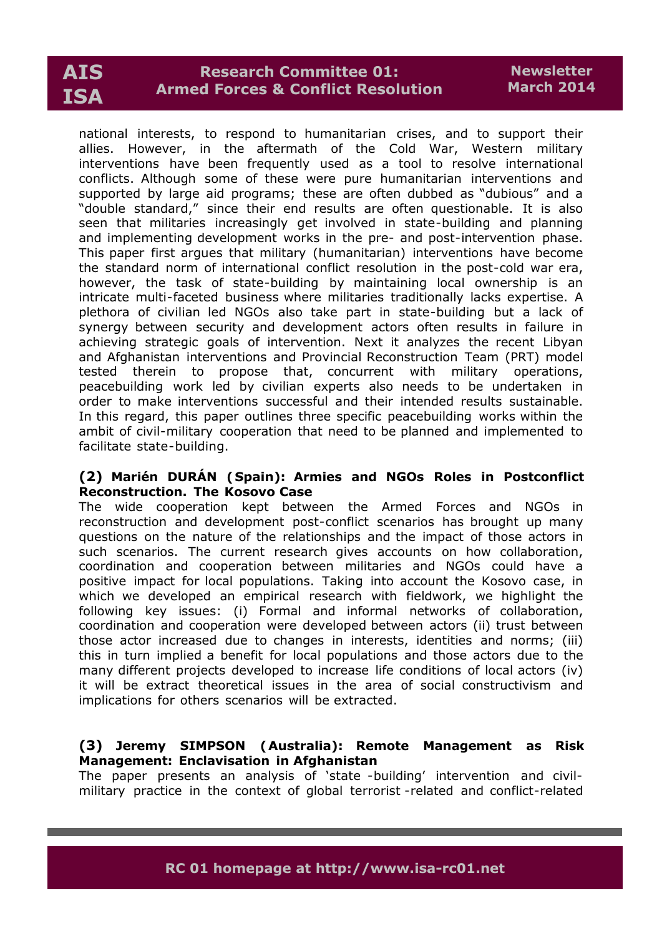# **Research Committee 01: Armed Forces & Conflict Resolution**

national interests, to respond to humanitarian crises, and to support their allies. However, in the aftermath of the Cold War, Western military interventions have been frequently used as a tool to resolve international conflicts. Although some of these were pure humanitarian interventions and supported by large aid programs; these are often dubbed as "dubious" and a "double standard," since their end results are often questionable. It is also seen that militaries increasingly get involved in state-building and planning and implementing development works in the pre- and post-intervention phase. This paper first argues that military (humanitarian) interventions have become the standard norm of international conflict resolution in the post-cold war era, however, the task of state-building by maintaining local ownership is an intricate multi-faceted business where militaries traditionally lacks expertise. A plethora of civilian led NGOs also take part in state-building but a lack of synergy between security and development actors often results in failure in achieving strategic goals of intervention. Next it analyzes the recent Libyan and Afghanistan interventions and Provincial Reconstruction Team (PRT) model tested therein to propose that, concurrent with military operations, peacebuilding work led by civilian experts also needs to be undertaken in order to make interventions successful and their intended results sustainable. In this regard, this paper outlines three specific peacebuilding works within the ambit of civil-military cooperation that need to be planned and implemented to facilitate state-building.

### **(2) Marién DURÁN (Spain): Armies and NGOs Roles in Postconflict Reconstruction. The Kosovo Case**

The wide cooperation kept between the Armed Forces and NGOs in reconstruction and development post-conflict scenarios has brought up many questions on the nature of the relationships and the impact of those actors in such scenarios. The current research gives accounts on how collaboration, coordination and cooperation between militaries and NGOs could have a positive impact for local populations. Taking into account the Kosovo case, in which we developed an empirical research with fieldwork, we highlight the following key issues: (i) Formal and informal networks of collaboration, coordination and cooperation were developed between actors (ii) trust between those actor increased due to changes in interests, identities and norms; (iii) this in turn implied a benefit for local populations and those actors due to the many different projects developed to increase life conditions of local actors (iv) it will be extract theoretical issues in the area of social constructivism and implications for others scenarios will be extracted.

# **(3) Jeremy SIMPSON (Australia): Remote Management as Risk Management: Enclavisation in Afghanistan**

The paper presents an analysis of 'state -building' intervention and civilmilitary practice in the context of global terrorist -related and conflict-related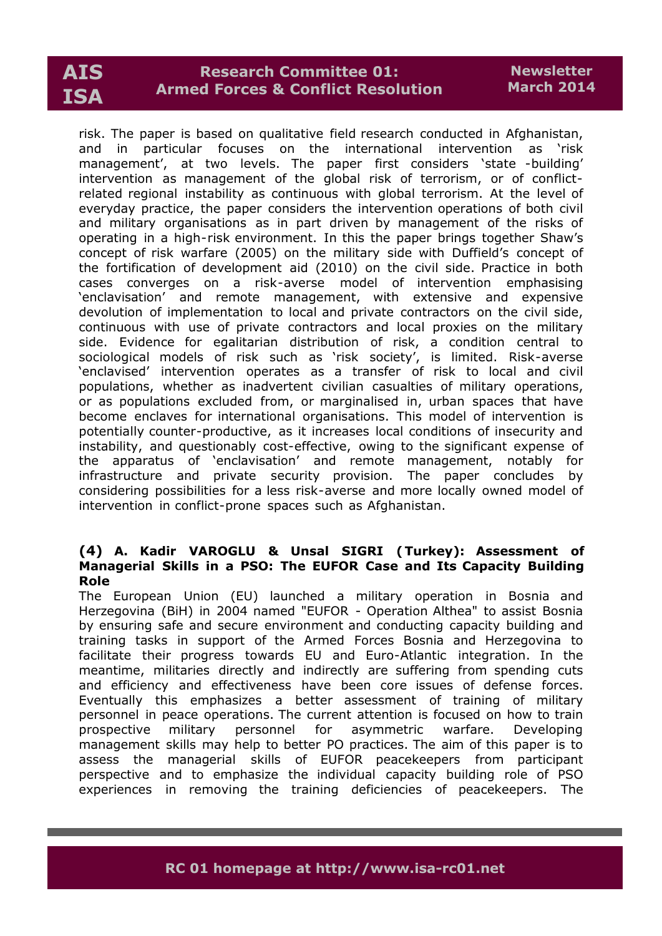# **Research Committee 01: Armed Forces & Conflict Resolution**

risk. The paper is based on qualitative field research conducted in Afghanistan, and in particular focuses on the international intervention as 'risk management', at two levels. The paper first considers 'state -building' intervention as management of the global risk of terrorism, or of conflictrelated regional instability as continuous with global terrorism. At the level of everyday practice, the paper considers the intervention operations of both civil and military organisations as in part driven by management of the risks of operating in a high-risk environment. In this the paper brings together Shaw's concept of risk warfare (2005) on the military side with Duffield's concept of the fortification of development aid (2010) on the civil side. Practice in both cases converges on a risk-averse model of intervention emphasising 'enclavisation' and remote management, with extensive and expensive devolution of implementation to local and private contractors on the civil side, continuous with use of private contractors and local proxies on the military side. Evidence for egalitarian distribution of risk, a condition central to sociological models of risk such as 'risk society', is limited. Risk-averse 'enclavised' intervention operates as a transfer of risk to local and civil populations, whether as inadvertent civilian casualties of military operations, or as populations excluded from, or marginalised in, urban spaces that have become enclaves for international organisations. This model of intervention is potentially counter-productive, as it increases local conditions of insecurity and instability, and questionably cost-effective, owing to the significant expense of the apparatus of 'enclavisation' and remote management, notably for infrastructure and private security provision. The paper concludes by considering possibilities for a less risk-averse and more locally owned model of intervention in conflict-prone spaces such as Afghanistan.

#### **(4) A. Kadir VAROGLU & Unsal SIGRI (Turkey): Assessment of Managerial Skills in a PSO: The EUFOR Case and Its Capacity Building Role**

The European Union (EU) launched a military operation in Bosnia and Herzegovina (BiH) in 2004 named "EUFOR - Operation Althea" to assist Bosnia by ensuring safe and secure environment and conducting capacity building and training tasks in support of the Armed Forces Bosnia and Herzegovina to facilitate their progress towards EU and Euro-Atlantic integration. In the meantime, militaries directly and indirectly are suffering from spending cuts and efficiency and effectiveness have been core issues of defense forces. Eventually this emphasizes a better assessment of training of military personnel in peace operations. The current attention is focused on how to train prospective military personnel for asymmetric warfare. Developing management skills may help to better PO practices. The aim of this paper is to assess the managerial skills of EUFOR peacekeepers from participant perspective and to emphasize the individual capacity building role of PSO experiences in removing the training deficiencies of peacekeepers. The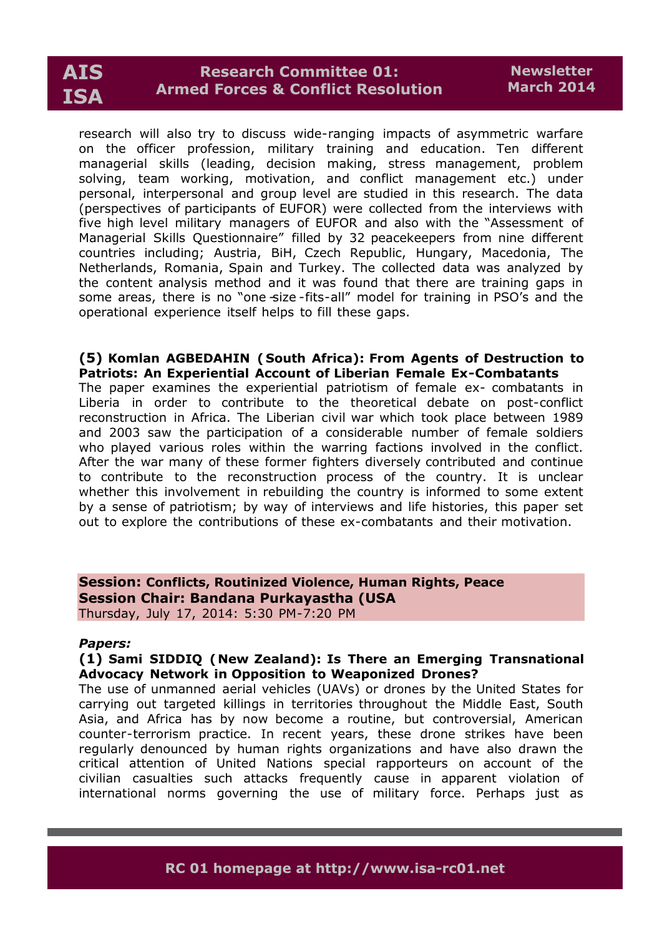# **Research Committee 01: Armed Forces & Conflict Resolution**

research will also try to discuss wide-ranging impacts of asymmetric warfare on the officer profession, military training and education. Ten different managerial skills (leading, decision making, stress management, problem solving, team working, motivation, and conflict management etc.) under personal, interpersonal and group level are studied in this research. The data (perspectives of participants of EUFOR) were collected from the interviews with five high level military managers of EUFOR and also with the "Assessment of Managerial Skills Questionnaire" filled by 32 peacekeepers from nine different countries including; Austria, BiH, Czech Republic, Hungary, Macedonia, The Netherlands, Romania, Spain and Turkey. The collected data was analyzed by the content analysis method and it was found that there are training gaps in some areas, there is no "one size-fits-all" model for training in PSO's and the operational experience itself helps to fill these gaps.

### **(5) Komlan AGBEDAHIN ( South Africa): From Agents of Destruction to Patriots: An Experiential Account of Liberian Female Ex-Combatants**

The paper examines the experiential patriotism of female ex- combatants in Liberia in order to contribute to the theoretical debate on post-conflict reconstruction in Africa. The Liberian civil war which took place between 1989 and 2003 saw the participation of a considerable number of female soldiers who played various roles within the warring factions involved in the conflict. After the war many of these former fighters diversely contributed and continue to contribute to the reconstruction process of the country. It is unclear whether this involvement in rebuilding the country is informed to some extent by a sense of patriotism; by way of interviews and life histories, this paper set out to explore the contributions of these ex-combatants and their motivation.

#### **Session: Conflicts, Routinized Violence, Human Rights, Peace Session Chair: Bandana Purkayastha (USA** Thursday, July 17, 2014: 5:30 PM-7:20 PM

#### *Papers:*

#### **(1) Sami SIDDIQ (New Zealand): Is There an Emerging Transnational Advocacy Network in Opposition to Weaponized Drones?**

The use of unmanned aerial vehicles (UAVs) or drones by the United States for carrying out targeted killings in territories throughout the Middle East, South Asia, and Africa has by now become a routine, but controversial, American counter-terrorism practice. In recent years, these drone strikes have been regularly denounced by human rights organizations and have also drawn the critical attention of United Nations special rapporteurs on account of the civilian casualties such attacks frequently cause in apparent violation of international norms governing the use of military force. Perhaps just as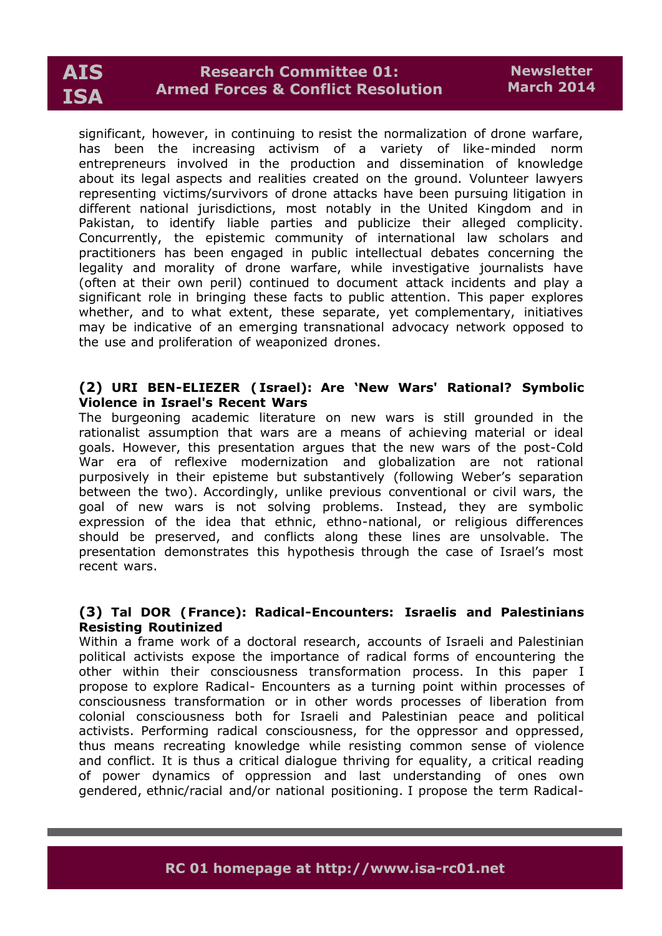# **Research Committee 01: Armed Forces & Conflict Resolution**

significant, however, in continuing to resist the normalization of drone warfare, has been the increasing activism of a variety of like-minded norm entrepreneurs involved in the production and dissemination of knowledge about its legal aspects and realities created on the ground. Volunteer lawyers representing victims/survivors of drone attacks have been pursuing litigation in different national jurisdictions, most notably in the United Kingdom and in Pakistan, to identify liable parties and publicize their alleged complicity. Concurrently, the epistemic community of international law scholars and practitioners has been engaged in public intellectual debates concerning the legality and morality of drone warfare, while investigative journalists have (often at their own peril) continued to document attack incidents and play a significant role in bringing these facts to public attention. This paper explores whether, and to what extent, these separate, yet complementary, initiatives may be indicative of an emerging transnational advocacy network opposed to the use and proliferation of weaponized drones.

# **(2) URI BEN-ELIEZER ( Israel): Are 'New Wars' Rational? Symbolic Violence in Israel's Recent Wars**

The burgeoning academic literature on new wars is still grounded in the rationalist assumption that wars are a means of achieving material or ideal goals. However, this presentation argues that the new wars of the post-Cold War era of reflexive modernization and globalization are not rational purposively in their episteme but substantively (following Weber's separation between the two). Accordingly, unlike previous conventional or civil wars, the goal of new wars is not solving problems. Instead, they are symbolic expression of the idea that ethnic, ethno-national, or religious differences should be preserved, and conflicts along these lines are unsolvable. The presentation demonstrates this hypothesis through the case of Israel's most recent wars.

# **(3) Tal DOR (France): Radical-Encounters: Israelis and Palestinians Resisting Routinized**

Within a frame work of a doctoral research, accounts of Israeli and Palestinian political activists expose the importance of radical forms of encountering the other within their consciousness transformation process. In this paper I propose to explore Radical- Encounters as a turning point within processes of consciousness transformation or in other words processes of liberation from colonial consciousness both for Israeli and Palestinian peace and political activists. Performing radical consciousness, for the oppressor and oppressed, thus means recreating knowledge while resisting common sense of violence and conflict. It is thus a critical dialogue thriving for equality, a critical reading of power dynamics of oppression and last understanding of ones own gendered, ethnic/racial and/or national positioning. I propose the term Radical-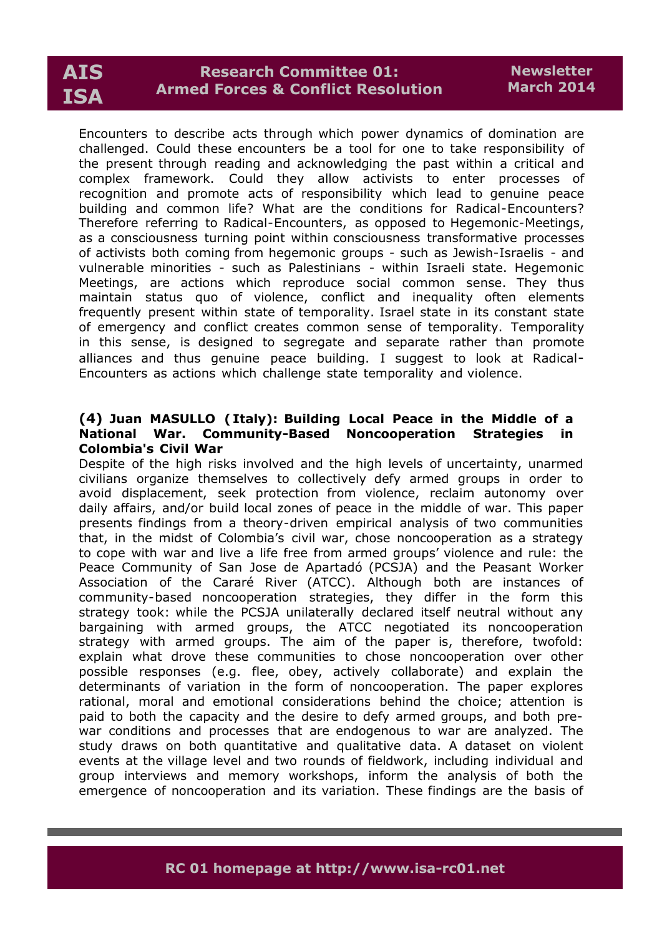# **Research Committee 01: Armed Forces & Conflict Resolution**

Encounters to describe acts through which power dynamics of domination are challenged. Could these encounters be a tool for one to take responsibility of the present through reading and acknowledging the past within a critical and complex framework. Could they allow activists to enter processes of recognition and promote acts of responsibility which lead to genuine peace building and common life? What are the conditions for Radical-Encounters? Therefore referring to Radical-Encounters, as opposed to Hegemonic-Meetings, as a consciousness turning point within consciousness transformative processes of activists both coming from hegemonic groups - such as Jewish-Israelis - and vulnerable minorities - such as Palestinians - within Israeli state. Hegemonic Meetings, are actions which reproduce social common sense. They thus maintain status quo of violence, conflict and inequality often elements frequently present within state of temporality. Israel state in its constant state of emergency and conflict creates common sense of temporality. Temporality in this sense, is designed to segregate and separate rather than promote alliances and thus genuine peace building. I suggest to look at Radical-Encounters as actions which challenge state temporality and violence.

# **(4) Juan MASULLO ( Italy): Building Local Peace in the Middle of a National War. Community-Based Noncooperation Strategies in Colombia's Civil War**

Despite of the high risks involved and the high levels of uncertainty, unarmed civilians organize themselves to collectively defy armed groups in order to avoid displacement, seek protection from violence, reclaim autonomy over daily affairs, and/or build local zones of peace in the middle of war. This paper presents findings from a theory-driven empirical analysis of two communities that, in the midst of Colombia's civil war, chose noncooperation as a strategy to cope with war and live a life free from armed groups' violence and rule: the Peace Community of San Jose de Apartadó (PCSJA) and the Peasant Worker Association of the Cararé River (ATCC). Although both are instances of community-based noncooperation strategies, they differ in the form this strategy took: while the PCSJA unilaterally declared itself neutral without any bargaining with armed groups, the ATCC negotiated its noncooperation strategy with armed groups. The aim of the paper is, therefore, twofold: explain what drove these communities to chose noncooperation over other possible responses (e.g. flee, obey, actively collaborate) and explain the determinants of variation in the form of noncooperation. The paper explores rational, moral and emotional considerations behind the choice; attention is paid to both the capacity and the desire to defy armed groups, and both prewar conditions and processes that are endogenous to war are analyzed. The study draws on both quantitative and qualitative data. A dataset on violent events at the village level and two rounds of fieldwork, including individual and group interviews and memory workshops, inform the analysis of both the emergence of noncooperation and its variation. These findings are the basis of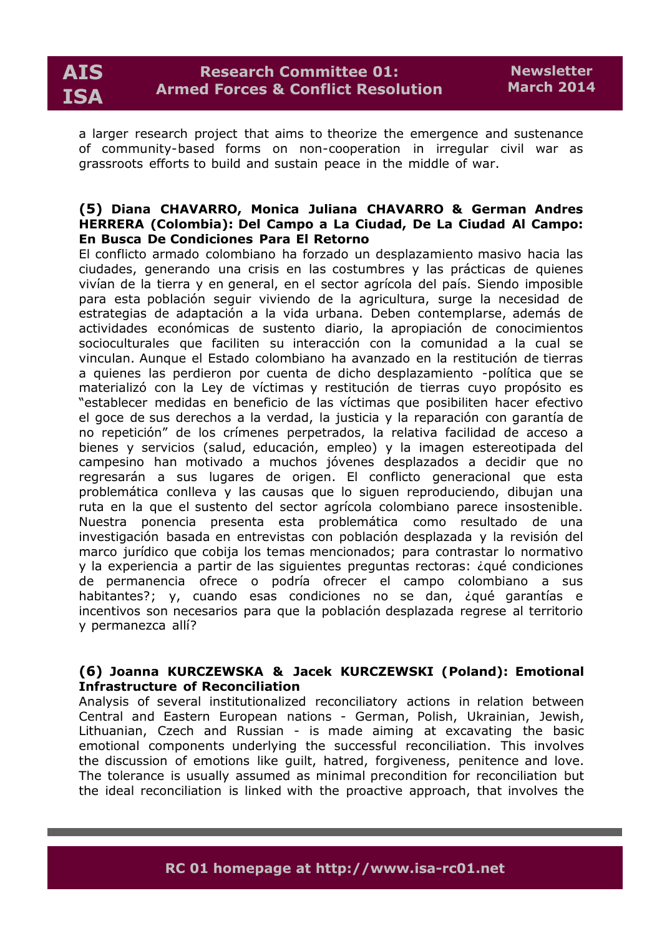a larger research project that aims to theorize the emergence and sustenance of community-based forms on non-cooperation in irregular civil war as grassroots efforts to build and sustain peace in the middle of war.

#### **(5) Diana CHAVARRO, Monica Juliana CHAVARRO & German Andres HERRERA (Colombia): Del Campo a La Ciudad, De La Ciudad Al Campo: En Busca De Condiciones Para El Retorno**

El conflicto armado colombiano ha forzado un desplazamiento masivo hacia las ciudades, generando una crisis en las costumbres y las prácticas de quienes vivían de la tierra y en general, en el sector agrícola del país. Siendo imposible para esta población seguir viviendo de la agricultura, surge la necesidad de estrategias de adaptación a la vida urbana. Deben contemplarse, además de actividades económicas de sustento diario, la apropiación de conocimientos socioculturales que faciliten su interacción con la comunidad a la cual se vinculan. Aunque el Estado colombiano ha avanzado en la restitución de tierras a quienes las perdieron por cuenta de dicho desplazamiento -política que se materializó con la Ley de víctimas y restitución de tierras cuyo propósito es "establecer medidas en beneficio de las víctimas que posibiliten hacer efectivo el goce de sus derechos a la verdad, la justicia y la reparación con garantía de no repetición" de los crímenes perpetrados, la relativa facilidad de acceso a bienes y servicios (salud, educación, empleo) y la imagen estereotipada del campesino han motivado a muchos jóvenes desplazados a decidir que no regresarán a sus lugares de origen. El conflicto generacional que esta problemática conlleva y las causas que lo siguen reproduciendo, dibujan una ruta en la que el sustento del sector agrícola colombiano parece insostenible. Nuestra ponencia presenta esta problemática como resultado de una investigación basada en entrevistas con población desplazada y la revisión del marco jurídico que cobija los temas mencionados; para contrastar lo normativo y la experiencia a partir de las siguientes preguntas rectoras: ¿qué condiciones de permanencia ofrece o podría ofrecer el campo colombiano a sus habitantes?; y, cuando esas condiciones no se dan, ¿qué garantías e incentivos son necesarios para que la población desplazada regrese al territorio y permanezca allí?

# **(6) Joanna KURCZEWSKA & Jacek KURCZEWSKI (Poland): Emotional Infrastructure of Reconciliation**

Analysis of several institutionalized reconciliatory actions in relation between Central and Eastern European nations - German, Polish, Ukrainian, Jewish, Lithuanian, Czech and Russian - is made aiming at excavating the basic emotional components underlying the successful reconciliation. This involves the discussion of emotions like guilt, hatred, forgiveness, penitence and love. The tolerance is usually assumed as minimal precondition for reconciliation but the ideal reconciliation is linked with the proactive approach, that involves the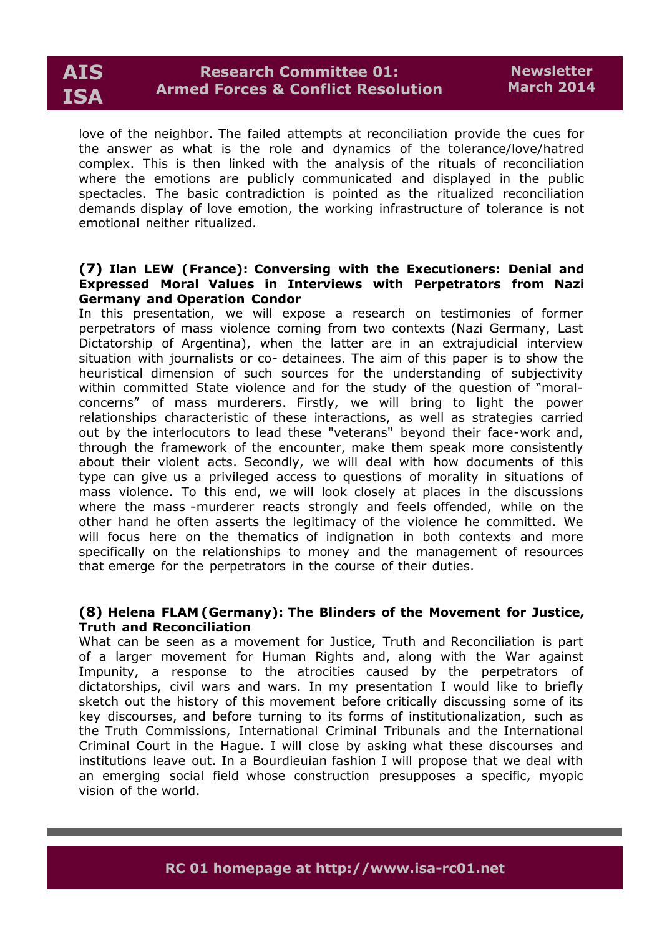

love of the neighbor. The failed attempts at reconciliation provide the cues for the answer as what is the role and dynamics of the tolerance/love/hatred complex. This is then linked with the analysis of the rituals of reconciliation where the emotions are publicly communicated and displayed in the public spectacles. The basic contradiction is pointed as the ritualized reconciliation demands display of love emotion, the working infrastructure of tolerance is not emotional neither ritualized.

### **(7) Ilan LEW (France): Conversing with the Executioners: Denial and Expressed Moral Values in Interviews with Perpetrators from Nazi Germany and Operation Condor**

In this presentation, we will expose a research on testimonies of former perpetrators of mass violence coming from two contexts (Nazi Germany, Last Dictatorship of Argentina), when the latter are in an extrajudicial interview situation with journalists or co- detainees. The aim of this paper is to show the heuristical dimension of such sources for the understanding of subjectivity within committed State violence and for the study of the question of "moralconcerns" of mass murderers. Firstly, we will bring to light the power relationships characteristic of these interactions, as well as strategies carried out by the interlocutors to lead these "veterans" beyond their face-work and, through the framework of the encounter, make them speak more consistently about their violent acts. Secondly, we will deal with how documents of this type can give us a privileged access to questions of morality in situations of mass violence. To this end, we will look closely at places in the discussions where the mass -murderer reacts strongly and feels offended, while on the other hand he often asserts the legitimacy of the violence he committed. We will focus here on the thematics of indignation in both contexts and more specifically on the relationships to money and the management of resources that emerge for the perpetrators in the course of their duties.

#### **(8) Helena FLAM (Germany): The Blinders of the Movement for Justice, Truth and Reconciliation**

What can be seen as a movement for Justice, Truth and Reconciliation is part of a larger movement for Human Rights and, along with the War against Impunity, a response to the atrocities caused by the perpetrators of dictatorships, civil wars and wars. In my presentation I would like to briefly sketch out the history of this movement before critically discussing some of its key discourses, and before turning to its forms of institutionalization, such as the Truth Commissions, International Criminal Tribunals and the International Criminal Court in the Hague. I will close by asking what these discourses and institutions leave out. In a Bourdieuian fashion I will propose that we deal with an emerging social field whose construction presupposes a specific, myopic vision of the world.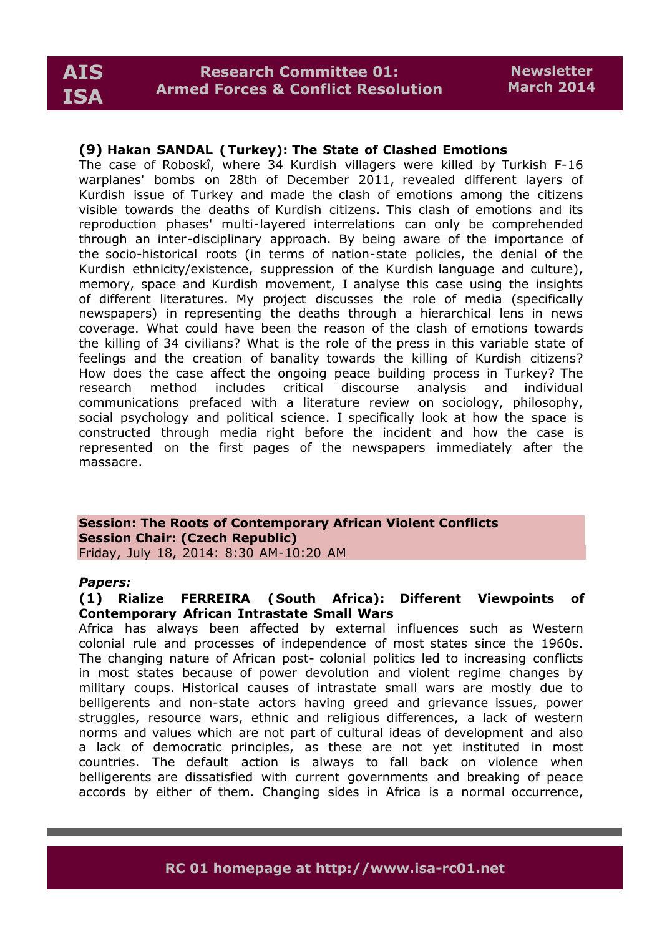# **(9) Hakan SANDAL (Turkey): The State of Clashed Emotions**

The case of Roboskî, where 34 Kurdish villagers were killed by Turkish F-16 warplanes' bombs on 28th of December 2011, revealed different layers of Kurdish issue of Turkey and made the clash of emotions among the citizens visible towards the deaths of Kurdish citizens. This clash of emotions and its reproduction phases' multi-layered interrelations can only be comprehended through an inter-disciplinary approach. By being aware of the importance of the socio-historical roots (in terms of nation-state policies, the denial of the Kurdish ethnicity/existence, suppression of the Kurdish language and culture), memory, space and Kurdish movement, I analyse this case using the insights of different literatures. My project discusses the role of media (specifically newspapers) in representing the deaths through a hierarchical lens in news coverage. What could have been the reason of the clash of emotions towards the killing of 34 civilians? What is the role of the press in this variable state of feelings and the creation of banality towards the killing of Kurdish citizens? How does the case affect the ongoing peace building process in Turkey? The research method includes critical discourse analysis and individual communications prefaced with a literature review on sociology, philosophy, social psychology and political science. I specifically look at how the space is constructed through media right before the incident and how the case is represented on the first pages of the newspapers immediately after the massacre.

#### **Session: The Roots of Contemporary African Violent Conflicts Session Chair: (Czech Republic)** Friday, July 18, 2014: 8:30 AM-10:20 AM

#### *Papers:*

#### **(1) Rialize FERREIRA ( South Africa): Different Viewpoints of Contemporary African Intrastate Small Wars**

Africa has always been affected by external influences such as Western colonial rule and processes of independence of most states since the 1960s. The changing nature of African post- colonial politics led to increasing conflicts in most states because of power devolution and violent regime changes by military coups. Historical causes of intrastate small wars are mostly due to belligerents and non-state actors having greed and grievance issues, power struggles, resource wars, ethnic and religious differences, a lack of western norms and values which are not part of cultural ideas of development and also a lack of democratic principles, as these are not yet instituted in most countries. The default action is always to fall back on violence when belligerents are dissatisfied with current governments and breaking of peace accords by either of them. Changing sides in Africa is a normal occurrence,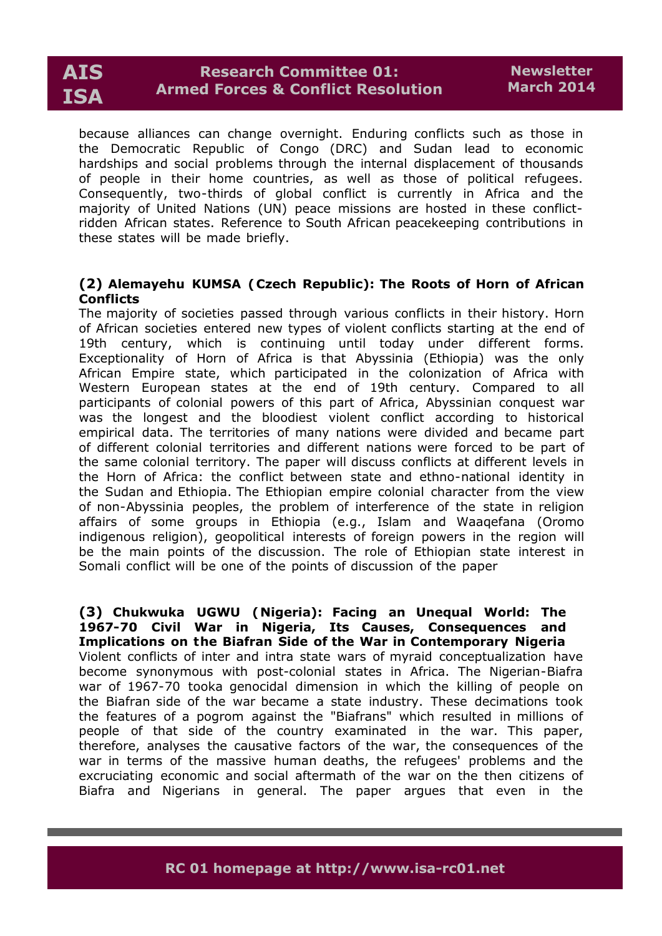

because alliances can change overnight. Enduring conflicts such as those in the Democratic Republic of Congo (DRC) and Sudan lead to economic hardships and social problems through the internal displacement of thousands of people in their home countries, as well as those of political refugees. Consequently, two-thirds of global conflict is currently in Africa and the majority of United Nations (UN) peace missions are hosted in these conflictridden African states. Reference to South African peacekeeping contributions in these states will be made briefly.

# **(2) Alemayehu KUMSA (Czech Republic): The Roots of Horn of African Conflicts**

The majority of societies passed through various conflicts in their history. Horn of African societies entered new types of violent conflicts starting at the end of 19th century, which is continuing until today under different forms. Exceptionality of Horn of Africa is that Abyssinia (Ethiopia) was the only African Empire state, which participated in the colonization of Africa with Western European states at the end of 19th century. Compared to all participants of colonial powers of this part of Africa, Abyssinian conquest war was the longest and the bloodiest violent conflict according to historical empirical data. The territories of many nations were divided and became part of different colonial territories and different nations were forced to be part of the same colonial territory. The paper will discuss conflicts at different levels in the Horn of Africa: the conflict between state and ethno-national identity in the Sudan and Ethiopia. The Ethiopian empire colonial character from the view of non-Abyssinia peoples, the problem of interference of the state in religion affairs of some groups in Ethiopia (e.g., Islam and Waaqefana (Oromo indigenous religion), geopolitical interests of foreign powers in the region will be the main points of the discussion. The role of Ethiopian state interest in Somali conflict will be one of the points of discussion of the paper

**(3) Chukwuka UGWU (Nigeria): Facing an Unequal World: The 1967-70 Civil War in Nigeria, Its Causes, Consequences and Implications on the Biafran Side of the War in Contemporary Nigeria** Violent conflicts of inter and intra state wars of myraid conceptualization have become synonymous with post-colonial states in Africa. The Nigerian-Biafra war of 1967-70 tooka genocidal dimension in which the killing of people on the Biafran side of the war became a state industry. These decimations took the features of a pogrom against the "Biafrans" which resulted in millions of people of that side of the country examinated in the war. This paper, therefore, analyses the causative factors of the war, the consequences of the war in terms of the massive human deaths, the refugees' problems and the excruciating economic and social aftermath of the war on the then citizens of Biafra and Nigerians in general. The paper argues that even in the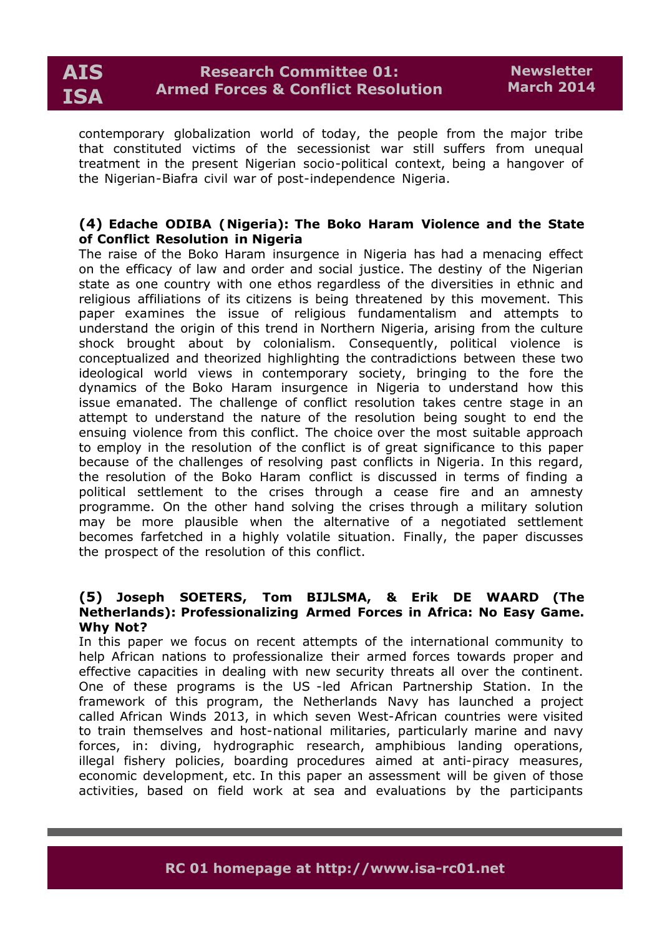contemporary globalization world of today, the people from the major tribe that constituted victims of the secessionist war still suffers from unequal treatment in the present Nigerian socio-political context, being a hangover of the Nigerian-Biafra civil war of post-independence Nigeria.

# **(4) Edache ODIBA (Nigeria): The Boko Haram Violence and the State of Conflict Resolution in Nigeria**

The raise of the Boko Haram insurgence in Nigeria has had a menacing effect on the efficacy of law and order and social justice. The destiny of the Nigerian state as one country with one ethos regardless of the diversities in ethnic and religious affiliations of its citizens is being threatened by this movement. This paper examines the issue of religious fundamentalism and attempts to understand the origin of this trend in Northern Nigeria, arising from the culture shock brought about by colonialism. Consequently, political violence is conceptualized and theorized highlighting the contradictions between these two ideological world views in contemporary society, bringing to the fore the dynamics of the Boko Haram insurgence in Nigeria to understand how this issue emanated. The challenge of conflict resolution takes centre stage in an attempt to understand the nature of the resolution being sought to end the ensuing violence from this conflict. The choice over the most suitable approach to employ in the resolution of the conflict is of great significance to this paper because of the challenges of resolving past conflicts in Nigeria. In this regard, the resolution of the Boko Haram conflict is discussed in terms of finding a political settlement to the crises through a cease fire and an amnesty programme. On the other hand solving the crises through a military solution may be more plausible when the alternative of a negotiated settlement becomes farfetched in a highly volatile situation. Finally, the paper discusses the prospect of the resolution of this conflict.

#### **(5) Joseph SOETERS, Tom BIJLSMA, & Erik DE WAARD (The Netherlands): Professionalizing Armed Forces in Africa: No Easy Game. Why Not?**

In this paper we focus on recent attempts of the international community to help African nations to professionalize their armed forces towards proper and effective capacities in dealing with new security threats all over the continent. One of these programs is the US -led African Partnership Station. In the framework of this program, the Netherlands Navy has launched a project called African Winds 2013, in which seven West-African countries were visited to train themselves and host-national militaries, particularly marine and navy forces, in: diving, hydrographic research, amphibious landing operations, illegal fishery policies, boarding procedures aimed at anti-piracy measures, economic development, etc. In this paper an assessment will be given of those activities, based on field work at sea and evaluations by the participants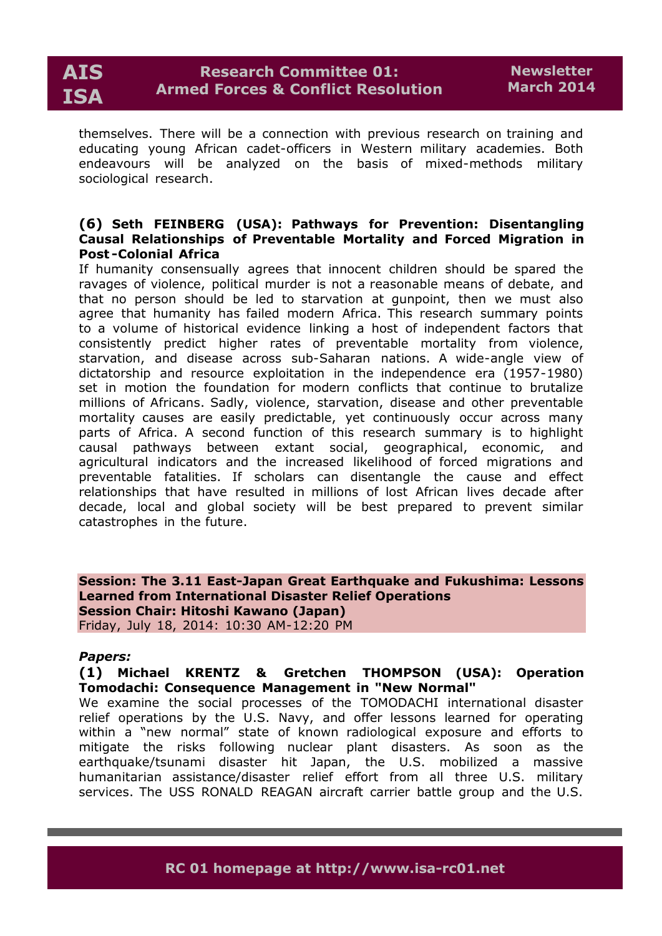themselves. There will be a connection with previous research on training and educating young African cadet-officers in Western military academies. Both endeavours will be analyzed on the basis of mixed-methods military sociological research.

### **(6) Seth FEINBERG (USA): Pathways for Prevention: Disentangling Causal Relationships of Preventable Mortality and Forced Migration in Post -Colonial Africa**

If humanity consensually agrees that innocent children should be spared the ravages of violence, political murder is not a reasonable means of debate, and that no person should be led to starvation at gunpoint, then we must also agree that humanity has failed modern Africa. This research summary points to a volume of historical evidence linking a host of independent factors that consistently predict higher rates of preventable mortality from violence, starvation, and disease across sub-Saharan nations. A wide-angle view of dictatorship and resource exploitation in the independence era (1957-1980) set in motion the foundation for modern conflicts that continue to brutalize millions of Africans. Sadly, violence, starvation, disease and other preventable mortality causes are easily predictable, yet continuously occur across many parts of Africa. A second function of this research summary is to highlight causal pathways between extant social, geographical, economic, and agricultural indicators and the increased likelihood of forced migrations and preventable fatalities. If scholars can disentangle the cause and effect relationships that have resulted in millions of lost African lives decade after decade, local and global society will be best prepared to prevent similar catastrophes in the future.

**Session: The 3.11 East-Japan Great Earthquake and Fukushima: Lessons Learned from International Disaster Relief Operations Session Chair: Hitoshi Kawano (Japan)** Friday, July 18, 2014: 10:30 AM-12:20 PM

#### *Papers:*

# **(1) Michael KRENTZ & Gretchen THOMPSON (USA): Operation Tomodachi: Consequence Management in "New Normal"**

We examine the social processes of the TOMODACHI international disaster relief operations by the U.S. Navy, and offer lessons learned for operating within a "new normal" state of known radiological exposure and efforts to mitigate the risks following nuclear plant disasters. As soon as the earthquake/tsunami disaster hit Japan, the U.S. mobilized a massive humanitarian assistance/disaster relief effort from all three U.S. military services. The USS RONALD REAGAN aircraft carrier battle group and the U.S.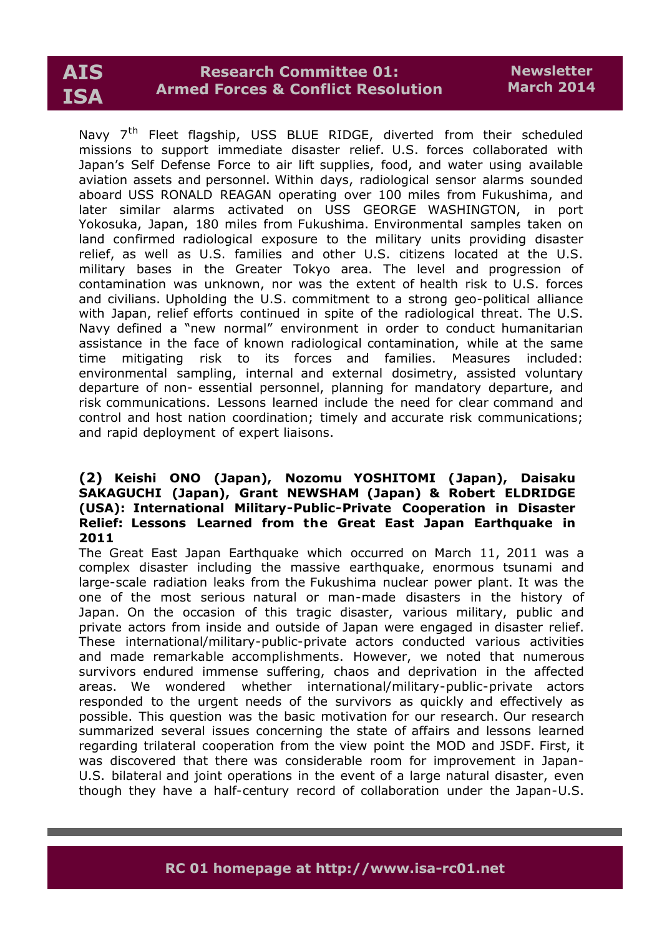# **Research Committee 01: Armed Forces & Conflict Resolution**

Navy 7<sup>th</sup> Fleet flagship, USS BLUE RIDGE, diverted from their scheduled missions to support immediate disaster relief. U.S. forces collaborated with Japan's Self Defense Force to air lift supplies, food, and water using available aviation assets and personnel. Within days, radiological sensor alarms sounded aboard USS RONALD REAGAN operating over 100 miles from Fukushima, and later similar alarms activated on USS GEORGE WASHINGTON, in port Yokosuka, Japan, 180 miles from Fukushima. Environmental samples taken on land confirmed radiological exposure to the military units providing disaster relief, as well as U.S. families and other U.S. citizens located at the U.S. military bases in the Greater Tokyo area. The level and progression of contamination was unknown, nor was the extent of health risk to U.S. forces and civilians. Upholding the U.S. commitment to a strong geo-political alliance with Japan, relief efforts continued in spite of the radiological threat. The U.S. Navy defined a "new normal" environment in order to conduct humanitarian assistance in the face of known radiological contamination, while at the same time mitigating risk to its forces and families. Measures included: environmental sampling, internal and external dosimetry, assisted voluntary departure of non- essential personnel, planning for mandatory departure, and risk communications. Lessons learned include the need for clear command and control and host nation coordination; timely and accurate risk communications; and rapid deployment of expert liaisons.

### **(2) Keishi ONO (Japan), Nozomu YOSHITOMI (Japan), Daisaku SAKAGUCHI (Japan), Grant NEWSHAM (Japan) & Robert ELDRIDGE (USA): International Military-Public-Private Cooperation in Disaster Relief: Lessons Learned from the Great East Japan Earthquake in 2011**

The Great East Japan Earthquake which occurred on March 11, 2011 was a complex disaster including the massive earthquake, enormous tsunami and large-scale radiation leaks from the Fukushima nuclear power plant. It was the one of the most serious natural or man-made disasters in the history of Japan. On the occasion of this tragic disaster, various military, public and private actors from inside and outside of Japan were engaged in disaster relief. These international/military-public-private actors conducted various activities and made remarkable accomplishments. However, we noted that numerous survivors endured immense suffering, chaos and deprivation in the affected areas. We wondered whether international/military-public-private actors responded to the urgent needs of the survivors as quickly and effectively as possible. This question was the basic motivation for our research. Our research summarized several issues concerning the state of affairs and lessons learned regarding trilateral cooperation from the view point the MOD and JSDF. First, it was discovered that there was considerable room for improvement in Japan-U.S. bilateral and joint operations in the event of a large natural disaster, even though they have a half-century record of collaboration under the Japan-U.S.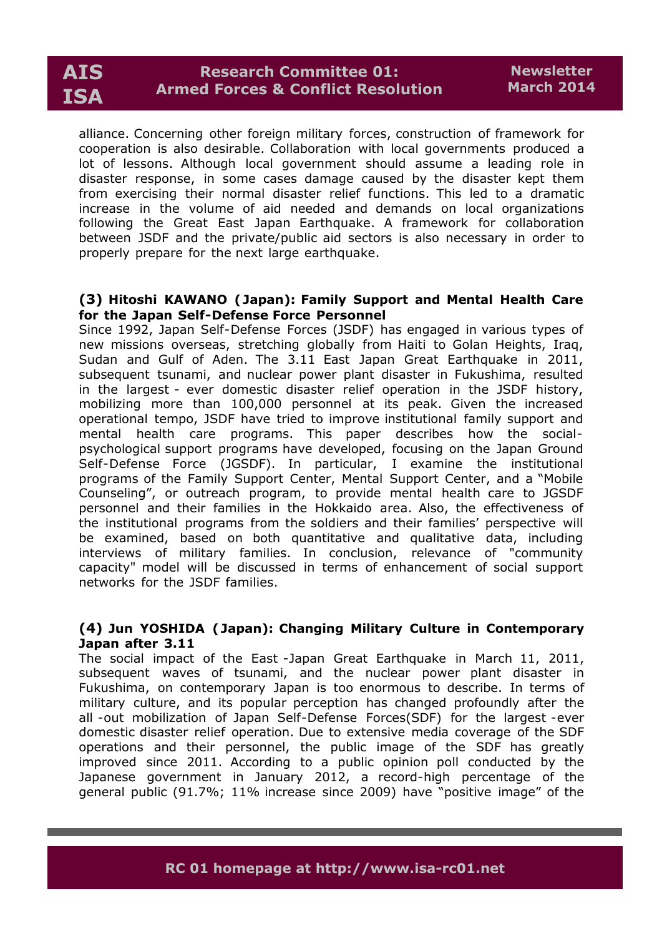

alliance. Concerning other foreign military forces, construction of framework for cooperation is also desirable. Collaboration with local governments produced a lot of lessons. Although local government should assume a leading role in disaster response, in some cases damage caused by the disaster kept them from exercising their normal disaster relief functions. This led to a dramatic increase in the volume of aid needed and demands on local organizations following the Great East Japan Earthquake. A framework for collaboration between JSDF and the private/public aid sectors is also necessary in order to properly prepare for the next large earthquake.

#### **(3) Hitoshi KAWANO ( Japan): Family Support and Mental Health Care for the Japan Self-Defense Force Personnel**

Since 1992, Japan Self-Defense Forces (JSDF) has engaged in various types of new missions overseas, stretching globally from Haiti to Golan Heights, Iraq, Sudan and Gulf of Aden. The 3.11 East Japan Great Earthquake in 2011, subsequent tsunami, and nuclear power plant disaster in Fukushima, resulted in the largest - ever domestic disaster relief operation in the JSDF history, mobilizing more than 100,000 personnel at its peak. Given the increased operational tempo, JSDF have tried to improve institutional family support and mental health care programs. This paper describes how the socialpsychological support programs have developed, focusing on the Japan Ground Self-Defense Force (JGSDF). In particular, I examine the institutional programs of the Family Support Center, Mental Support Center, and a "Mobile Counseling", or outreach program, to provide mental health care to JGSDF personnel and their families in the Hokkaido area. Also, the effectiveness of the institutional programs from the soldiers and their families' perspective will be examined, based on both quantitative and qualitative data, including interviews of military families. In conclusion, relevance of "community capacity" model will be discussed in terms of enhancement of social support networks for the JSDF families.

#### **(4) Jun YOSHIDA ( Japan): Changing Military Culture in Contemporary Japan after 3.11**

The social impact of the East -Japan Great Earthquake in March 11, 2011, subsequent waves of tsunami, and the nuclear power plant disaster in Fukushima, on contemporary Japan is too enormous to describe. In terms of military culture, and its popular perception has changed profoundly after the all -out mobilization of Japan Self-Defense Forces(SDF) for the largest -ever domestic disaster relief operation. Due to extensive media coverage of the SDF operations and their personnel, the public image of the SDF has greatly improved since 2011. According to a public opinion poll conducted by the Japanese government in January 2012, a record-high percentage of the general public (91.7%; 11% increase since 2009) have "positive image" of the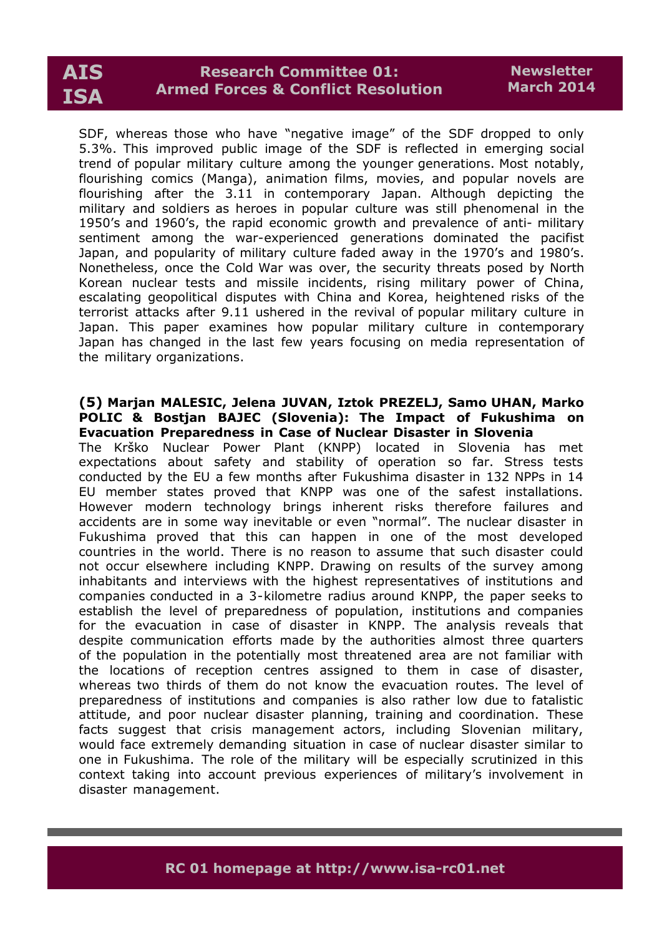# **Research Committee 01: Armed Forces & Conflict Resolution**

SDF, whereas those who have "negative image" of the SDF dropped to only 5.3%. This improved public image of the SDF is reflected in emerging social trend of popular military culture among the younger generations. Most notably, flourishing comics (Manga), animation films, movies, and popular novels are flourishing after the 3.11 in contemporary Japan. Although depicting the military and soldiers as heroes in popular culture was still phenomenal in the 1950's and 1960's, the rapid economic growth and prevalence of anti- military sentiment among the war-experienced generations dominated the pacifist Japan, and popularity of military culture faded away in the 1970's and 1980's. Nonetheless, once the Cold War was over, the security threats posed by North Korean nuclear tests and missile incidents, rising military power of China, escalating geopolitical disputes with China and Korea, heightened risks of the terrorist attacks after 9.11 ushered in the revival of popular military culture in Japan. This paper examines how popular military culture in contemporary Japan has changed in the last few years focusing on media representation of the military organizations.

#### **(5) Marjan MALESIC, Jelena JUVAN, Iztok PREZELJ, Samo UHAN, Marko POLIC & Bostjan BAJEC (Slovenia): The Impact of Fukushima on Evacuation Preparedness in Case of Nuclear Disaster in Slovenia**

The Krško Nuclear Power Plant (KNPP) located in Slovenia has met expectations about safety and stability of operation so far. Stress tests conducted by the EU a few months after Fukushima disaster in 132 NPPs in 14 EU member states proved that KNPP was one of the safest installations. However modern technology brings inherent risks therefore failures and accidents are in some way inevitable or even "normal". The nuclear disaster in Fukushima proved that this can happen in one of the most developed countries in the world. There is no reason to assume that such disaster could not occur elsewhere including KNPP. Drawing on results of the survey among inhabitants and interviews with the highest representatives of institutions and companies conducted in a 3-kilometre radius around KNPP, the paper seeks to establish the level of preparedness of population, institutions and companies for the evacuation in case of disaster in KNPP. The analysis reveals that despite communication efforts made by the authorities almost three quarters of the population in the potentially most threatened area are not familiar with the locations of reception centres assigned to them in case of disaster, whereas two thirds of them do not know the evacuation routes. The level of preparedness of institutions and companies is also rather low due to fatalistic attitude, and poor nuclear disaster planning, training and coordination. These facts suggest that crisis management actors, including Slovenian military, would face extremely demanding situation in case of nuclear disaster similar to one in Fukushima. The role of the military will be especially scrutinized in this context taking into account previous experiences of military's involvement in disaster management.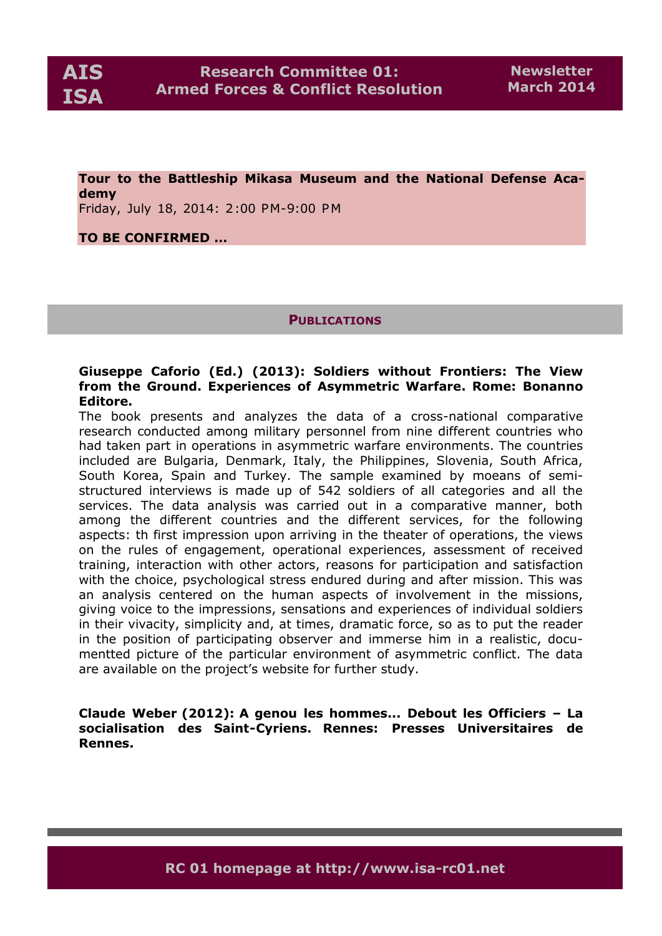**Tour to the Battleship Mikasa Museum and the National Defense Academy** 

Friday, July 18, 2014: 2:00 PM-9:00 PM

### **TO BE CONFIRMED …**

**PUBLICATIONS**

### **Giuseppe Caforio (Ed.) (2013): Soldiers without Frontiers: The View from the Ground. Experiences of Asymmetric Warfare. Rome: Bonanno Editore.**

The book presents and analyzes the data of a cross-national comparative research conducted among military personnel from nine different countries who had taken part in operations in asymmetric warfare environments. The countries included are Bulgaria, Denmark, Italy, the Philippines, Slovenia, South Africa, South Korea, Spain and Turkey. The sample examined by moeans of semistructured interviews is made up of 542 soldiers of all categories and all the services. The data analysis was carried out in a comparative manner, both among the different countries and the different services, for the following aspects: th first impression upon arriving in the theater of operations, the views on the rules of engagement, operational experiences, assessment of received training, interaction with other actors, reasons for participation and satisfaction with the choice, psychological stress endured during and after mission. This was an analysis centered on the human aspects of involvement in the missions, giving voice to the impressions, sensations and experiences of individual soldiers in their vivacity, simplicity and, at times, dramatic force, so as to put the reader in the position of participating observer and immerse him in a realistic, documentted picture of the particular environment of asymmetric conflict. The data are available on the project's website for further study.

**Claude Weber (2012): A genou les hommes... Debout les Officiers – La socialisation des Saint-Cyriens. Rennes: Presses Universitaires de Rennes.**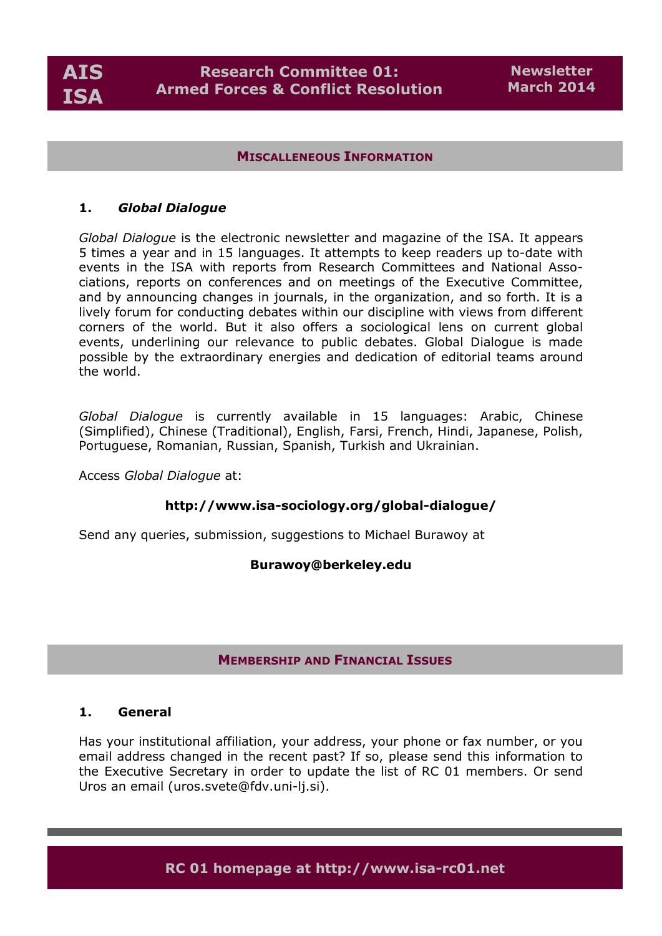

#### **MISCALLENEOUS INFORMATION**

#### **1.** *Global Dialogue*

*Global Dialogue* is the electronic newsletter and magazine of the ISA. It appears 5 times a year and in 15 languages. It attempts to keep readers up to-date with events in the ISA with reports from Research Committees and National Associations, reports on conferences and on meetings of the Executive Committee, and by announcing changes in journals, in the organization, and so forth. It is a lively forum for conducting debates within our discipline with views from different corners of the world. But it also offers a sociological lens on current global events, underlining our relevance to public debates. Global Dialogue is made possible by the extraordinary energies and dedication of editorial teams around the world.

*Global Dialogue* is currently available in 15 languages: Arabic, Chinese (Simplified), Chinese (Traditional), English, Farsi, French, Hindi, Japanese, Polish, Portuguese, Romanian, Russian, Spanish, Turkish and Ukrainian.

Access *Global Dialogue* at:

#### **http://www.isa-sociology.org/global-dialogue/**

Send any queries, submission, suggestions to Michael Burawoy at

#### **Burawoy@berkeley.edu**

### **MEMBERSHIP AND FINANCIAL ISSUES**

#### **1. General**

Has your institutional affiliation, your address, your phone or fax number, or you email address changed in the recent past? If so, please send this information to the Executive Secretary in order to update the list of RC 01 members. Or send Uros an email (uros.svete@fdv.uni-lj.si).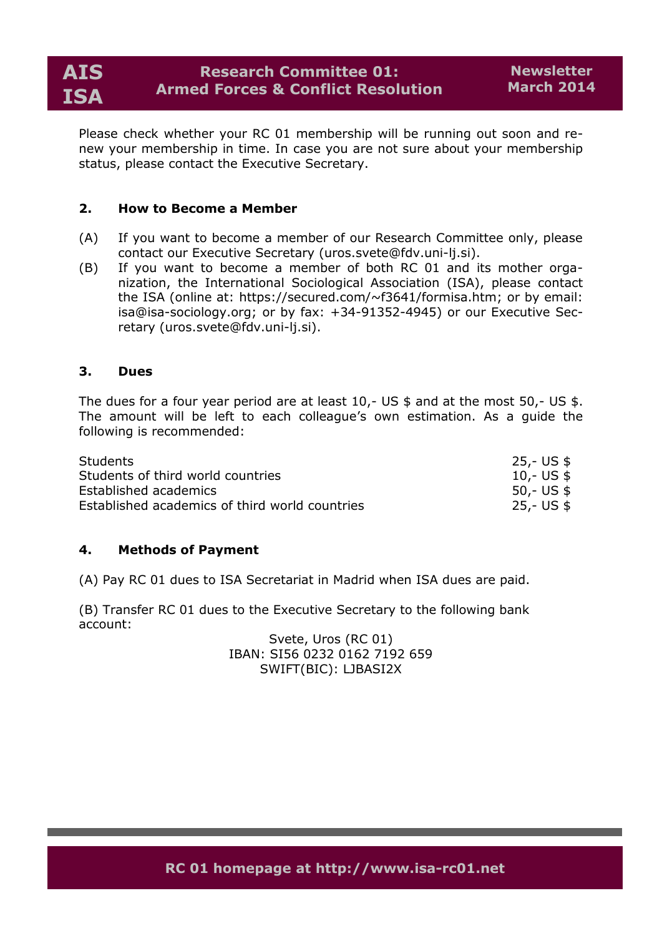Please check whether your RC 01 membership will be running out soon and renew your membership in time. In case you are not sure about your membership status, please contact the Executive Secretary.

### **2. How to Become a Member**

- (A) If you want to become a member of our Research Committee only, please contact our Executive Secretary (uros.svete@fdv.uni-lj.si).
- (B) If you want to become a member of both RC 01 and its mother organization, the International Sociological Association (ISA), please contact the ISA (online at: https://secured.com/~f3641/formisa.htm; or by email: isa@isa-sociology.org; or by fax: +34-91352-4945) or our Executive Secretary (uros.svete@fdv.uni-lj.si).

#### **3. Dues**

The dues for a four year period are at least 10,- US \$ and at the most 50,- US \$. The amount will be left to each colleague's own estimation. As a guide the following is recommended:

| Students                                       | 25,- US \$  |
|------------------------------------------------|-------------|
| Students of third world countries              | 10,- US $$$ |
| Established academics                          | 50,- US \$  |
| Established academics of third world countries | 25,- US \$  |

#### **4. Methods of Payment**

(A) Pay RC 01 dues to ISA Secretariat in Madrid when ISA dues are paid.

(B) Transfer RC 01 dues to the Executive Secretary to the following bank account:

> Svete, Uros (RC 01) IBAN: SI56 0232 0162 7192 659 SWIFT(BIC): LJBASI2X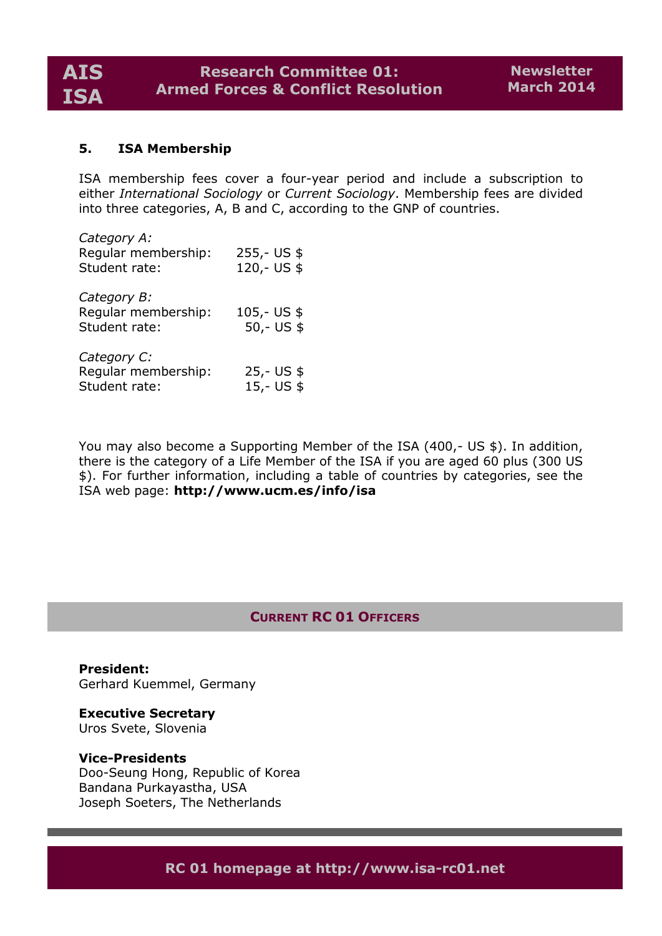### **5. ISA Membership**

ISA membership fees cover a four-year period and include a subscription to either *International Sociology* or *Current Sociology*. Membership fees are divided into three categories, A, B and C, according to the GNP of countries.

| Category A:<br>Regular membership:<br>Student rate: | $255 - US$ \$<br>120,- US \$  |
|-----------------------------------------------------|-------------------------------|
| Category B:<br>Reqular membership:<br>Student rate: | $105 - US$ \$<br>$50 - US$ \$ |
| Category C:<br>Regular membership:<br>Student rate: | $25 - US$ \$<br>$15 - US$ \$  |

You may also become a Supporting Member of the ISA (400,- US \$). In addition, there is the category of a Life Member of the ISA if you are aged 60 plus (300 US \$). For further information, including a table of countries by categories, see the ISA web page: **http://www.ucm.es/info/isa**

# **CURRENT RC 01 OFFICERS**

**President:** Gerhard Kuemmel, Germany

**Executive Secretary** Uros Svete, Slovenia

#### **Vice-Presidents**

Doo-Seung Hong, Republic of Korea Bandana Purkayastha, USA Joseph Soeters, The Netherlands

**RC 01 homepage at http://www.isa-rc01.net**